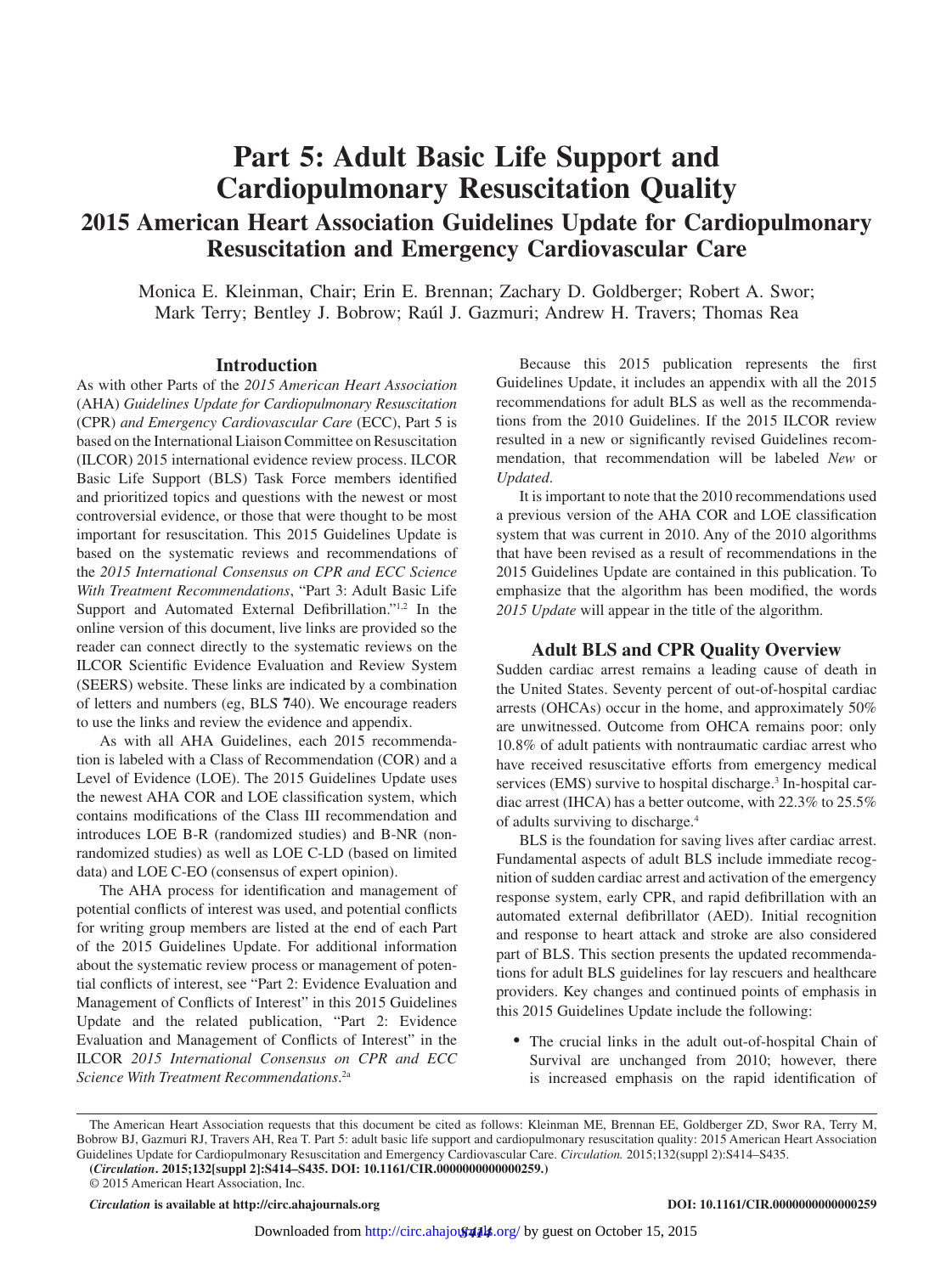# **Part 5: Adult Basic Life Support and Cardiopulmonary Resuscitation Quality 2015 American Heart Association Guidelines Update for Cardiopulmonary Resuscitation and Emergency Cardiovascular Care**

Monica E. Kleinman, Chair; Erin E. Brennan; Zachary D. Goldberger; Robert A. Swor; Mark Terry; Bentley J. Bobrow; Raúl J. Gazmuri; Andrew H. Travers; Thomas Rea

## **Introduction**

As with other Parts of the *2015 American Heart Association*  (AHA) *Guidelines Update for Cardiopulmonary Resuscitation* (CPR) *and Emergency Cardiovascular Care* (ECC), Part 5 is based on the International Liaison Committee on Resuscitation (ILCOR) 2015 international evidence review process. ILCOR Basic Life Support (BLS) Task Force members identified and prioritized topics and questions with the newest or most controversial evidence, or those that were thought to be most important for resuscitation. This 2015 Guidelines Update is based on the systematic reviews and recommendations of the *2015 International Consensus on CPR and ECC Science With Treatment Recommendations*, "Part 3: Adult Basic Life Support and Automated External Defibrillation."1,2 In the online version of this document, live links are provided so the reader can connect directly to the systematic reviews on the ILCOR Scientific Evidence Evaluation and Review System (SEERS) website. These links are indicated by a combination of letters and numbers (eg, BLS **7**40). We encourage readers to use the links and review the evidence and appendix.

As with all AHA Guidelines, each 2015 recommendation is labeled with a Class of Recommendation (COR) and a Level of Evidence (LOE). The 2015 Guidelines Update uses the newest AHA COR and LOE classification system, which contains modifications of the Class III recommendation and introduces LOE B-R (randomized studies) and B-NR (nonrandomized studies) as well as LOE C-LD (based on limited data) and LOE C-EO (consensus of expert opinion).

The AHA process for identification and management of potential conflicts of interest was used, and potential conflicts for writing group members are listed at the end of each Part of the 2015 Guidelines Update. For additional information about the systematic review process or management of potential conflicts of interest, see "Part 2: Evidence Evaluation and Management of Conflicts of Interest" in this 2015 Guidelines Update and the related publication, "Part 2: Evidence Evaluation and Management of Conflicts of Interest" in the ILCOR *2015 International Consensus on CPR and ECC Science With Treatment Recommendations*. 2a

Because this 2015 publication represents the first Guidelines Update, it includes an appendix with all the 2015 recommendations for adult BLS as well as the recommendations from the 2010 Guidelines. If the 2015 ILCOR review resulted in a new or significantly revised Guidelines recommendation, that recommendation will be labeled *New* or *Updated*.

It is important to note that the 2010 recommendations used a previous version of the AHA COR and LOE classification system that was current in 2010. Any of the 2010 algorithms that have been revised as a result of recommendations in the 2015 Guidelines Update are contained in this publication. To emphasize that the algorithm has been modified, the words *2015 Update* will appear in the title of the algorithm.

## **Adult BLS and CPR Quality Overview**

Sudden cardiac arrest remains a leading cause of death in the United States. Seventy percent of out-of-hospital cardiac arrests (OHCAs) occur in the home, and approximately 50% are unwitnessed. Outcome from OHCA remains poor: only 10.8% of adult patients with nontraumatic cardiac arrest who have received resuscitative efforts from emergency medical services (EMS) survive to hospital discharge.<sup>3</sup> In-hospital cardiac arrest (IHCA) has a better outcome, with 22.3% to 25.5% of adults surviving to discharge.4

BLS is the foundation for saving lives after cardiac arrest. Fundamental aspects of adult BLS include immediate recognition of sudden cardiac arrest and activation of the emergency response system, early CPR, and rapid defibrillation with an automated external defibrillator (AED). Initial recognition and response to heart attack and stroke are also considered part of BLS. This section presents the updated recommendations for adult BLS guidelines for lay rescuers and healthcare providers. Key changes and continued points of emphasis in this 2015 Guidelines Update include the following:

• The crucial links in the adult out-of-hospital Chain of Survival are unchanged from 2010; however, there is increased emphasis on the rapid identification of

© 2015 American Heart Association, Inc.

*Circulation* **is available at http://circ.ahajournals.org DOI: 10.1161/CIR.0000000000000259**

The American Heart Association requests that this document be cited as follows: Kleinman ME, Brennan EE, Goldberger ZD, Swor RA, Terry M, Bobrow BJ, Gazmuri RJ, Travers AH, Rea T. Part 5: adult basic life support and cardiopulmonary resuscitation quality: 2015 American Heart Association Guidelines Update for Cardiopulmonary Resuscitation and Emergency Cardiovascular Care. *Circulation.* 2015;132(suppl 2):S414–S435.

**<sup>(</sup>***Circulation***. 2015;132[suppl 2]:S414–S435. DOI: 10.1161/CIR.0000000000000259.)**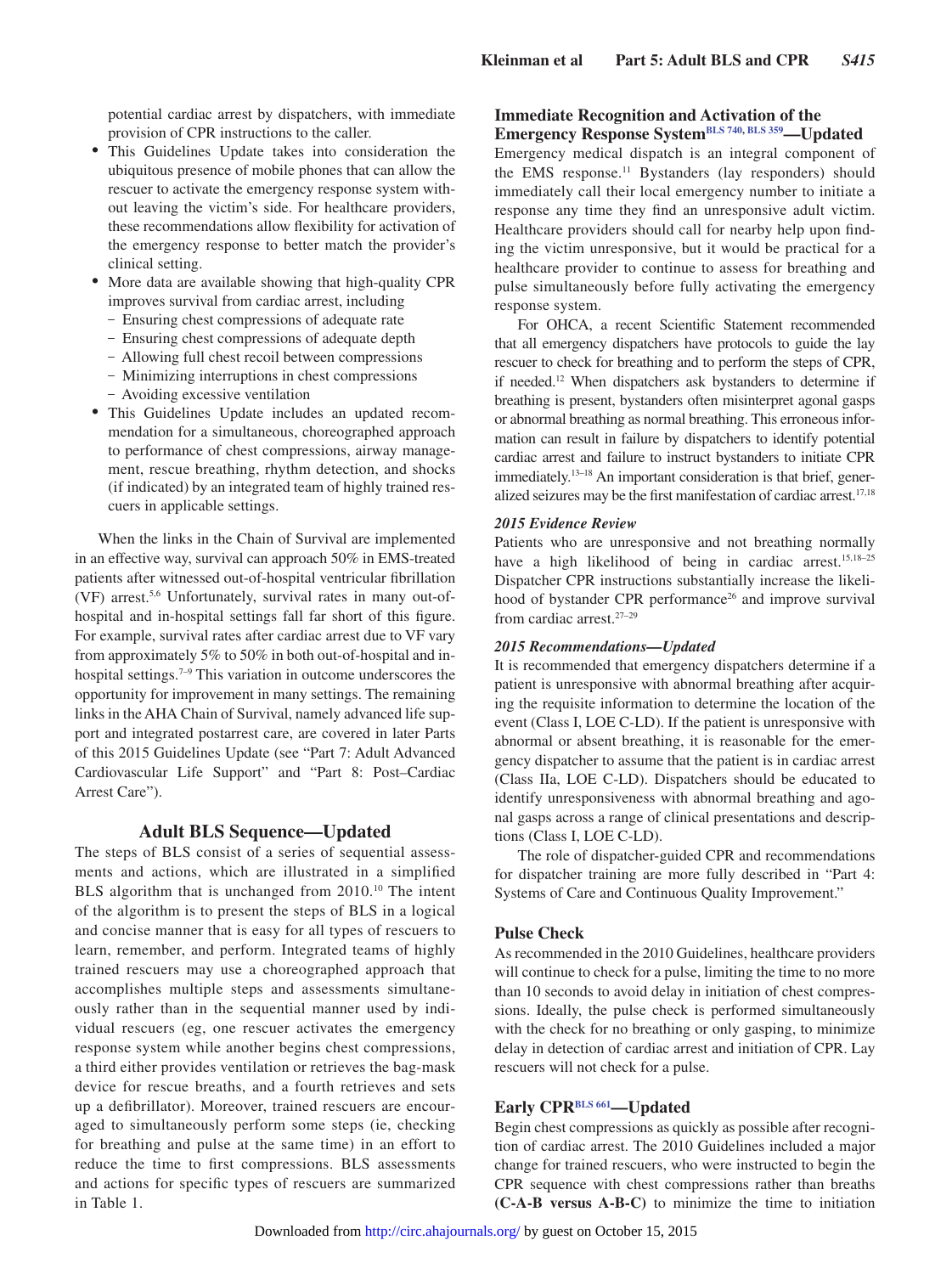potential cardiac arrest by dispatchers, with immediate provision of CPR instructions to the caller.

- This Guidelines Update takes into consideration the ubiquitous presence of mobile phones that can allow the rescuer to activate the emergency response system without leaving the victim's side. For healthcare providers, these recommendations allow flexibility for activation of the emergency response to better match the provider's clinical setting.
- More data are available showing that high-quality CPR improves survival from cardiac arrest, including
	- Ensuring chest compressions of adequate rate
	- Ensuring chest compressions of adequate depth
	- Allowing full chest recoil between compressions
	- Minimizing interruptions in chest compressions
	- Avoiding excessive ventilation
- • This Guidelines Update includes an updated recommendation for a simultaneous, choreographed approach to performance of chest compressions, airway management, rescue breathing, rhythm detection, and shocks (if indicated) by an integrated team of highly trained rescuers in applicable settings.

When the links in the Chain of Survival are implemented in an effective way, survival can approach 50% in EMS-treated patients after witnessed out-of-hospital ventricular fibrillation (VF) arrest.5,6 Unfortunately, survival rates in many out-ofhospital and in-hospital settings fall far short of this figure. For example, survival rates after cardiac arrest due to VF vary from approximately 5% to 50% in both out-of-hospital and inhospital settings.<sup>7–9</sup> This variation in outcome underscores the opportunity for improvement in many settings. The remaining links in the AHA Chain of Survival, namely advanced life support and integrated postarrest care, are covered in later Parts of this 2015 Guidelines Update (see "Part 7: Adult Advanced Cardiovascular Life Support" and "Part 8: Post–Cardiac Arrest Care").

## **Adult BLS Sequence—Updated**

The steps of BLS consist of a series of sequential assessments and actions, which are illustrated in a simplified BLS algorithm that is unchanged from 2010.<sup>10</sup> The intent of the algorithm is to present the steps of BLS in a logical and concise manner that is easy for all types of rescuers to learn, remember, and perform. Integrated teams of highly trained rescuers may use a choreographed approach that accomplishes multiple steps and assessments simultaneously rather than in the sequential manner used by individual rescuers (eg, one rescuer activates the emergency response system while another begins chest compressions, a third either provides ventilation or retrieves the bag-mask device for rescue breaths, and a fourth retrieves and sets up a defibrillator). Moreover, trained rescuers are encouraged to simultaneously perform some steps (ie, checking for breathing and pulse at the same time) in an effort to reduce the time to first compressions. BLS assessments and actions for specific types of rescuers are summarized in Table 1.

## **Immediate Recognition and Activation of the Emergency Response System[BLS 740](https://volunteer.heart.org/apps/pico/Pages/PublicComment.aspx?q=740), [BLS 359—](https://volunteer.heart.org/apps/pico/Pages/PublicComment.aspx?q=359)Updated**

Emergency medical dispatch is an integral component of the EMS response.<sup>11</sup> Bystanders (lay responders) should immediately call their local emergency number to initiate a response any time they find an unresponsive adult victim. Healthcare providers should call for nearby help upon finding the victim unresponsive, but it would be practical for a healthcare provider to continue to assess for breathing and pulse simultaneously before fully activating the emergency response system.

For OHCA, a recent Scientific Statement recommended that all emergency dispatchers have protocols to guide the lay rescuer to check for breathing and to perform the steps of CPR, if needed.12 When dispatchers ask bystanders to determine if breathing is present, bystanders often misinterpret agonal gasps or abnormal breathing as normal breathing. This erroneous information can result in failure by dispatchers to identify potential cardiac arrest and failure to instruct bystanders to initiate CPR immediately.<sup>13-18</sup> An important consideration is that brief, generalized seizures may be the first manifestation of cardiac arrest.17,18

#### *2015 Evidence Review*

Patients who are unresponsive and not breathing normally have a high likelihood of being in cardiac arrest.<sup>15,18-25</sup> Dispatcher CPR instructions substantially increase the likelihood of bystander CPR performance<sup>26</sup> and improve survival from cardiac arrest.<sup>27-29</sup>

## *2015 Recommendations—Updated*

It is recommended that emergency dispatchers determine if a patient is unresponsive with abnormal breathing after acquiring the requisite information to determine the location of the event (Class I, LOE C-LD). If the patient is unresponsive with abnormal or absent breathing, it is reasonable for the emergency dispatcher to assume that the patient is in cardiac arrest (Class IIa, LOE C-LD). Dispatchers should be educated to identify unresponsiveness with abnormal breathing and agonal gasps across a range of clinical presentations and descriptions (Class I, LOE C-LD).

The role of dispatcher-guided CPR and recommendations for dispatcher training are more fully described in "Part 4: Systems of Care and Continuous Quality Improvement."

## **Pulse Check**

As recommended in the 2010 Guidelines, healthcare providers will continue to check for a pulse, limiting the time to no more than 10 seconds to avoid delay in initiation of chest compressions. Ideally, the pulse check is performed simultaneously with the check for no breathing or only gasping, to minimize delay in detection of cardiac arrest and initiation of CPR. Lay rescuers will not check for a pulse.

## **Early CP[RBLS 661—](https://volunteer.heart.org/apps/pico/Pages/PublicComment.aspx?q=661)Updated**

Begin chest compressions as quickly as possible after recognition of cardiac arrest. The 2010 Guidelines included a major change for trained rescuers, who were instructed to begin the CPR sequence with chest compressions rather than breaths **(C-A-B versus A-B-C)** to minimize the time to initiation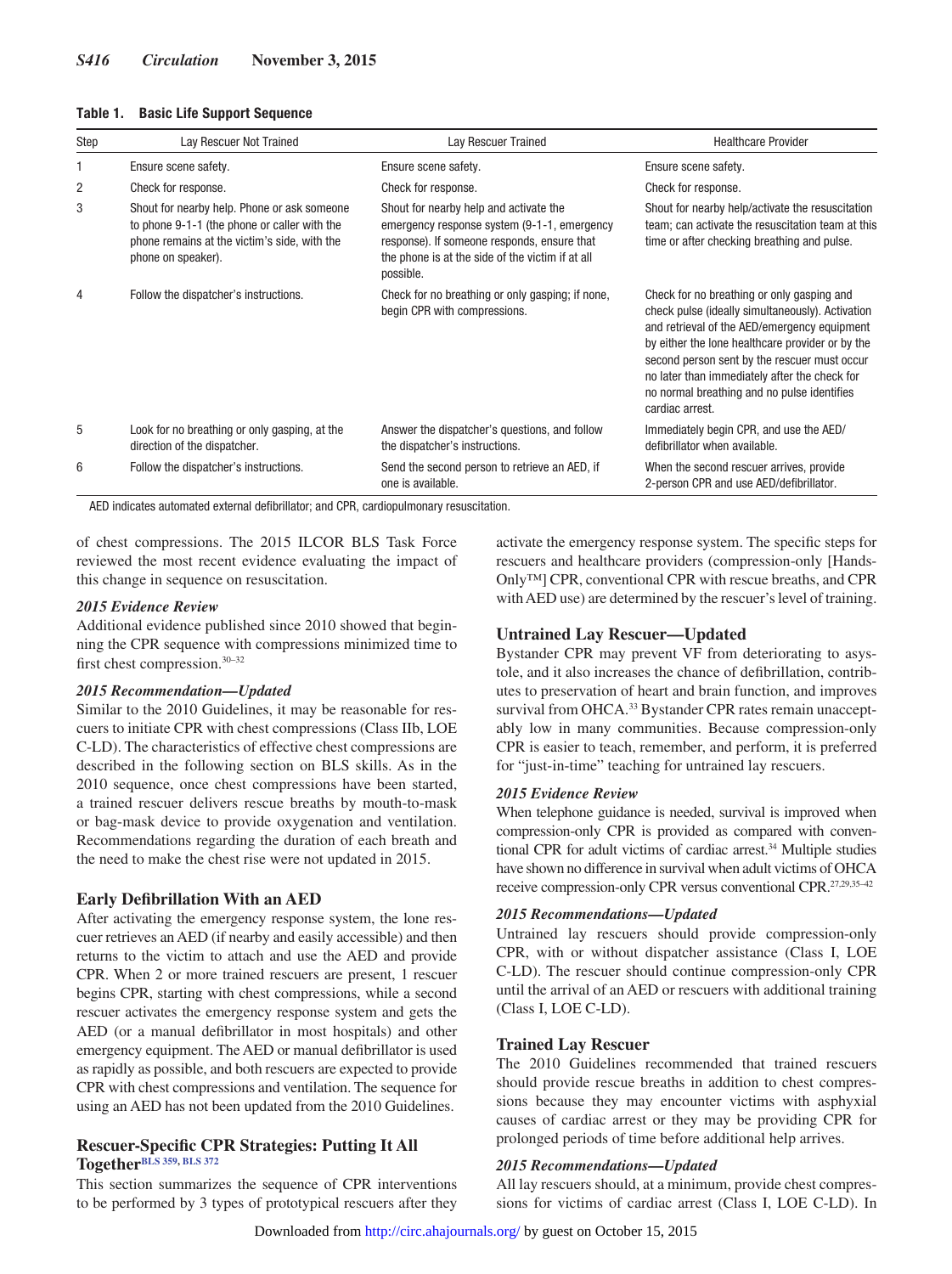| <b>Basic Life Support Sequence</b><br>Table 1. |
|------------------------------------------------|
|------------------------------------------------|

| Step           | Lay Rescuer Not Trained                                                                                                                                           | Lay Rescuer Trained                                                                                                                                                                                   | <b>Healthcare Provider</b>                                                                                                                                                                                                                                                                                                                                            |
|----------------|-------------------------------------------------------------------------------------------------------------------------------------------------------------------|-------------------------------------------------------------------------------------------------------------------------------------------------------------------------------------------------------|-----------------------------------------------------------------------------------------------------------------------------------------------------------------------------------------------------------------------------------------------------------------------------------------------------------------------------------------------------------------------|
|                | Ensure scene safety.                                                                                                                                              | Ensure scene safety.                                                                                                                                                                                  | Ensure scene safety.                                                                                                                                                                                                                                                                                                                                                  |
| $\overline{2}$ | Check for response.                                                                                                                                               | Check for response.                                                                                                                                                                                   | Check for response.                                                                                                                                                                                                                                                                                                                                                   |
| 3              | Shout for nearby help. Phone or ask someone<br>to phone 9-1-1 (the phone or caller with the<br>phone remains at the victim's side, with the<br>phone on speaker). | Shout for nearby help and activate the<br>emergency response system (9-1-1, emergency<br>response). If someone responds, ensure that<br>the phone is at the side of the victim if at all<br>possible. | Shout for nearby help/activate the resuscitation<br>team; can activate the resuscitation team at this<br>time or after checking breathing and pulse.                                                                                                                                                                                                                  |
| 4              | Follow the dispatcher's instructions.                                                                                                                             | Check for no breathing or only gasping; if none,<br>begin CPR with compressions.                                                                                                                      | Check for no breathing or only gasping and<br>check pulse (ideally simultaneously). Activation<br>and retrieval of the AED/emergency equipment<br>by either the lone healthcare provider or by the<br>second person sent by the rescuer must occur<br>no later than immediately after the check for<br>no normal breathing and no pulse identifies<br>cardiac arrest. |
| 5              | Look for no breathing or only gasping, at the<br>direction of the dispatcher.                                                                                     | Answer the dispatcher's questions, and follow<br>the dispatcher's instructions.                                                                                                                       | Immediately begin CPR, and use the AED/<br>defibrillator when available.                                                                                                                                                                                                                                                                                              |
| 6              | Follow the dispatcher's instructions.                                                                                                                             | Send the second person to retrieve an AED, if<br>one is available.                                                                                                                                    | When the second rescuer arrives, provide<br>2-person CPR and use AED/defibrillator.                                                                                                                                                                                                                                                                                   |

AED indicates automated external defibrillator; and CPR, cardiopulmonary resuscitation.

of chest compressions. The 2015 ILCOR BLS Task Force reviewed the most recent evidence evaluating the impact of this change in sequence on resuscitation.

#### *2015 Evidence Review*

Additional evidence published since 2010 showed that beginning the CPR sequence with compressions minimized time to first chest compression.30–32

#### *2015 Recommendation—Updated*

Similar to the 2010 Guidelines, it may be reasonable for rescuers to initiate CPR with chest compressions (Class IIb, LOE C-LD). The characteristics of effective chest compressions are described in the following section on BLS skills. As in the 2010 sequence, once chest compressions have been started, a trained rescuer delivers rescue breaths by mouth-to-mask or bag-mask device to provide oxygenation and ventilation. Recommendations regarding the duration of each breath and the need to make the chest rise were not updated in 2015.

## **Early Defibrillation With an AED**

After activating the emergency response system, the lone rescuer retrieves an AED (if nearby and easily accessible) and then returns to the victim to attach and use the AED and provide CPR. When 2 or more trained rescuers are present, 1 rescuer begins CPR, starting with chest compressions, while a second rescuer activates the emergency response system and gets the AED (or a manual defibrillator in most hospitals) and other emergency equipment. The AED or manual defibrillator is used as rapidly as possible, and both rescuers are expected to provide CPR with chest compressions and ventilation. The sequence for using an AED has not been updated from the 2010 Guidelines.

## **Rescuer-Specific CPR Strategies: Putting It All Together[BLS 359](https://volunteer.heart.org/apps/pico/Pages/PublicComment.aspx?q=359), [BLS 372](https://volunteer.heart.org/apps/pico/Pages/PublicComment.aspx?q=372)**

This section summarizes the sequence of CPR interventions to be performed by 3 types of prototypical rescuers after they

activate the emergency response system. The specific steps for rescuers and healthcare providers (compression-only [Hands-Only™] CPR, conventional CPR with rescue breaths, and CPR with AED use) are determined by the rescuer's level of training.

## **Untrained Lay Rescuer—Updated**

Bystander CPR may prevent VF from deteriorating to asystole, and it also increases the chance of defibrillation, contributes to preservation of heart and brain function, and improves survival from OHCA.<sup>33</sup> Bystander CPR rates remain unacceptably low in many communities. Because compression-only CPR is easier to teach, remember, and perform, it is preferred for "just-in-time" teaching for untrained lay rescuers.

#### *2015 Evidence Review*

When telephone guidance is needed, survival is improved when compression-only CPR is provided as compared with conventional CPR for adult victims of cardiac arrest.34 Multiple studies have shown no difference in survival when adult victims of OHCA receive compression-only CPR versus conventional CPR.27,29,35–42

#### *2015 Recommendations—Updated*

Untrained lay rescuers should provide compression-only CPR, with or without dispatcher assistance (Class I, LOE C-LD). The rescuer should continue compression-only CPR until the arrival of an AED or rescuers with additional training (Class I, LOE C-LD).

## **Trained Lay Rescuer**

The 2010 Guidelines recommended that trained rescuers should provide rescue breaths in addition to chest compressions because they may encounter victims with asphyxial causes of cardiac arrest or they may be providing CPR for prolonged periods of time before additional help arrives.

#### *2015 Recommendations—Updated*

All lay rescuers should, at a minimum, provide chest compressions for victims of cardiac arrest (Class I, LOE C-LD). In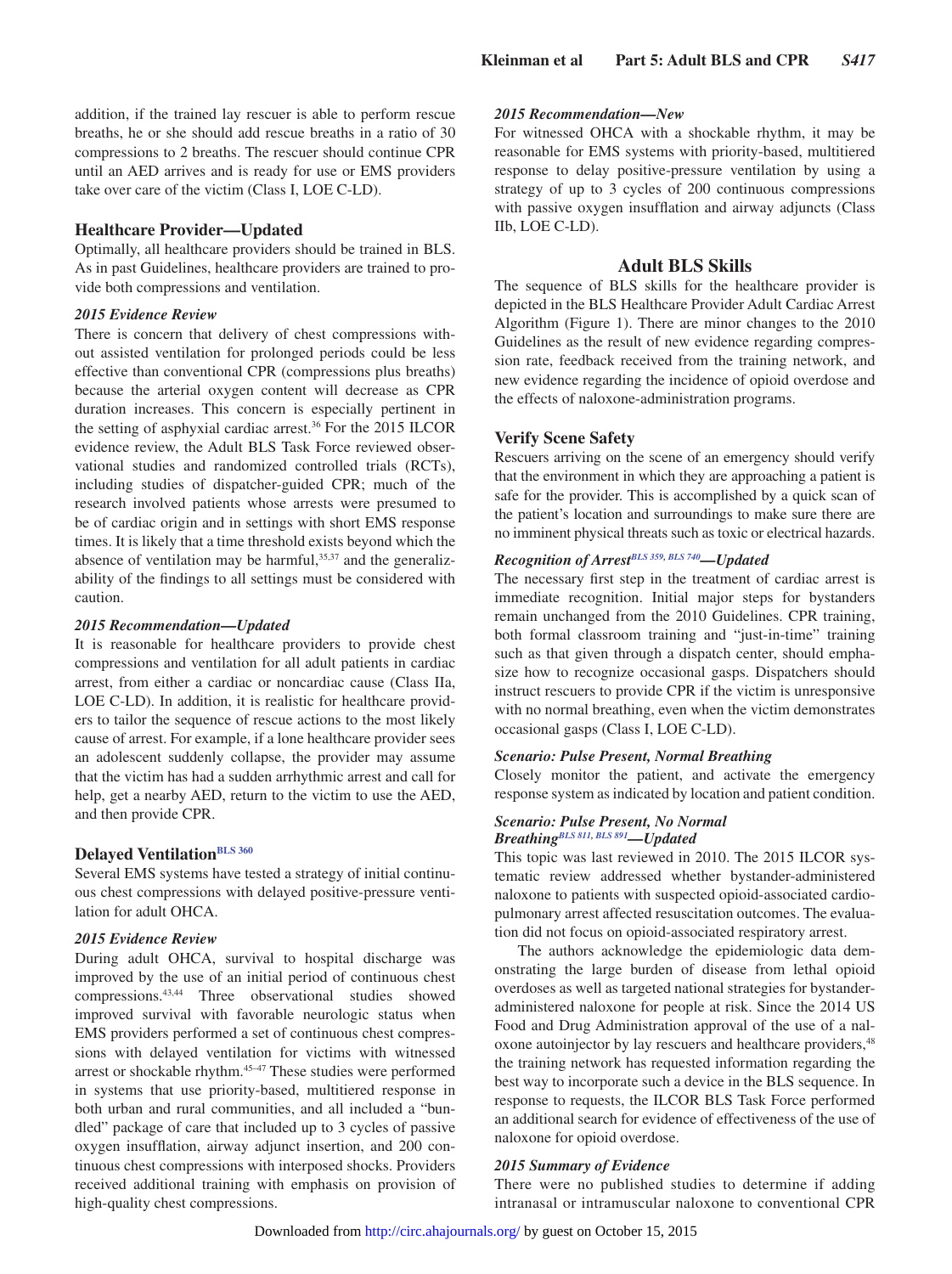addition, if the trained lay rescuer is able to perform rescue breaths, he or she should add rescue breaths in a ratio of 30 compressions to 2 breaths. The rescuer should continue CPR until an AED arrives and is ready for use or EMS providers take over care of the victim (Class I, LOE C-LD).

## **Healthcare Provider—Updated**

Optimally, all healthcare providers should be trained in BLS. As in past Guidelines, healthcare providers are trained to provide both compressions and ventilation.

## *2015 Evidence Review*

There is concern that delivery of chest compressions without assisted ventilation for prolonged periods could be less effective than conventional CPR (compressions plus breaths) because the arterial oxygen content will decrease as CPR duration increases. This concern is especially pertinent in the setting of asphyxial cardiac arrest.36 For the 2015 ILCOR evidence review, the Adult BLS Task Force reviewed observational studies and randomized controlled trials (RCTs), including studies of dispatcher-guided CPR; much of the research involved patients whose arrests were presumed to be of cardiac origin and in settings with short EMS response times. It is likely that a time threshold exists beyond which the absence of ventilation may be harmful, $35,37$  and the generalizability of the findings to all settings must be considered with caution.

#### *2015 Recommendation—Updated*

It is reasonable for healthcare providers to provide chest compressions and ventilation for all adult patients in cardiac arrest, from either a cardiac or noncardiac cause (Class IIa, LOE C-LD). In addition, it is realistic for healthcare providers to tailor the sequence of rescue actions to the most likely cause of arrest. For example, if a lone healthcare provider sees an adolescent suddenly collapse, the provider may assume that the victim has had a sudden arrhythmic arrest and call for help, get a nearby AED, return to the victim to use the AED, and then provide CPR.

## **Delayed Ventilation**BLS 360

Several EMS systems have tested a strategy of initial continuous chest compressions with delayed positive-pressure ventilation for adult OHCA.

## *2015 Evidence Review*

During adult OHCA, survival to hospital discharge was improved by the use of an initial period of continuous chest compressions.43,44 Three observational studies showed improved survival with favorable neurologic status when EMS providers performed a set of continuous chest compressions with delayed ventilation for victims with witnessed arrest or shockable rhythm.<sup>45-47</sup> These studies were performed in systems that use priority-based, multitiered response in both urban and rural communities, and all included a "bundled" package of care that included up to 3 cycles of passive oxygen insufflation, airway adjunct insertion, and 200 continuous chest compressions with interposed shocks. Providers received additional training with emphasis on provision of high-quality chest compressions.

## *2015 Recommendation—New*

For witnessed OHCA with a shockable rhythm, it may be reasonable for EMS systems with priority-based, multitiered response to delay positive-pressure ventilation by using a strategy of up to 3 cycles of 200 continuous compressions with passive oxygen insufflation and airway adjuncts (Class IIb, LOE C-LD).

## **Adult BLS Skills**

The sequence of BLS skills for the healthcare provider is depicted in the BLS Healthcare Provider Adult Cardiac Arrest Algorithm (Figure 1). There are minor changes to the 2010 Guidelines as the result of new evidence regarding compression rate, feedback received from the training network, and new evidence regarding the incidence of opioid overdose and the effects of naloxone-administration programs.

## **Verify Scene Safety**

Rescuers arriving on the scene of an emergency should verify that the environment in which they are approaching a patient is safe for the provider. This is accomplished by a quick scan of the patient's location and surroundings to make sure there are no imminent physical threats such as toxic or electrical hazards.

## *Recognition of Arres[tBLS 359,](https://volunteer.heart.org/apps/pico/Pages/PublicComment.aspx?q=359) [BLS 740—](https://volunteer.heart.org/apps/pico/Pages/PublicComment.aspx?q=740)Updated*

The necessary first step in the treatment of cardiac arrest is immediate recognition. Initial major steps for bystanders remain unchanged from the 2010 Guidelines. CPR training, both formal classroom training and "just-in-time" training such as that given through a dispatch center, should emphasize how to recognize occasional gasps. Dispatchers should instruct rescuers to provide CPR if the victim is unresponsive with no normal breathing, even when the victim demonstrates occasional gasps (Class I, LOE C-LD).

#### *Scenario: Pulse Present, Normal Breathing*

Closely monitor the patient, and activate the emergency response system as indicated by location and patient condition.

#### *Scenario: Pulse Present, No Normal Breathing[BLS 811](https://volunteer.heart.org/apps/pico/Pages/PublicComment.aspx?q=811), [BLS 891](https://volunteer.heart.org/apps/pico/Pages/PublicComment.aspx?q=891)—Updated*

This topic was last reviewed in 2010. The 2015 ILCOR systematic review addressed whether bystander-administered naloxone to patients with suspected opioid-associated cardiopulmonary arrest affected resuscitation outcomes. The evaluation did not focus on opioid-associated respiratory arrest.

The authors acknowledge the epidemiologic data demonstrating the large burden of disease from lethal opioid overdoses as well as targeted national strategies for bystanderadministered naloxone for people at risk. Since the 2014 US Food and Drug Administration approval of the use of a naloxone autoinjector by lay rescuers and healthcare providers, <sup>48</sup> the training network has requested information regarding the best way to incorporate such a device in the BLS sequence. In response to requests, the ILCOR BLS Task Force performed an additional search for evidence of effectiveness of the use of naloxone for opioid overdose.

#### *2015 Summary of Evidence*

There were no published studies to determine if adding intranasal or intramuscular naloxone to conventional CPR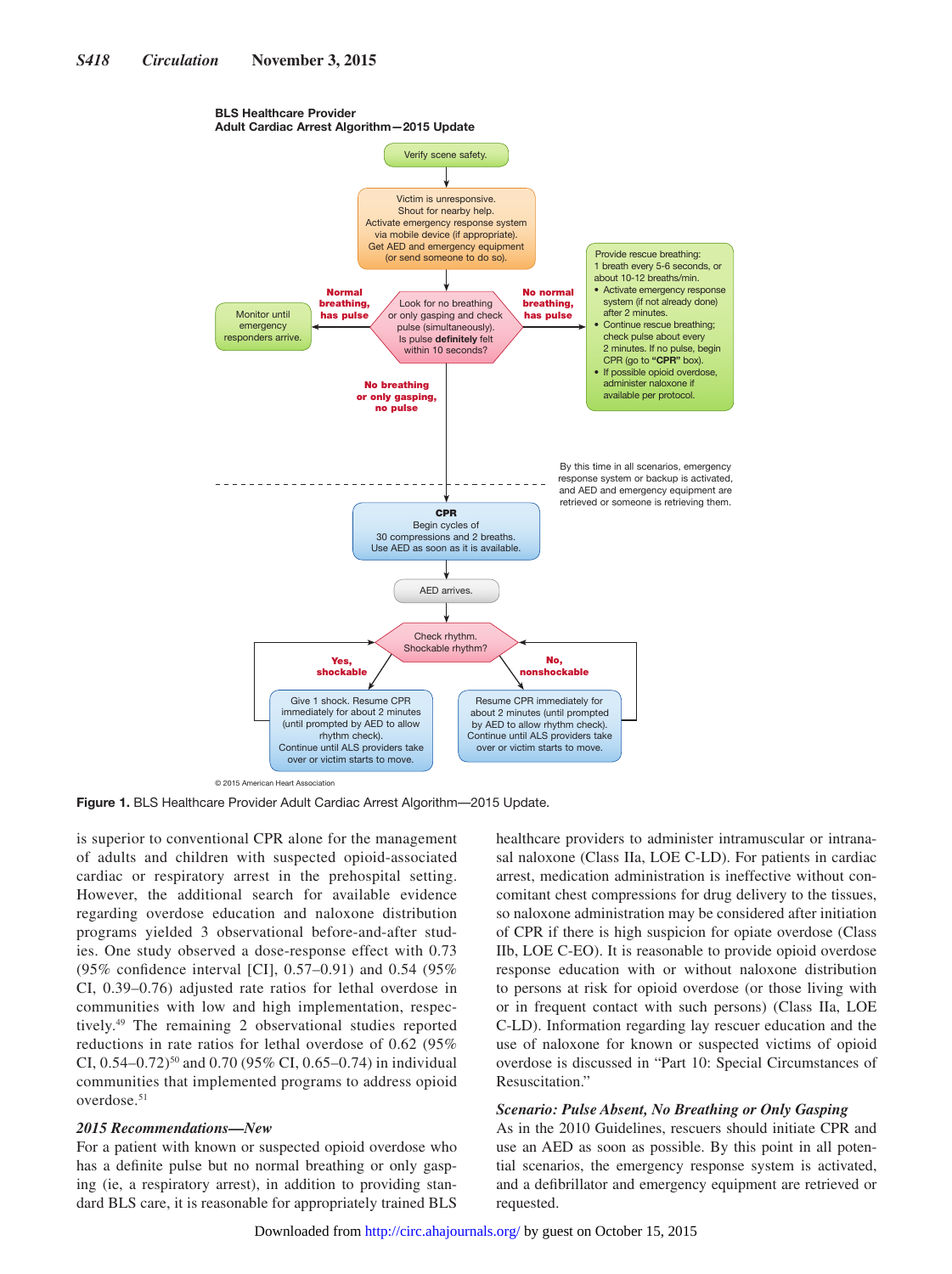#### BLS Healthcare Provider Adult Cardiac Arrest Algorithm—2015 Update



© 2015 American Heart Association

**Figure 1.** BLS Healthcare Provider Adult Cardiac Arrest Algorithm—2015 Update.

is superior to conventional CPR alone for the management of adults and children with suspected opioid-associated cardiac or respiratory arrest in the prehospital setting. However, the additional search for available evidence regarding overdose education and naloxone distribution programs yielded 3 observational before-and-after studies. One study observed a dose-response effect with 0.73 (95% confidence interval [CI], 0.57–0.91) and 0.54 (95% CI, 0.39–0.76) adjusted rate ratios for lethal overdose in communities with low and high implementation, respectively.49 The remaining 2 observational studies reported reductions in rate ratios for lethal overdose of 0.62 (95% CI,  $0.54-0.72$ <sup>50</sup> and  $0.70$  (95% CI, 0.65-0.74) in individual communities that implemented programs to address opioid overdose.51

#### *2015 Recommendations—New*

For a patient with known or suspected opioid overdose who has a definite pulse but no normal breathing or only gasping (ie, a respiratory arrest), in addition to providing standard BLS care, it is reasonable for appropriately trained BLS healthcare providers to administer intramuscular or intranasal naloxone (Class IIa, LOE C-LD). For patients in cardiac arrest, medication administration is ineffective without concomitant chest compressions for drug delivery to the tissues, so naloxone administration may be considered after initiation of CPR if there is high suspicion for opiate overdose (Class IIb, LOE C-EO). It is reasonable to provide opioid overdose response education with or without naloxone distribution to persons at risk for opioid overdose (or those living with or in frequent contact with such persons) (Class IIa, LOE C-LD). Information regarding lay rescuer education and the use of naloxone for known or suspected victims of opioid overdose is discussed in "Part 10: Special Circumstances of Resuscitation."

## *Scenario: Pulse Absent, No Breathing or Only Gasping*

As in the 2010 Guidelines, rescuers should initiate CPR and use an AED as soon as possible. By this point in all potential scenarios, the emergency response system is activated, and a defibrillator and emergency equipment are retrieved or requested.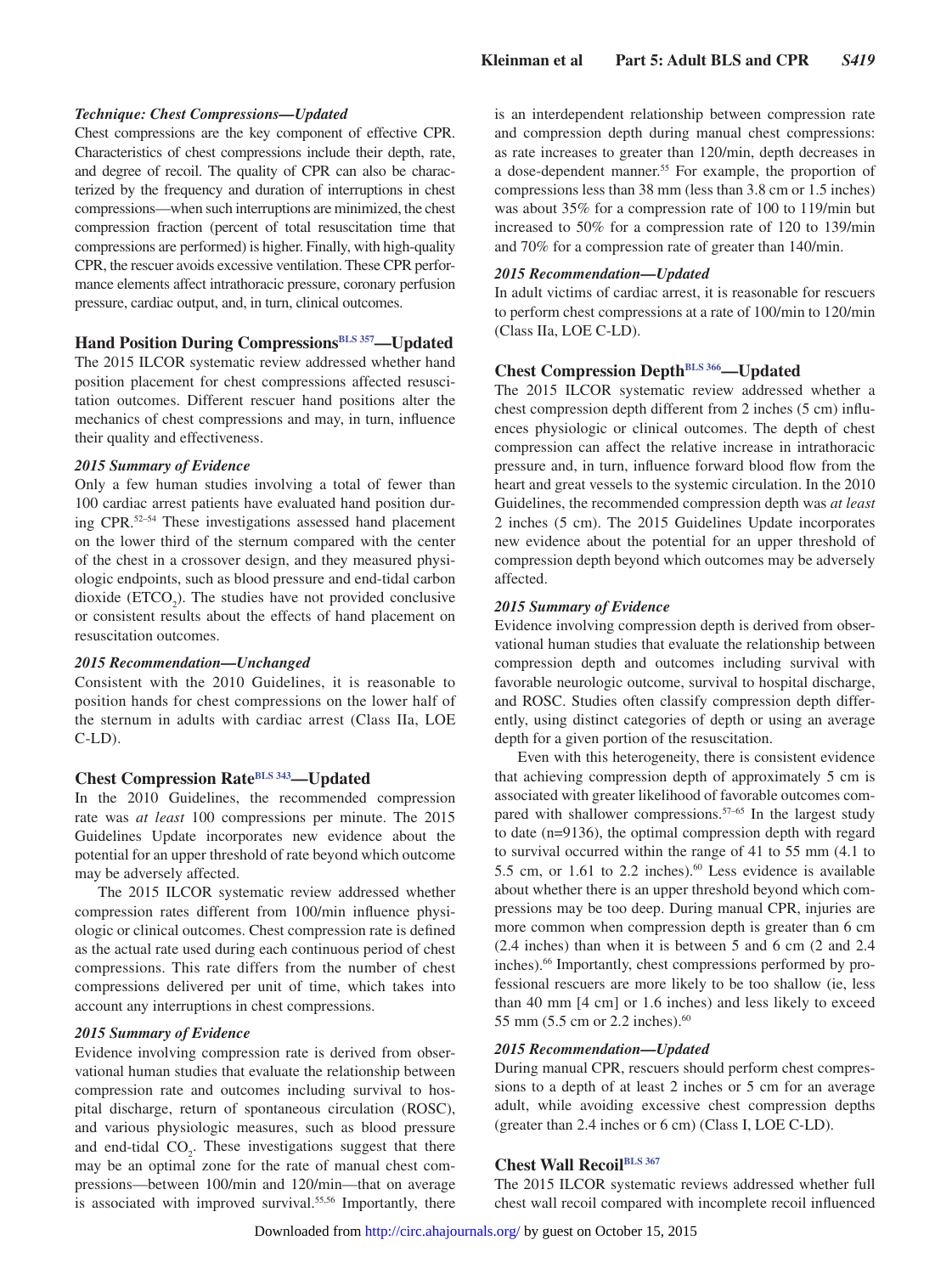#### *Technique: Chest Compressions—Updated*

Chest compressions are the key component of effective CPR. Characteristics of chest compressions include their depth, rate, and degree of recoil. The quality of CPR can also be characterized by the frequency and duration of interruptions in chest compressions—when such interruptions are minimized, the chest compression fraction (percent of total resuscitation time that compressions are performed) is higher. Finally, with high-quality CPR, the rescuer avoids excessive ventilation. These CPR performance elements affect intrathoracic pressure, coronary perfusion pressure, cardiac output, and, in turn, clinical outcomes.

## **Hand Position During Compressions**<sup>BLS 357</sup>—Updated

The 2015 ILCOR systematic review addressed whether hand position placement for chest compressions affected resuscitation outcomes. Different rescuer hand positions alter the mechanics of chest compressions and may, in turn, influence their quality and effectiveness.

#### *2015 Summary of Evidence*

Only a few human studies involving a total of fewer than 100 cardiac arrest patients have evaluated hand position during CPR.52–54 These investigations assessed hand placement on the lower third of the sternum compared with the center of the chest in a crossover design, and they measured physiologic endpoints, such as blood pressure and end-tidal carbon dioxide  $(ETCO<sub>2</sub>)$ . The studies have not provided conclusive or consistent results about the effects of hand placement on resuscitation outcomes.

#### *2015 Recommendation—Unchanged*

Consistent with the 2010 Guidelines, it is reasonable to position hands for chest compressions on the lower half of the sternum in adults with cardiac arrest (Class IIa, LOE  $C-LD$ ).

## **Chest Compression Rate[BLS 343—](https://volunteer.heart.org/apps/pico/Pages/PublicComment.aspx?q=343)Updated**

In the 2010 Guidelines, the recommended compression rate was *at least* 100 compressions per minute. The 2015 Guidelines Update incorporates new evidence about the potential for an upper threshold of rate beyond which outcome may be adversely affected.

The 2015 ILCOR systematic review addressed whether compression rates different from 100/min influence physiologic or clinical outcomes. Chest compression rate is defined as the actual rate used during each continuous period of chest compressions. This rate differs from the number of chest compressions delivered per unit of time, which takes into account any interruptions in chest compressions.

#### *2015 Summary of Evidence*

Evidence involving compression rate is derived from observational human studies that evaluate the relationship between compression rate and outcomes including survival to hospital discharge, return of spontaneous circulation (ROSC), and various physiologic measures, such as blood pressure and end-tidal  $CO<sub>2</sub>$ . These investigations suggest that there may be an optimal zone for the rate of manual chest compressions—between 100/min and 120/min—that on average is associated with improved survival.<sup>55,56</sup> Importantly, there

is an interdependent relationship between compression rate and compression depth during manual chest compressions: as rate increases to greater than 120/min, depth decreases in a dose-dependent manner.<sup>55</sup> For example, the proportion of compressions less than 38 mm (less than 3.8 cm or 1.5 inches) was about 35% for a compression rate of 100 to 119/min but increased to 50% for a compression rate of 120 to 139/min and 70% for a compression rate of greater than 140/min.

#### *2015 Recommendation—Updated*

In adult victims of cardiac arrest, it is reasonable for rescuers to perform chest compressions at a rate of 100/min to 120/min (Class IIa, LOE C-LD).

## **Chest Compression Depth<sup>BLS 366</sup>—Updated**

The 2015 ILCOR systematic review addressed whether a chest compression depth different from 2 inches (5 cm) influences physiologic or clinical outcomes. The depth of chest compression can affect the relative increase in intrathoracic pressure and, in turn, influence forward blood flow from the heart and great vessels to the systemic circulation. In the 2010 Guidelines, the recommended compression depth was *at least* 2 inches (5 cm). The 2015 Guidelines Update incorporates new evidence about the potential for an upper threshold of compression depth beyond which outcomes may be adversely affected.

#### *2015 Summary of Evidence*

Evidence involving compression depth is derived from observational human studies that evaluate the relationship between compression depth and outcomes including survival with favorable neurologic outcome, survival to hospital discharge, and ROSC. Studies often classify compression depth differently, using distinct categories of depth or using an average depth for a given portion of the resuscitation.

Even with this heterogeneity, there is consistent evidence that achieving compression depth of approximately 5 cm is associated with greater likelihood of favorable outcomes compared with shallower compressions.<sup>57-65</sup> In the largest study to date (n=9136), the optimal compression depth with regard to survival occurred within the range of 41 to 55 mm (4.1 to 5.5 cm, or 1.61 to 2.2 inches).<sup>60</sup> Less evidence is available about whether there is an upper threshold beyond which compressions may be too deep. During manual CPR, injuries are more common when compression depth is greater than 6 cm (2.4 inches) than when it is between 5 and 6 cm (2 and 2.4 inches).66 Importantly, chest compressions performed by professional rescuers are more likely to be too shallow (ie, less than 40 mm [4 cm] or 1.6 inches) and less likely to exceed 55 mm (5.5 cm or 2.2 inches).60

#### *2015 Recommendation—Updated*

During manual CPR, rescuers should perform chest compressions to a depth of at least 2 inches or 5 cm for an average adult, while avoiding excessive chest compression depths (greater than 2.4 inches or 6 cm) (Class I, LOE C-LD).

## **Chest Wall Recoi[lBLS 367](https://volunteer.heart.org/apps/pico/Pages/PublicComment.aspx?q=367)**

The 2015 ILCOR systematic reviews addressed whether full chest wall recoil compared with incomplete recoil influenced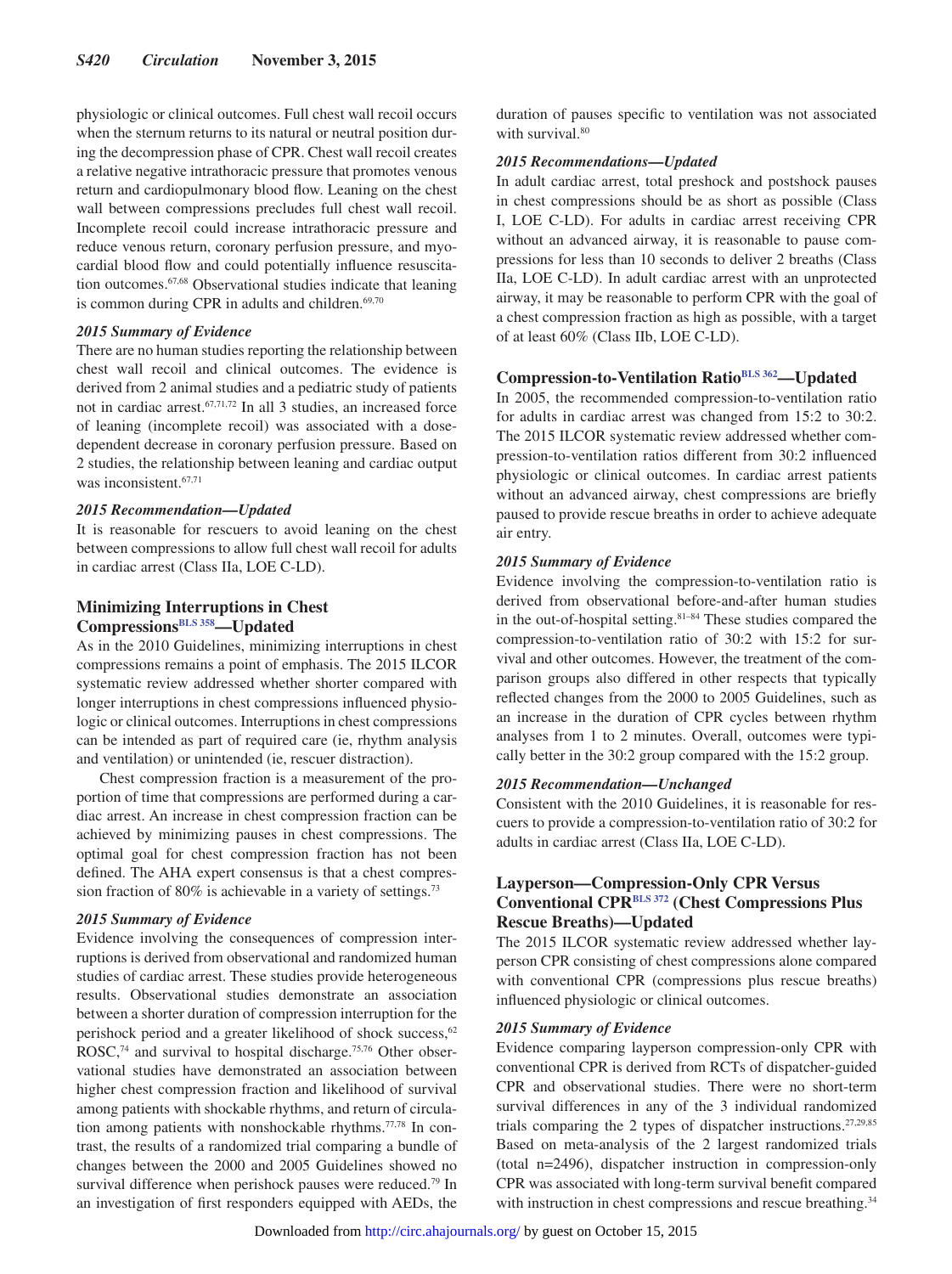physiologic or clinical outcomes. Full chest wall recoil occurs when the sternum returns to its natural or neutral position during the decompression phase of CPR. Chest wall recoil creates a relative negative intrathoracic pressure that promotes venous return and cardiopulmonary blood flow. Leaning on the chest wall between compressions precludes full chest wall recoil. Incomplete recoil could increase intrathoracic pressure and reduce venous return, coronary perfusion pressure, and myocardial blood flow and could potentially influence resuscitation outcomes.67,68 Observational studies indicate that leaning is common during CPR in adults and children. $69,70$ 

#### *2015 Summary of Evidence*

There are no human studies reporting the relationship between chest wall recoil and clinical outcomes. The evidence is derived from 2 animal studies and a pediatric study of patients not in cardiac arrest.67,71,72 In all 3 studies, an increased force of leaning (incomplete recoil) was associated with a dosedependent decrease in coronary perfusion pressure. Based on 2 studies, the relationship between leaning and cardiac output was inconsistent.<sup>67,71</sup>

## *2015 Recommendation—Updated*

It is reasonable for rescuers to avoid leaning on the chest between compressions to allow full chest wall recoil for adults in cardiac arrest (Class IIa, LOE C-LD).

## **Minimizing Interruptions in Chest Compressions[BLS 358](https://volunteer.heart.org/apps/pico/Pages/PublicComment.aspx?q=358)—Updated**

As in the 2010 Guidelines, minimizing interruptions in chest compressions remains a point of emphasis. The 2015 ILCOR systematic review addressed whether shorter compared with longer interruptions in chest compressions influenced physiologic or clinical outcomes. Interruptions in chest compressions can be intended as part of required care (ie, rhythm analysis and ventilation) or unintended (ie, rescuer distraction).

Chest compression fraction is a measurement of the proportion of time that compressions are performed during a cardiac arrest. An increase in chest compression fraction can be achieved by minimizing pauses in chest compressions. The optimal goal for chest compression fraction has not been defined. The AHA expert consensus is that a chest compression fraction of 80% is achievable in a variety of settings.<sup>73</sup>

#### *2015 Summary of Evidence*

Evidence involving the consequences of compression interruptions is derived from observational and randomized human studies of cardiac arrest. These studies provide heterogeneous results. Observational studies demonstrate an association between a shorter duration of compression interruption for the perishock period and a greater likelihood of shock success,<sup>62</sup> ROSC,<sup>74</sup> and survival to hospital discharge.<sup>75,76</sup> Other observational studies have demonstrated an association between higher chest compression fraction and likelihood of survival among patients with shockable rhythms, and return of circulation among patients with nonshockable rhythms.77,78 In contrast, the results of a randomized trial comparing a bundle of changes between the 2000 and 2005 Guidelines showed no survival difference when perishock pauses were reduced.<sup>79</sup> In an investigation of first responders equipped with AEDs, the duration of pauses specific to ventilation was not associated with survival.<sup>80</sup>

## *2015 Recommendations—Updated*

In adult cardiac arrest, total preshock and postshock pauses in chest compressions should be as short as possible (Class I, LOE C-LD). For adults in cardiac arrest receiving CPR without an advanced airway, it is reasonable to pause compressions for less than 10 seconds to deliver 2 breaths (Class IIa, LOE C-LD). In adult cardiac arrest with an unprotected airway, it may be reasonable to perform CPR with the goal of a chest compression fraction as high as possible, with a target of at least 60% (Class IIb, LOE C-LD).

## **Compression-to-Ventilation Ratio[BLS 362—](https://volunteer.heart.org/apps/pico/Pages/PublicComment.aspx?q=362)Updated**

In 2005, the recommended compression-to-ventilation ratio for adults in cardiac arrest was changed from 15:2 to 30:2. The 2015 ILCOR systematic review addressed whether compression-to-ventilation ratios different from 30:2 influenced physiologic or clinical outcomes. In cardiac arrest patients without an advanced airway, chest compressions are briefly paused to provide rescue breaths in order to achieve adequate air entry.

#### *2015 Summary of Evidence*

Evidence involving the compression-to-ventilation ratio is derived from observational before-and-after human studies in the out-of-hospital setting.<sup>81-84</sup> These studies compared the compression-to-ventilation ratio of 30:2 with 15:2 for survival and other outcomes. However, the treatment of the comparison groups also differed in other respects that typically reflected changes from the 2000 to 2005 Guidelines, such as an increase in the duration of CPR cycles between rhythm analyses from 1 to 2 minutes. Overall, outcomes were typically better in the 30:2 group compared with the 15:2 group.

#### *2015 Recommendation—Unchanged*

Consistent with the 2010 Guidelines, it is reasonable for rescuers to provide a compression-to-ventilation ratio of 30:2 for adults in cardiac arrest (Class IIa, LOE C-LD).

## **Layperson—Compression-Only CPR Versus Conventional CPR[BLS 372](https://volunteer.heart.org/apps/pico/Pages/PublicComment.aspx?q=372) (Chest Compressions Plus Rescue Breaths)—Updated**

The 2015 ILCOR systematic review addressed whether layperson CPR consisting of chest compressions alone compared with conventional CPR (compressions plus rescue breaths) influenced physiologic or clinical outcomes.

## *2015 Summary of Evidence*

Evidence comparing layperson compression-only CPR with conventional CPR is derived from RCTs of dispatcher-guided CPR and observational studies. There were no short-term survival differences in any of the 3 individual randomized trials comparing the 2 types of dispatcher instructions.27,29,85 Based on meta-analysis of the 2 largest randomized trials (total n=2496), dispatcher instruction in compression-only CPR was associated with long-term survival benefit compared with instruction in chest compressions and rescue breathing.<sup>34</sup>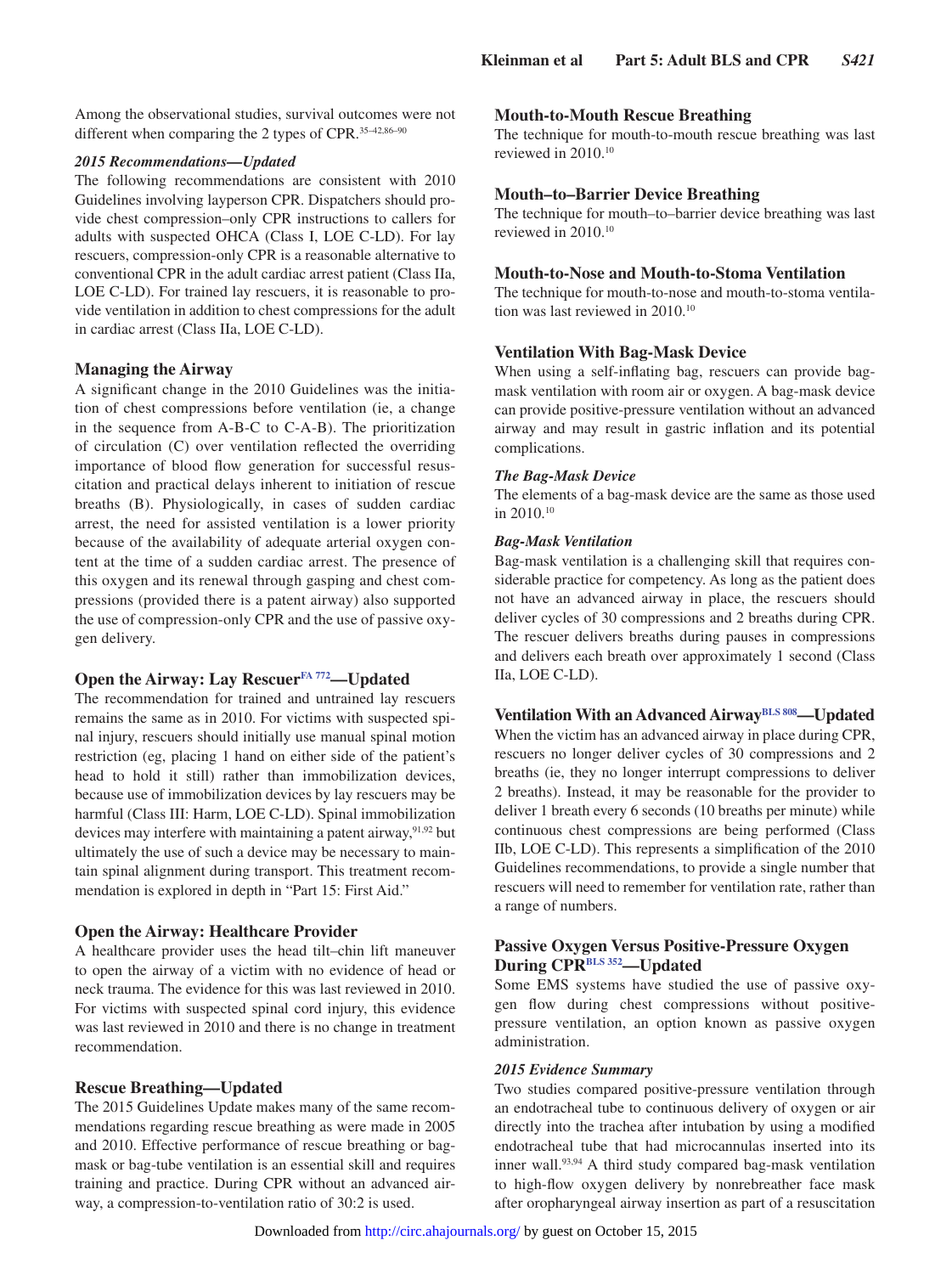Among the observational studies, survival outcomes were not different when comparing the 2 types of CPR.<sup>35-42,86-90</sup>

## *2015 Recommendations—Updated*

The following recommendations are consistent with 2010 Guidelines involving layperson CPR. Dispatchers should provide chest compression–only CPR instructions to callers for adults with suspected OHCA (Class I, LOE C-LD). For lay rescuers, compression-only CPR is a reasonable alternative to conventional CPR in the adult cardiac arrest patient (Class IIa, LOE C-LD). For trained lay rescuers, it is reasonable to provide ventilation in addition to chest compressions for the adult in cardiac arrest (Class IIa, LOE C-LD).

## **Managing the Airway**

A significant change in the 2010 Guidelines was the initiation of chest compressions before ventilation (ie, a change in the sequence from A-B-C to C-A-B). The prioritization of circulation (C) over ventilation reflected the overriding importance of blood flow generation for successful resuscitation and practical delays inherent to initiation of rescue breaths (B). Physiologically, in cases of sudden cardiac arrest, the need for assisted ventilation is a lower priority because of the availability of adequate arterial oxygen content at the time of a sudden cardiac arrest. The presence of this oxygen and its renewal through gasping and chest compressions (provided there is a patent airway) also supported the use of compression-only CPR and the use of passive oxygen delivery.

## **Open the Airway: Lay Rescuer[FA 772](https://volunteer.heart.org/apps/pico/Pages/PublicComment.aspx?q=772)—Updated**

The recommendation for trained and untrained lay rescuers remains the same as in 2010. For victims with suspected spinal injury, rescuers should initially use manual spinal motion restriction (eg, placing 1 hand on either side of the patient's head to hold it still) rather than immobilization devices, because use of immobilization devices by lay rescuers may be harmful (Class III: Harm, LOE C-LD). Spinal immobilization devices may interfere with maintaining a patent airway,<sup>91,92</sup> but ultimately the use of such a device may be necessary to maintain spinal alignment during transport. This treatment recommendation is explored in depth in "Part 15: First Aid."

## **Open the Airway: Healthcare Provider**

A healthcare provider uses the head tilt–chin lift maneuver to open the airway of a victim with no evidence of head or neck trauma. The evidence for this was last reviewed in 2010. For victims with suspected spinal cord injury, this evidence was last reviewed in 2010 and there is no change in treatment recommendation.

## **Rescue Breathing—Updated**

The 2015 Guidelines Update makes many of the same recommendations regarding rescue breathing as were made in 2005 and 2010. Effective performance of rescue breathing or bagmask or bag-tube ventilation is an essential skill and requires training and practice. During CPR without an advanced airway, a compression-to-ventilation ratio of 30:2 is used.

## **Mouth-to-Mouth Rescue Breathing**

The technique for mouth-to-mouth rescue breathing was last reviewed in 2010.10

## **Mouth–to–Barrier Device Breathing**

The technique for mouth–to–barrier device breathing was last reviewed in 2010.10

## **Mouth-to-Nose and Mouth-to-Stoma Ventilation**

The technique for mouth-to-nose and mouth-to-stoma ventilation was last reviewed in 2010.10

#### **Ventilation With Bag-Mask Device**

When using a self-inflating bag, rescuers can provide bagmask ventilation with room air or oxygen. A bag-mask device can provide positive-pressure ventilation without an advanced airway and may result in gastric inflation and its potential complications.

#### *The Bag-Mask Device*

The elements of a bag-mask device are the same as those used in 2010.10

#### *Bag-Mask Ventilation*

Bag-mask ventilation is a challenging skill that requires considerable practice for competency. As long as the patient does not have an advanced airway in place, the rescuers should deliver cycles of 30 compressions and 2 breaths during CPR. The rescuer delivers breaths during pauses in compressions and delivers each breath over approximately 1 second (Class IIa, LOE C-LD).

## **Ventilation With an Advanced Airway**<sup>BLS 808</sup>—**Updated**

When the victim has an advanced airway in place during CPR, rescuers no longer deliver cycles of 30 compressions and 2 breaths (ie, they no longer interrupt compressions to deliver 2 breaths). Instead, it may be reasonable for the provider to deliver 1 breath every 6 seconds (10 breaths per minute) while continuous chest compressions are being performed (Class IIb, LOE C-LD). This represents a simplification of the 2010 Guidelines recommendations, to provide a single number that rescuers will need to remember for ventilation rate, rather than a range of numbers.

## **Passive Oxygen Versus Positive-Pressure Oxygen During CP[RBLS 352—](https://volunteer.heart.org/apps/pico/Pages/PublicComment.aspx?q=352)Updated**

Some EMS systems have studied the use of passive oxygen flow during chest compressions without positivepressure ventilation, an option known as passive oxygen administration.

## *2015 Evidence Summary*

Two studies compared positive-pressure ventilation through an endotracheal tube to continuous delivery of oxygen or air directly into the trachea after intubation by using a modified endotracheal tube that had microcannulas inserted into its inner wall.<sup>93,94</sup> A third study compared bag-mask ventilation to high-flow oxygen delivery by nonrebreather face mask after oropharyngeal airway insertion as part of a resuscitation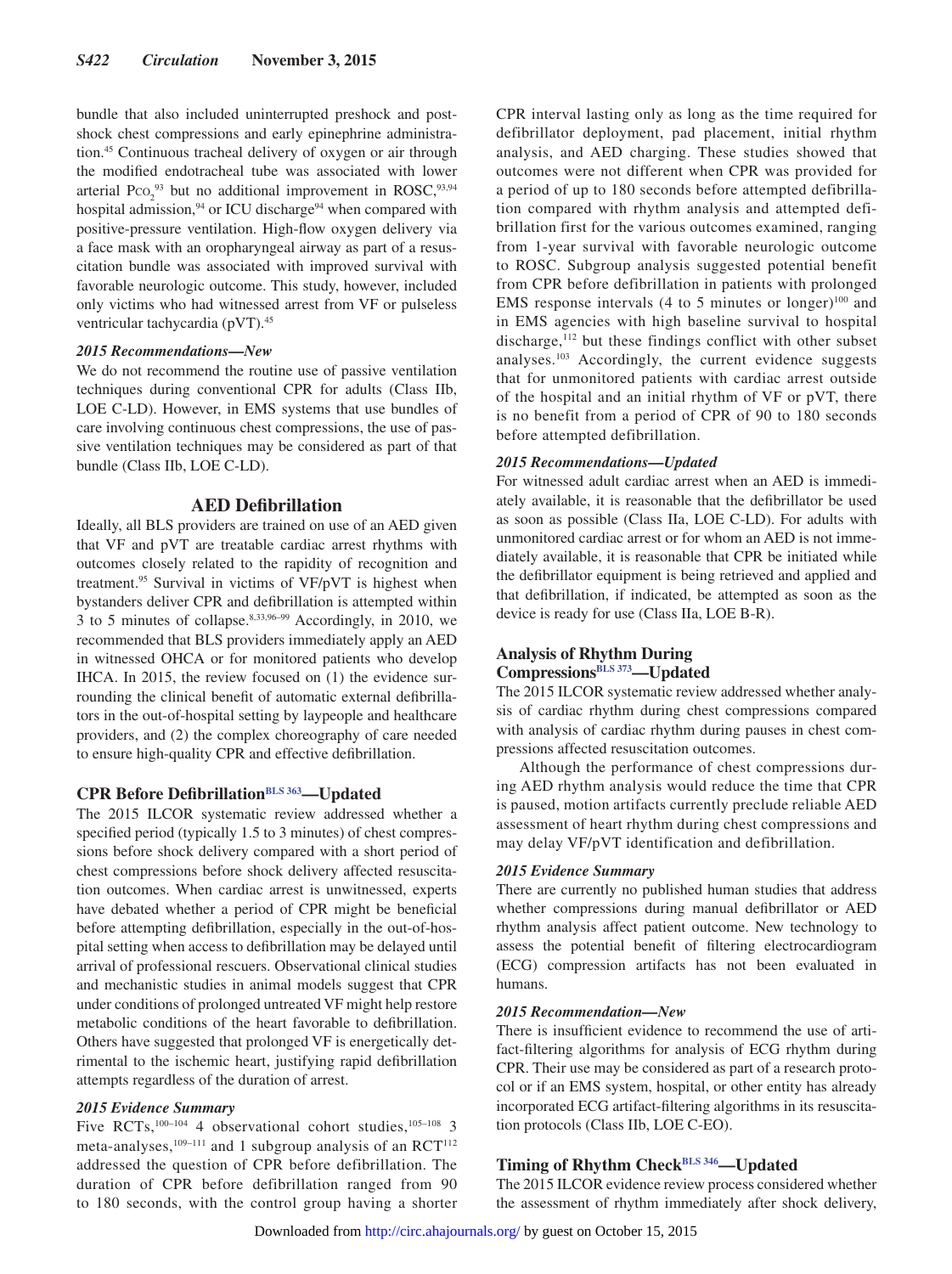bundle that also included uninterrupted preshock and postshock chest compressions and early epinephrine administration.45 Continuous tracheal delivery of oxygen or air through the modified endotracheal tube was associated with lower arterial  $P_{\text{CO}_2}^{93}$  but no additional improvement in ROSC,  $93,94$ hospital admission,<sup>94</sup> or ICU discharge<sup>94</sup> when compared with positive-pressure ventilation. High-flow oxygen delivery via a face mask with an oropharyngeal airway as part of a resuscitation bundle was associated with improved survival with favorable neurologic outcome. This study, however, included only victims who had witnessed arrest from VF or pulseless ventricular tachycardia (pVT).45

#### *2015 Recommendations—New*

We do not recommend the routine use of passive ventilation techniques during conventional CPR for adults (Class IIb, LOE C-LD). However, in EMS systems that use bundles of care involving continuous chest compressions, the use of passive ventilation techniques may be considered as part of that bundle (Class IIb, LOE C-LD).

## **AED Defibrillation**

Ideally, all BLS providers are trained on use of an AED given that VF and pVT are treatable cardiac arrest rhythms with outcomes closely related to the rapidity of recognition and treatment.95 Survival in victims of VF/pVT is highest when bystanders deliver CPR and defibrillation is attempted within 3 to 5 minutes of collapse.8,33,96–99 Accordingly, in 2010, we recommended that BLS providers immediately apply an AED in witnessed OHCA or for monitored patients who develop IHCA. In 2015, the review focused on (1) the evidence surrounding the clinical benefit of automatic external defibrillators in the out-of-hospital setting by laypeople and healthcare providers, and (2) the complex choreography of care needed to ensure high-quality CPR and effective defibrillation.

## **CPR Before Defibrillation**<sup>BLS 363</sup>—Updated

The 2015 ILCOR systematic review addressed whether a specified period (typically 1.5 to 3 minutes) of chest compressions before shock delivery compared with a short period of chest compressions before shock delivery affected resuscitation outcomes. When cardiac arrest is unwitnessed, experts have debated whether a period of CPR might be beneficial before attempting defibrillation, especially in the out-of-hospital setting when access to defibrillation may be delayed until arrival of professional rescuers. Observational clinical studies and mechanistic studies in animal models suggest that CPR under conditions of prolonged untreated VF might help restore metabolic conditions of the heart favorable to defibrillation. Others have suggested that prolonged VF is energetically detrimental to the ischemic heart, justifying rapid defibrillation attempts regardless of the duration of arrest.

#### *2015 Evidence Summary*

Five RCTs,<sup>100–104</sup> 4 observational cohort studies,<sup>105–108</sup> 3 meta-analyses,<sup>109–111</sup> and 1 subgroup analysis of an  $RCT^{112}$ addressed the question of CPR before defibrillation. The duration of CPR before defibrillation ranged from 90 to 180 seconds, with the control group having a shorter CPR interval lasting only as long as the time required for defibrillator deployment, pad placement, initial rhythm analysis, and AED charging. These studies showed that outcomes were not different when CPR was provided for a period of up to 180 seconds before attempted defibrillation compared with rhythm analysis and attempted defibrillation first for the various outcomes examined, ranging from 1-year survival with favorable neurologic outcome to ROSC. Subgroup analysis suggested potential benefit from CPR before defibrillation in patients with prolonged EMS response intervals  $(4 \text{ to } 5 \text{ minutes or longer})^{100}$  and in EMS agencies with high baseline survival to hospital discharge,<sup>112</sup> but these findings conflict with other subset analyses.103 Accordingly, the current evidence suggests that for unmonitored patients with cardiac arrest outside of the hospital and an initial rhythm of VF or pVT, there is no benefit from a period of CPR of 90 to 180 seconds before attempted defibrillation.

#### *2015 Recommendations—Updated*

For witnessed adult cardiac arrest when an AED is immediately available, it is reasonable that the defibrillator be used as soon as possible (Class IIa, LOE C-LD). For adults with unmonitored cardiac arrest or for whom an AED is not immediately available, it is reasonable that CPR be initiated while the defibrillator equipment is being retrieved and applied and that defibrillation, if indicated, be attempted as soon as the device is ready for use (Class IIa, LOE B-R).

## **Analysis of Rhythm During**

## **Compressions[BLS 373](https://volunteer.heart.org/apps/pico/Pages/PublicComment.aspx?q=373)—Updated**

The 2015 ILCOR systematic review addressed whether analysis of cardiac rhythm during chest compressions compared with analysis of cardiac rhythm during pauses in chest compressions affected resuscitation outcomes.

Although the performance of chest compressions during AED rhythm analysis would reduce the time that CPR is paused, motion artifacts currently preclude reliable AED assessment of heart rhythm during chest compressions and may delay VF/pVT identification and defibrillation.

#### *2015 Evidence Summary*

There are currently no published human studies that address whether compressions during manual defibrillator or AED rhythm analysis affect patient outcome. New technology to assess the potential benefit of filtering electrocardiogram (ECG) compression artifacts has not been evaluated in humans.

## *2015 Recommendation—New*

There is insufficient evidence to recommend the use of artifact-filtering algorithms for analysis of ECG rhythm during CPR. Their use may be considered as part of a research protocol or if an EMS system, hospital, or other entity has already incorporated ECG artifact-filtering algorithms in its resuscitation protocols (Class IIb, LOE C-EO).

## **Timing of Rhythm Chec[kBLS 346—](https://volunteer.heart.org/apps/pico/Pages/PublicComment.aspx?q=346)Updated**

The 2015 ILCOR evidence review process considered whether the assessment of rhythm immediately after shock delivery,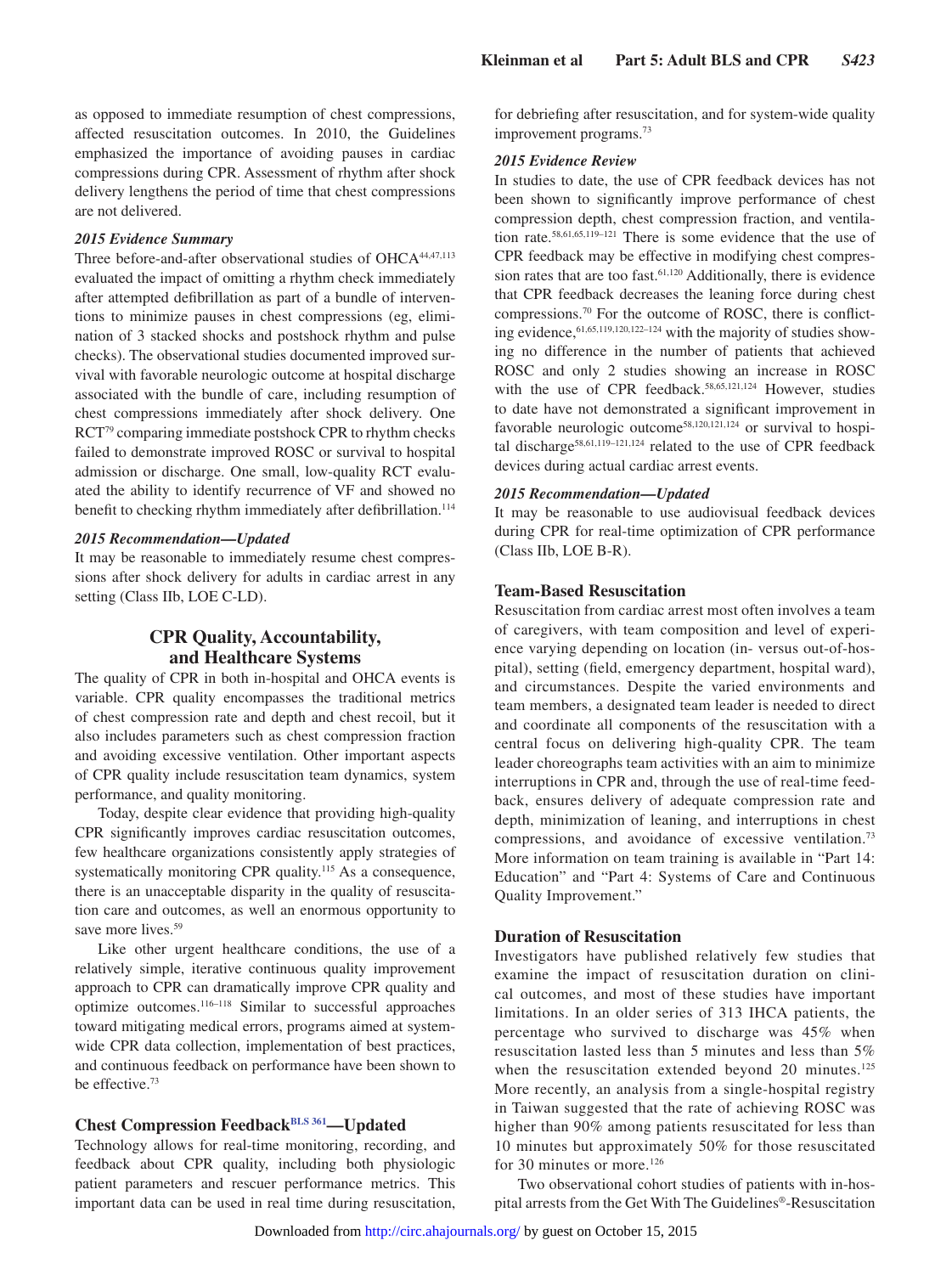as opposed to immediate resumption of chest compressions, affected resuscitation outcomes. In 2010, the Guidelines emphasized the importance of avoiding pauses in cardiac compressions during CPR. Assessment of rhythm after shock delivery lengthens the period of time that chest compressions are not delivered.

## *2015 Evidence Summary*

Three before-and-after observational studies of OHCA<sup>44,47,113</sup> evaluated the impact of omitting a rhythm check immediately after attempted defibrillation as part of a bundle of interventions to minimize pauses in chest compressions (eg, elimination of 3 stacked shocks and postshock rhythm and pulse checks). The observational studies documented improved survival with favorable neurologic outcome at hospital discharge associated with the bundle of care, including resumption of chest compressions immediately after shock delivery. One RCT79 comparing immediate postshock CPR to rhythm checks failed to demonstrate improved ROSC or survival to hospital admission or discharge. One small, low-quality RCT evaluated the ability to identify recurrence of VF and showed no benefit to checking rhythm immediately after defibrillation.<sup>114</sup>

#### *2015 Recommendation—Updated*

It may be reasonable to immediately resume chest compressions after shock delivery for adults in cardiac arrest in any setting (Class IIb, LOE C-LD).

## **CPR Quality, Accountability, and Healthcare Systems**

The quality of CPR in both in-hospital and OHCA events is variable. CPR quality encompasses the traditional metrics of chest compression rate and depth and chest recoil, but it also includes parameters such as chest compression fraction and avoiding excessive ventilation. Other important aspects of CPR quality include resuscitation team dynamics, system performance, and quality monitoring.

Today, despite clear evidence that providing high-quality CPR significantly improves cardiac resuscitation outcomes, few healthcare organizations consistently apply strategies of systematically monitoring CPR quality.<sup>115</sup> As a consequence, there is an unacceptable disparity in the quality of resuscitation care and outcomes, as well an enormous opportunity to save more lives.<sup>59</sup>

Like other urgent healthcare conditions, the use of a relatively simple, iterative continuous quality improvement approach to CPR can dramatically improve CPR quality and optimize outcomes.116–118 Similar to successful approaches toward mitigating medical errors, programs aimed at systemwide CPR data collection, implementation of best practices, and continuous feedback on performance have been shown to be effective.73

## **Chest Compression Feedback[BLS 361—](https://volunteer.heart.org/apps/pico/Pages/PublicComment.aspx?q=361)Updated**

Technology allows for real-time monitoring, recording, and feedback about CPR quality, including both physiologic patient parameters and rescuer performance metrics. This important data can be used in real time during resuscitation, for debriefing after resuscitation, and for system-wide quality improvement programs.73

#### *2015 Evidence Review*

In studies to date, the use of CPR feedback devices has not been shown to significantly improve performance of chest compression depth, chest compression fraction, and ventilation rate.58,61,65,119–121 There is some evidence that the use of CPR feedback may be effective in modifying chest compression rates that are too fast.<sup>61,120</sup> Additionally, there is evidence that CPR feedback decreases the leaning force during chest compressions.70 For the outcome of ROSC, there is conflicting evidence, <sup>61,65,119,120,122-124</sup> with the majority of studies showing no difference in the number of patients that achieved ROSC and only 2 studies showing an increase in ROSC with the use of CPR feedback.<sup>58,65,121,124</sup> However, studies to date have not demonstrated a significant improvement in favorable neurologic outcome<sup>58,120,121,124</sup> or survival to hospital discharge<sup>58,61,119-121,124</sup> related to the use of CPR feedback devices during actual cardiac arrest events.

#### *2015 Recommendation—Updated*

It may be reasonable to use audiovisual feedback devices during CPR for real-time optimization of CPR performance (Class IIb, LOE B-R).

## **Team-Based Resuscitation**

Resuscitation from cardiac arrest most often involves a team of caregivers, with team composition and level of experience varying depending on location (in- versus out-of-hospital), setting (field, emergency department, hospital ward), and circumstances. Despite the varied environments and team members, a designated team leader is needed to direct and coordinate all components of the resuscitation with a central focus on delivering high-quality CPR. The team leader choreographs team activities with an aim to minimize interruptions in CPR and, through the use of real-time feedback, ensures delivery of adequate compression rate and depth, minimization of leaning, and interruptions in chest compressions, and avoidance of excessive ventilation.73 More information on team training is available in "Part 14: Education" and "Part 4: Systems of Care and Continuous Quality Improvement."

## **Duration of Resuscitation**

Investigators have published relatively few studies that examine the impact of resuscitation duration on clinical outcomes, and most of these studies have important limitations. In an older series of 313 IHCA patients, the percentage who survived to discharge was 45% when resuscitation lasted less than 5 minutes and less than 5% when the resuscitation extended beyond 20 minutes.<sup>125</sup> More recently, an analysis from a single-hospital registry in Taiwan suggested that the rate of achieving ROSC was higher than 90% among patients resuscitated for less than 10 minutes but approximately 50% for those resuscitated for 30 minutes or more.<sup>126</sup>

Two observational cohort studies of patients with in-hospital arrests from the Get With The Guidelines®-Resuscitation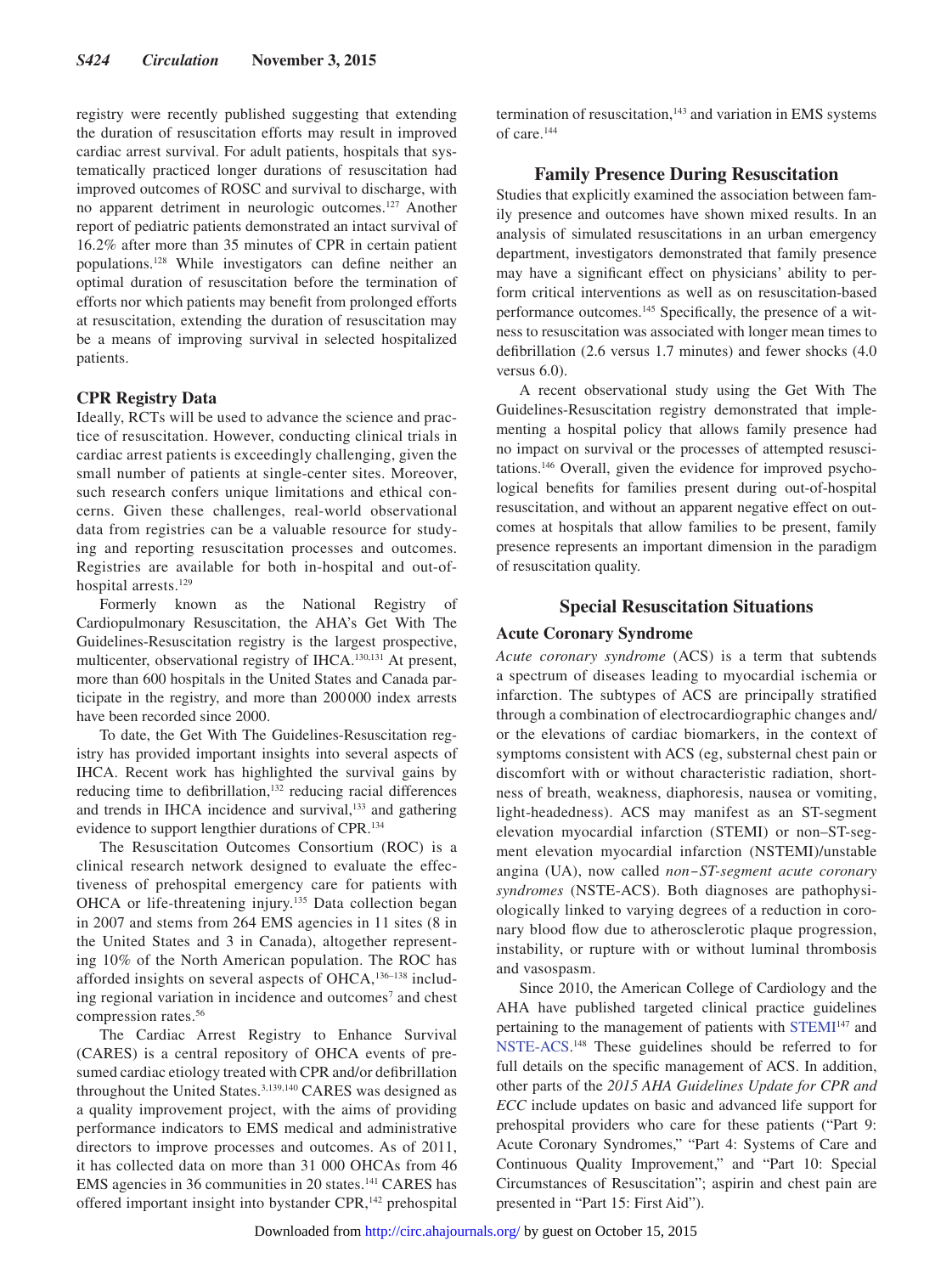registry were recently published suggesting that extending the duration of resuscitation efforts may result in improved cardiac arrest survival. For adult patients, hospitals that systematically practiced longer durations of resuscitation had improved outcomes of ROSC and survival to discharge, with no apparent detriment in neurologic outcomes.127 Another report of pediatric patients demonstrated an intact survival of 16.2% after more than 35 minutes of CPR in certain patient populations.128 While investigators can define neither an optimal duration of resuscitation before the termination of efforts nor which patients may benefit from prolonged efforts at resuscitation, extending the duration of resuscitation may be a means of improving survival in selected hospitalized patients.

## **CPR Registry Data**

Ideally, RCTs will be used to advance the science and practice of resuscitation. However, conducting clinical trials in cardiac arrest patients is exceedingly challenging, given the small number of patients at single-center sites. Moreover, such research confers unique limitations and ethical concerns. Given these challenges, real-world observational data from registries can be a valuable resource for studying and reporting resuscitation processes and outcomes. Registries are available for both in-hospital and out-ofhospital arrests.<sup>129</sup>

Formerly known as the National Registry of Cardiopulmonary Resuscitation, the AHA's Get With The Guidelines-Resuscitation registry is the largest prospective, multicenter, observational registry of IHCA.130,131 At present, more than 600 hospitals in the United States and Canada participate in the registry, and more than 200000 index arrests have been recorded since 2000.

To date, the Get With The Guidelines-Resuscitation registry has provided important insights into several aspects of IHCA. Recent work has highlighted the survival gains by reducing time to defibrillation,<sup>132</sup> reducing racial differences and trends in IHCA incidence and survival,<sup>133</sup> and gathering evidence to support lengthier durations of CPR.134

The Resuscitation Outcomes Consortium (ROC) is a clinical research network designed to evaluate the effectiveness of prehospital emergency care for patients with OHCA or life-threatening injury.135 Data collection began in 2007 and stems from 264 EMS agencies in 11 sites (8 in the United States and 3 in Canada), altogether representing 10% of the North American population. The ROC has afforded insights on several aspects of OHCA,<sup>136-138</sup> including regional variation in incidence and outcomes<sup>7</sup> and chest compression rates.56

The Cardiac Arrest Registry to Enhance Survival (CARES) is a central repository of OHCA events of presumed cardiac etiology treated with CPR and/or defibrillation throughout the United States.<sup>3,139,140</sup> CARES was designed as a quality improvement project, with the aims of providing performance indicators to EMS medical and administrative directors to improve processes and outcomes. As of 2011, it has collected data on more than 31 000 OHCAs from 46 EMS agencies in 36 communities in 20 states.141 CARES has offered important insight into bystander CPR,<sup>142</sup> prehospital termination of resuscitation,<sup>143</sup> and variation in EMS systems of care.144

## **Family Presence During Resuscitation**

Studies that explicitly examined the association between family presence and outcomes have shown mixed results. In an analysis of simulated resuscitations in an urban emergency department, investigators demonstrated that family presence may have a significant effect on physicians' ability to perform critical interventions as well as on resuscitation-based performance outcomes.145 Specifically, the presence of a witness to resuscitation was associated with longer mean times to defibrillation (2.6 versus 1.7 minutes) and fewer shocks (4.0 versus 6.0).

A recent observational study using the Get With The Guidelines-Resuscitation registry demonstrated that implementing a hospital policy that allows family presence had no impact on survival or the processes of attempted resuscitations.146 Overall, given the evidence for improved psychological benefits for families present during out-of-hospital resuscitation, and without an apparent negative effect on outcomes at hospitals that allow families to be present, family presence represents an important dimension in the paradigm of resuscitation quality.

## **Special Resuscitation Situations**

## **Acute Coronary Syndrome**

*Acute coronary syndrome* (ACS) is a term that subtends a spectrum of diseases leading to myocardial ischemia or infarction. The subtypes of ACS are principally stratified through a combination of electrocardiographic changes and/ or the elevations of cardiac biomarkers, in the context of symptoms consistent with ACS (eg, substernal chest pain or discomfort with or without characteristic radiation, shortness of breath, weakness, diaphoresis, nausea or vomiting, light-headedness). ACS may manifest as an ST-segment elevation myocardial infarction (STEMI) or non–ST-segment elevation myocardial infarction (NSTEMI)/unstable angina (UA), now called *non‒ST-segment acute coronary syndromes* (NSTE-ACS). Both diagnoses are pathophysiologically linked to varying degrees of a reduction in coronary blood flow due to atherosclerotic plaque progression, instability, or rupture with or without luminal thrombosis and vasospasm.

Since 2010, the American College of Cardiology and the AHA have published targeted clinical practice guidelines pertaining to the management of patients with [STEMI](http://circ.ahajournals.org/content/127/4/e362.full.pdf+html)147 and [NSTE-ACS](http://circ.ahajournals.org/content/130/25/e344.full.pdf+html). 148 These guidelines should be referred to for full details on the specific management of ACS. In addition, other parts of the *2015 AHA Guidelines Update for CPR and ECC* include updates on basic and advanced life support for prehospital providers who care for these patients ("Part 9: Acute Coronary Syndromes," "Part 4: Systems of Care and Continuous Quality Improvement," and "Part 10: Special Circumstances of Resuscitation"; aspirin and chest pain are presented in "Part 15: First Aid").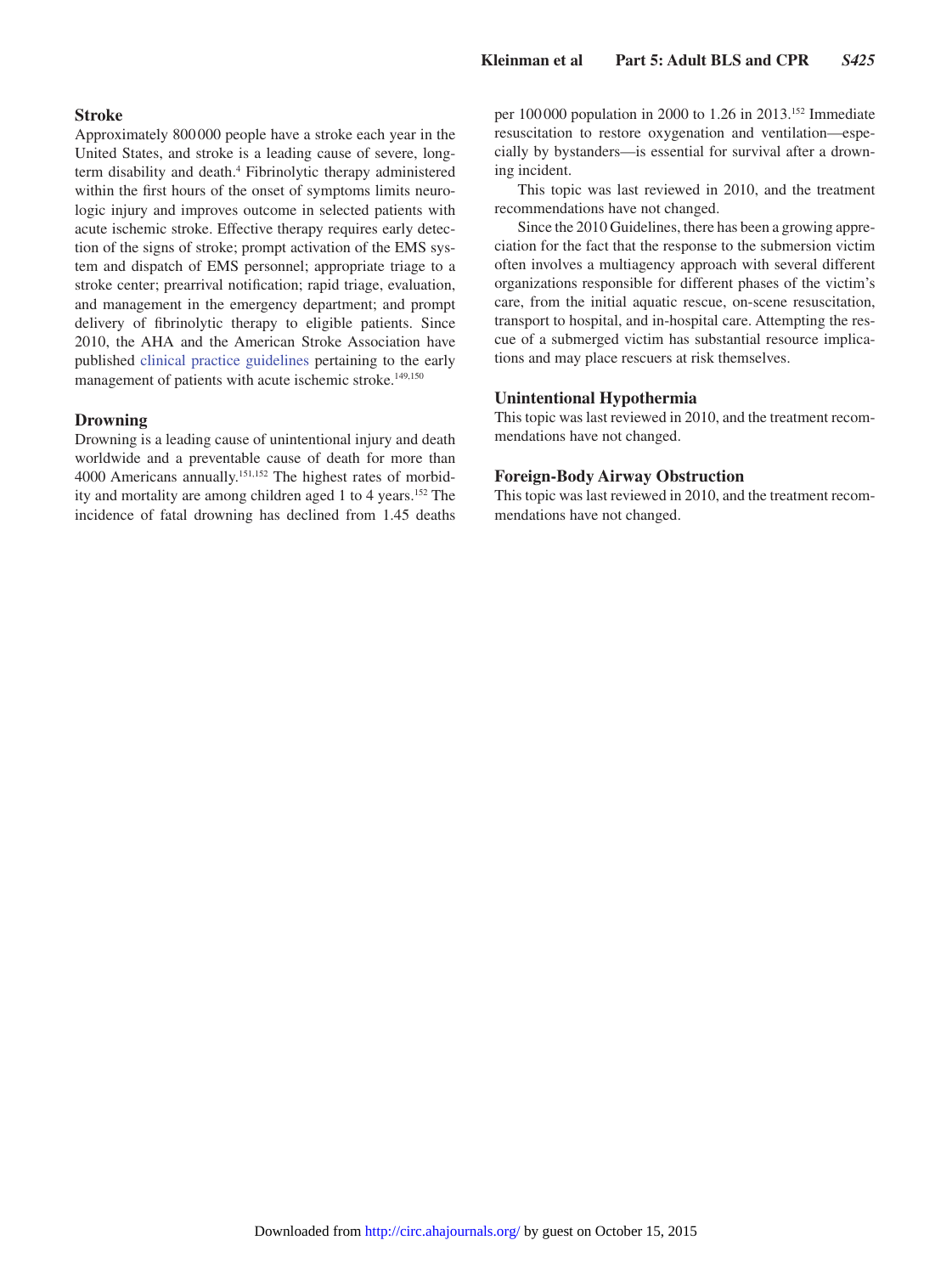## **Stroke**

Approximately 800000 people have a stroke each year in the United States, and stroke is a leading cause of severe, longterm disability and death.<sup>4</sup> Fibrinolytic therapy administered within the first hours of the onset of symptoms limits neurologic injury and improves outcome in selected patients with acute ischemic stroke. Effective therapy requires early detection of the signs of stroke; prompt activation of the EMS system and dispatch of EMS personnel; appropriate triage to a stroke center; prearrival notification; rapid triage, evaluation, and management in the emergency department; and prompt delivery of fibrinolytic therapy to eligible patients. Since 2010, the AHA and the American Stroke Association have published [clinical practice guidelines](http://stroke.ahajournals.org/content/44/3/870.full.pdf+html) pertaining to the early management of patients with acute ischemic stroke.<sup>149,150</sup>

#### **Drowning**

Drowning is a leading cause of unintentional injury and death worldwide and a preventable cause of death for more than 4000 Americans annually.151,152 The highest rates of morbidity and mortality are among children aged 1 to 4 years.152 The incidence of fatal drowning has declined from 1.45 deaths per 100 000 population in 2000 to 1.26 in 2013.152 Immediate resuscitation to restore oxygenation and ventilation—especially by bystanders—is essential for survival after a drowning incident.

This topic was last reviewed in 2010, and the treatment recommendations have not changed.

Since the 2010 Guidelines, there has been a growing appreciation for the fact that the response to the submersion victim often involves a multiagency approach with several different organizations responsible for different phases of the victim's care, from the initial aquatic rescue, on-scene resuscitation, transport to hospital, and in-hospital care. Attempting the rescue of a submerged victim has substantial resource implications and may place rescuers at risk themselves.

## **Unintentional Hypothermia**

This topic was last reviewed in 2010, and the treatment recommendations have not changed.

## **Foreign-Body Airway Obstruction**

This topic was last reviewed in 2010, and the treatment recommendations have not changed.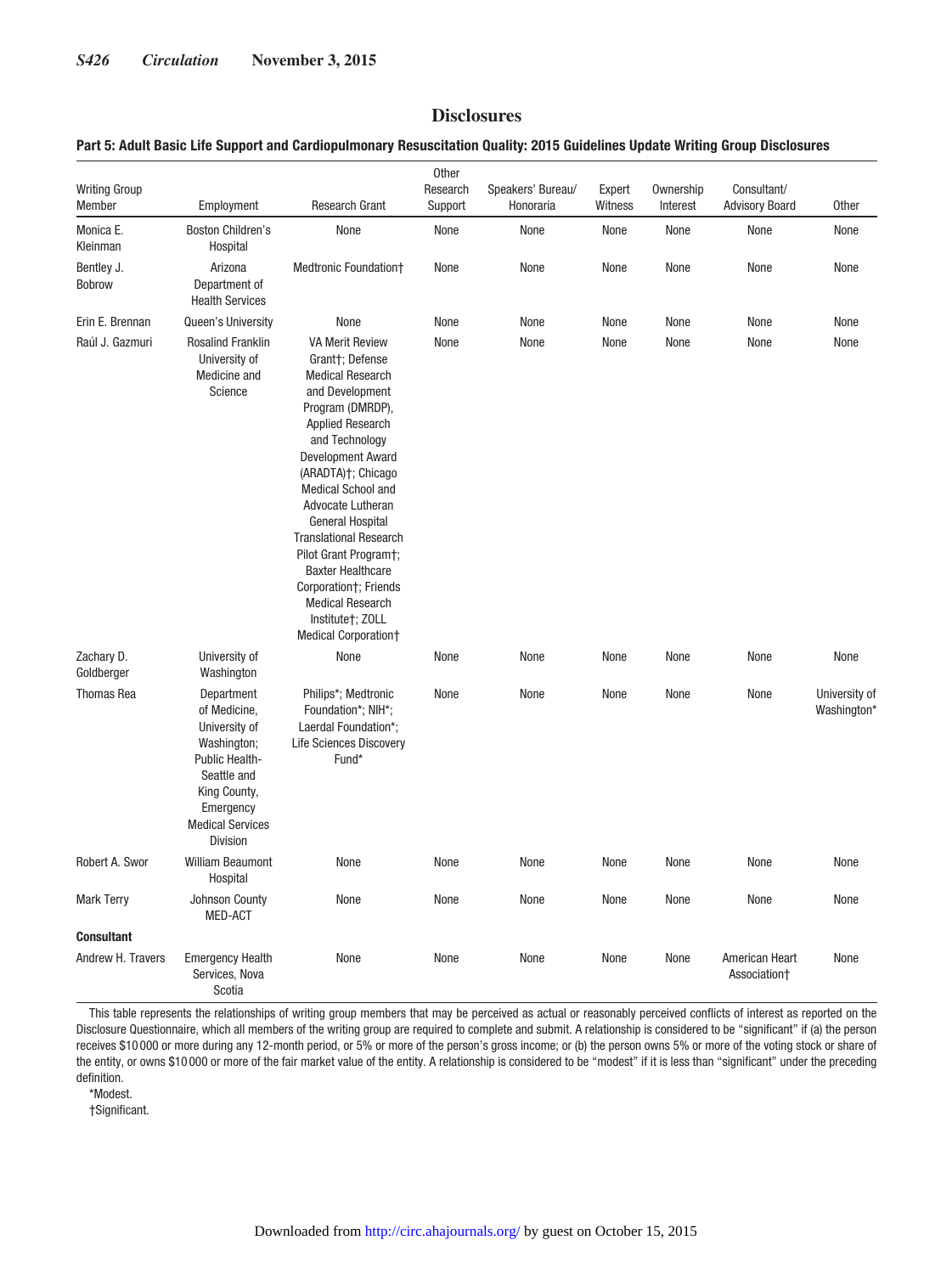## **Disclosures**

## **Part 5: Adult Basic Life Support and Cardiopulmonary Resuscitation Quality: 2015 Guidelines Update Writing Group Disclosures**

| <b>Writing Group</b><br>Member | Employment                                                                                                                                                      | <b>Research Grant</b>                                                                                                                                                                                                                                                                                                                                                                                                                                                         | Other<br>Research<br>Support | Speakers' Bureau/<br>Honoraria | Expert<br>Witness | Ownership<br>Interest | Consultant/<br><b>Advisory Board</b> | <b>Other</b>                 |
|--------------------------------|-----------------------------------------------------------------------------------------------------------------------------------------------------------------|-------------------------------------------------------------------------------------------------------------------------------------------------------------------------------------------------------------------------------------------------------------------------------------------------------------------------------------------------------------------------------------------------------------------------------------------------------------------------------|------------------------------|--------------------------------|-------------------|-----------------------|--------------------------------------|------------------------------|
| Monica E.<br>Kleinman          | <b>Boston Children's</b><br>Hospital                                                                                                                            | None                                                                                                                                                                                                                                                                                                                                                                                                                                                                          | None                         | None                           | None              | None                  | None                                 | None                         |
| Bentley J.<br><b>Bobrow</b>    | Arizona<br>Department of<br><b>Health Services</b>                                                                                                              | Medtronic Foundation+                                                                                                                                                                                                                                                                                                                                                                                                                                                         | None                         | None                           | None              | None                  | None                                 | None                         |
| Erin E. Brennan                | Queen's University                                                                                                                                              | None                                                                                                                                                                                                                                                                                                                                                                                                                                                                          | None                         | None                           | None              | None                  | None                                 | None                         |
| Raúl J. Gazmuri                | <b>Rosalind Franklin</b><br>University of<br>Medicine and<br>Science                                                                                            | <b>VA Merit Review</b><br>Grant†; Defense<br><b>Medical Research</b><br>and Development<br>Program (DMRDP),<br><b>Applied Research</b><br>and Technology<br><b>Development Award</b><br>(ARADTA)†; Chicago<br>Medical School and<br>Advocate Lutheran<br><b>General Hospital</b><br><b>Translational Research</b><br>Pilot Grant Program†;<br><b>Baxter Healthcare</b><br>Corporation†; Friends<br><b>Medical Research</b><br>Institute†; ZOLL<br><b>Medical Corporation+</b> | None                         | None                           | None              | None                  | None                                 | None                         |
| Zachary D.<br>Goldberger       | University of<br>Washington                                                                                                                                     | None                                                                                                                                                                                                                                                                                                                                                                                                                                                                          | None                         | None                           | None              | None                  | None                                 | None                         |
| <b>Thomas Rea</b>              | Department<br>of Medicine,<br>University of<br>Washington;<br>Public Health-<br>Seattle and<br>King County,<br>Emergency<br><b>Medical Services</b><br>Division | Philips*; Medtronic<br>Foundation*; NIH*;<br>Laerdal Foundation*;<br><b>Life Sciences Discovery</b><br>Fund*                                                                                                                                                                                                                                                                                                                                                                  | None                         | None                           | None              | None                  | None                                 | University of<br>Washington* |
| Robert A. Swor                 | <b>William Beaumont</b><br>Hospital                                                                                                                             | None                                                                                                                                                                                                                                                                                                                                                                                                                                                                          | None                         | None                           | None              | None                  | None                                 | None                         |
| <b>Mark Terry</b>              | Johnson County<br><b>MED-ACT</b>                                                                                                                                | None                                                                                                                                                                                                                                                                                                                                                                                                                                                                          | None                         | None                           | None              | None                  | None                                 | None                         |
| <b>Consultant</b>              |                                                                                                                                                                 |                                                                                                                                                                                                                                                                                                                                                                                                                                                                               |                              |                                |                   |                       |                                      |                              |
| Andrew H. Travers              | <b>Emergency Health</b><br>Services, Nova<br>Scotia                                                                                                             | None                                                                                                                                                                                                                                                                                                                                                                                                                                                                          | None                         | None                           | None              | None                  | American Heart<br>Association+       | None                         |

This table represents the relationships of writing group members that may be perceived as actual or reasonably perceived conflicts of interest as reported on the Disclosure Questionnaire, which all members of the writing group are required to complete and submit. A relationship is considered to be "significant" if (a) the person receives \$10 000 or more during any 12-month period, or 5% or more of the person's gross income; or (b) the person owns 5% or more of the voting stock or share of the entity, or owns \$10 000 or more of the fair market value of the entity. A relationship is considered to be "modest" if it is less than "significant" under the preceding definition.

\*Modest.

†Significant.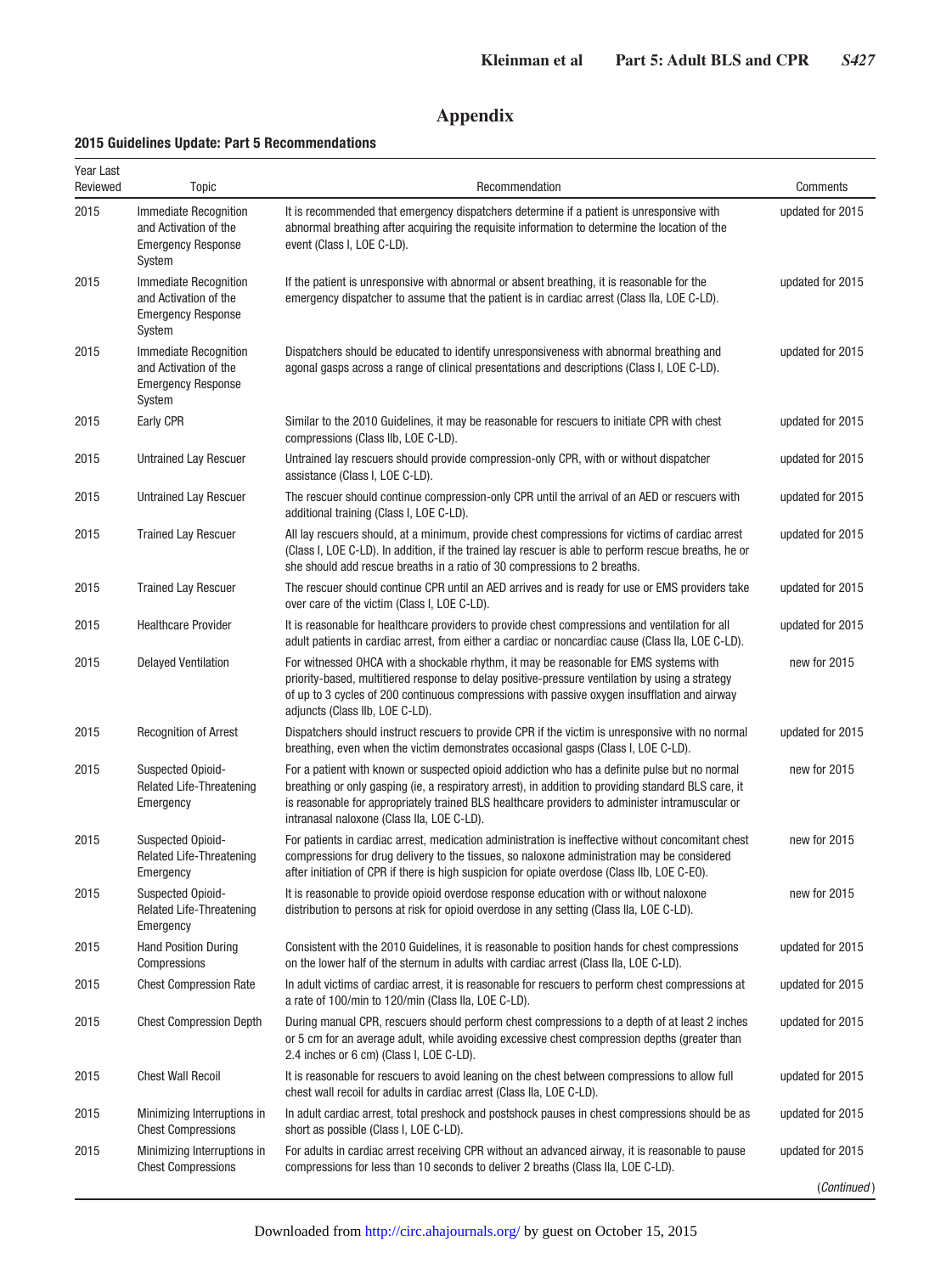## **Appendix**

## **2015 Guidelines Update: Part 5 Recommendations**

| Year Last<br>Reviewed | <b>Topic</b>                                                                                 | Recommendation                                                                                                                                                                                                                                                                                                                                         | Comments         |
|-----------------------|----------------------------------------------------------------------------------------------|--------------------------------------------------------------------------------------------------------------------------------------------------------------------------------------------------------------------------------------------------------------------------------------------------------------------------------------------------------|------------------|
| 2015                  | <b>Immediate Recognition</b><br>and Activation of the<br><b>Emergency Response</b><br>System | It is recommended that emergency dispatchers determine if a patient is unresponsive with<br>abnormal breathing after acquiring the requisite information to determine the location of the<br>event (Class I, LOE C-LD).                                                                                                                                | updated for 2015 |
| 2015                  | Immediate Recognition<br>and Activation of the<br><b>Emergency Response</b><br>System        | If the patient is unresponsive with abnormal or absent breathing, it is reasonable for the<br>emergency dispatcher to assume that the patient is in cardiac arrest (Class IIa, LOE C-LD).                                                                                                                                                              | updated for 2015 |
| 2015                  | Immediate Recognition<br>and Activation of the<br><b>Emergency Response</b><br>System        | Dispatchers should be educated to identify unresponsiveness with abnormal breathing and<br>agonal gasps across a range of clinical presentations and descriptions (Class I, LOE C-LD).                                                                                                                                                                 | updated for 2015 |
| 2015                  | Early CPR                                                                                    | Similar to the 2010 Guidelines, it may be reasonable for rescuers to initiate CPR with chest<br>compressions (Class IIb, LOE C-LD).                                                                                                                                                                                                                    | updated for 2015 |
| 2015                  | Untrained Lay Rescuer                                                                        | Untrained lay rescuers should provide compression-only CPR, with or without dispatcher<br>assistance (Class I, LOE C-LD).                                                                                                                                                                                                                              | updated for 2015 |
| 2015                  | Untrained Lay Rescuer                                                                        | The rescuer should continue compression-only CPR until the arrival of an AED or rescuers with<br>additional training (Class I, LOE C-LD).                                                                                                                                                                                                              | updated for 2015 |
| 2015                  | <b>Trained Lay Rescuer</b>                                                                   | All lay rescuers should, at a minimum, provide chest compressions for victims of cardiac arrest<br>(Class I, LOE C-LD). In addition, if the trained lay rescuer is able to perform rescue breaths, he or<br>she should add rescue breaths in a ratio of 30 compressions to 2 breaths.                                                                  | updated for 2015 |
| 2015                  | <b>Trained Lay Rescuer</b>                                                                   | The rescuer should continue CPR until an AED arrives and is ready for use or EMS providers take<br>over care of the victim (Class I, LOE C-LD).                                                                                                                                                                                                        | updated for 2015 |
| 2015                  | <b>Healthcare Provider</b>                                                                   | It is reasonable for healthcare providers to provide chest compressions and ventilation for all<br>adult patients in cardiac arrest, from either a cardiac or noncardiac cause (Class IIa, LOE C-LD).                                                                                                                                                  | updated for 2015 |
| 2015                  | <b>Delayed Ventilation</b>                                                                   | For witnessed OHCA with a shockable rhythm, it may be reasonable for EMS systems with<br>priority-based, multitiered response to delay positive-pressure ventilation by using a strategy<br>of up to 3 cycles of 200 continuous compressions with passive oxygen insufflation and airway<br>adjuncts (Class IIb, LOE C-LD).                            | new for 2015     |
| 2015                  | <b>Recognition of Arrest</b>                                                                 | Dispatchers should instruct rescuers to provide CPR if the victim is unresponsive with no normal<br>breathing, even when the victim demonstrates occasional gasps (Class I, LOE C-LD).                                                                                                                                                                 | updated for 2015 |
| 2015                  | <b>Suspected Opioid-</b><br><b>Related Life-Threatening</b><br>Emergency                     | For a patient with known or suspected opioid addiction who has a definite pulse but no normal<br>breathing or only gasping (ie, a respiratory arrest), in addition to providing standard BLS care, it<br>is reasonable for appropriately trained BLS healthcare providers to administer intramuscular or<br>intranasal naloxone (Class IIa, LOE C-LD). | new for 2015     |
| 2015                  | Suspected Opioid-<br>Related Life-Threatening<br>Emergency                                   | For patients in cardiac arrest, medication administration is ineffective without concomitant chest<br>compressions for drug delivery to the tissues, so naloxone administration may be considered<br>after initiation of CPR if there is high suspicion for opiate overdose (Class IIb, LOE C-EO).                                                     | new for 2015     |
| 2015                  | Suspected Opioid-<br>Related Life-Threatening<br>Emergency                                   | It is reasonable to provide opioid overdose response education with or without naloxone<br>distribution to persons at risk for opioid overdose in any setting (Class IIa, LOE C-LD).                                                                                                                                                                   | new for 2015     |
| 2015                  | <b>Hand Position During</b><br>Compressions                                                  | Consistent with the 2010 Guidelines, it is reasonable to position hands for chest compressions<br>on the lower half of the sternum in adults with cardiac arrest (Class IIa, LOE C-LD).                                                                                                                                                                | updated for 2015 |
| 2015                  | <b>Chest Compression Rate</b>                                                                | In adult victims of cardiac arrest, it is reasonable for rescuers to perform chest compressions at<br>a rate of 100/min to 120/min (Class IIa, LOE C-LD).                                                                                                                                                                                              | updated for 2015 |
| 2015                  | <b>Chest Compression Depth</b>                                                               | During manual CPR, rescuers should perform chest compressions to a depth of at least 2 inches<br>or 5 cm for an average adult, while avoiding excessive chest compression depths (greater than<br>2.4 inches or 6 cm) (Class I, LOE C-LD).                                                                                                             | updated for 2015 |
| 2015                  | <b>Chest Wall Recoil</b>                                                                     | It is reasonable for rescuers to avoid leaning on the chest between compressions to allow full<br>chest wall recoil for adults in cardiac arrest (Class IIa, LOE C-LD).                                                                                                                                                                                | updated for 2015 |
| 2015                  | Minimizing Interruptions in<br><b>Chest Compressions</b>                                     | In adult cardiac arrest, total preshock and postshock pauses in chest compressions should be as<br>short as possible (Class I, LOE C-LD).                                                                                                                                                                                                              | updated for 2015 |
| 2015                  | Minimizing Interruptions in<br><b>Chest Compressions</b>                                     | For adults in cardiac arrest receiving CPR without an advanced airway, it is reasonable to pause<br>compressions for less than 10 seconds to deliver 2 breaths (Class IIa, LOE C-LD).                                                                                                                                                                  | updated for 2015 |
|                       |                                                                                              |                                                                                                                                                                                                                                                                                                                                                        | (Continued)      |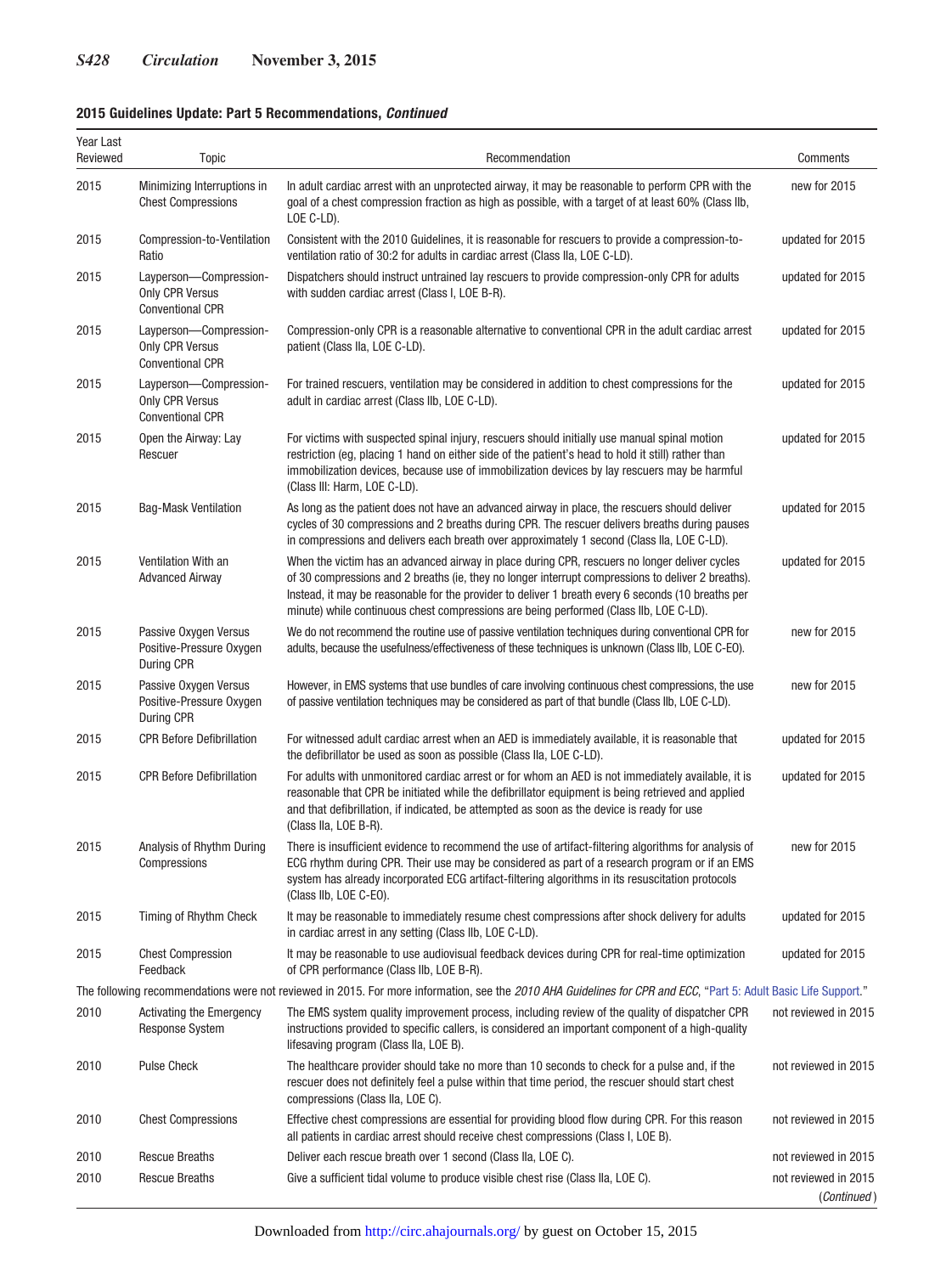## **2015 Guidelines Update: Part 5 Recommendations,** *Continued*

| Year Last<br>Reviewed | Topic                                                                       | Recommendation                                                                                                                                                                                                                                                                                                                                                                                      | Comments                            |
|-----------------------|-----------------------------------------------------------------------------|-----------------------------------------------------------------------------------------------------------------------------------------------------------------------------------------------------------------------------------------------------------------------------------------------------------------------------------------------------------------------------------------------------|-------------------------------------|
| 2015                  | Minimizing Interruptions in<br><b>Chest Compressions</b>                    | In adult cardiac arrest with an unprotected airway, it may be reasonable to perform CPR with the<br>goal of a chest compression fraction as high as possible, with a target of at least 60% (Class IIb,<br>LOE C-LD).                                                                                                                                                                               | new for 2015                        |
| 2015                  | Compression-to-Ventilation<br>Ratio                                         | Consistent with the 2010 Guidelines, it is reasonable for rescuers to provide a compression-to-<br>ventilation ratio of 30:2 for adults in cardiac arrest (Class IIa, LOE C-LD).                                                                                                                                                                                                                    | updated for 2015                    |
| 2015                  | Layperson-Compression-<br><b>Only CPR Versus</b><br><b>Conventional CPR</b> | Dispatchers should instruct untrained lay rescuers to provide compression-only CPR for adults<br>with sudden cardiac arrest (Class I, LOE B-R).                                                                                                                                                                                                                                                     | updated for 2015                    |
| 2015                  | Layperson-Compression-<br>Only CPR Versus<br><b>Conventional CPR</b>        | Compression-only CPR is a reasonable alternative to conventional CPR in the adult cardiac arrest<br>patient (Class IIa, LOE C-LD).                                                                                                                                                                                                                                                                  | updated for 2015                    |
| 2015                  | Layperson-Compression-<br>Only CPR Versus<br><b>Conventional CPR</b>        | For trained rescuers, ventilation may be considered in addition to chest compressions for the<br>adult in cardiac arrest (Class IIb, LOE C-LD).                                                                                                                                                                                                                                                     | updated for 2015                    |
| 2015                  | Open the Airway: Lay<br>Rescuer                                             | For victims with suspected spinal injury, rescuers should initially use manual spinal motion<br>restriction (eg, placing 1 hand on either side of the patient's head to hold it still) rather than<br>immobilization devices, because use of immobilization devices by lay rescuers may be harmful<br>(Class III: Harm, LOE C-LD).                                                                  | updated for 2015                    |
| 2015                  | <b>Bag-Mask Ventilation</b>                                                 | As long as the patient does not have an advanced airway in place, the rescuers should deliver<br>cycles of 30 compressions and 2 breaths during CPR. The rescuer delivers breaths during pauses<br>in compressions and delivers each breath over approximately 1 second (Class IIa, LOE C-LD).                                                                                                      | updated for 2015                    |
| 2015                  | Ventilation With an<br><b>Advanced Airway</b>                               | When the victim has an advanced airway in place during CPR, rescuers no longer deliver cycles<br>of 30 compressions and 2 breaths (ie, they no longer interrupt compressions to deliver 2 breaths).<br>Instead, it may be reasonable for the provider to deliver 1 breath every 6 seconds (10 breaths per<br>minute) while continuous chest compressions are being performed (Class IIb, LOE C-LD). | updated for 2015                    |
| 2015                  | Passive Oxygen Versus<br>Positive-Pressure Oxygen<br>During CPR             | We do not recommend the routine use of passive ventilation techniques during conventional CPR for<br>adults, because the usefulness/effectiveness of these techniques is unknown (Class IIb, LOE C-EO).                                                                                                                                                                                             | new for 2015                        |
| 2015                  | Passive Oxygen Versus<br>Positive-Pressure Oxygen<br>During CPR             | However, in EMS systems that use bundles of care involving continuous chest compressions, the use<br>of passive ventilation techniques may be considered as part of that bundle (Class IIb, LOE C-LD).                                                                                                                                                                                              | new for 2015                        |
| 2015                  | <b>CPR Before Defibrillation</b>                                            | For witnessed adult cardiac arrest when an AED is immediately available, it is reasonable that<br>the defibrillator be used as soon as possible (Class IIa, LOE C-LD).                                                                                                                                                                                                                              | updated for 2015                    |
| 2015                  | <b>CPR Before Defibrillation</b>                                            | For adults with unmonitored cardiac arrest or for whom an AED is not immediately available, it is<br>reasonable that CPR be initiated while the defibrillator equipment is being retrieved and applied<br>and that defibrillation, if indicated, be attempted as soon as the device is ready for use<br>(Class IIa, LOE B-R).                                                                       | updated for 2015                    |
| 2015                  | Analysis of Rhythm During<br>Compressions                                   | There is insufficient evidence to recommend the use of artifact-filtering algorithms for analysis of<br>ECG rhythm during CPR. Their use may be considered as part of a research program or if an EMS<br>system has already incorporated ECG artifact-filtering algorithms in its resuscitation protocols<br>(Class IIb, LOE C-EO).                                                                 | new for 2015                        |
| 2015                  | <b>Timing of Rhythm Check</b>                                               | It may be reasonable to immediately resume chest compressions after shock delivery for adults<br>in cardiac arrest in any setting (Class IIb, LOE C-LD).                                                                                                                                                                                                                                            | updated for 2015                    |
| 2015                  | <b>Chest Compression</b><br>Feedback                                        | It may be reasonable to use audiovisual feedback devices during CPR for real-time optimization<br>of CPR performance (Class IIb, LOE B-R).                                                                                                                                                                                                                                                          | updated for 2015                    |
|                       |                                                                             | The following recommendations were not reviewed in 2015. For more information, see the 2010 AHA Guidelines for CPR and ECC, "Part 5: Adult Basic Life Support."                                                                                                                                                                                                                                     |                                     |
| 2010                  | <b>Activating the Emergency</b><br><b>Response System</b>                   | The EMS system quality improvement process, including review of the quality of dispatcher CPR<br>instructions provided to specific callers, is considered an important component of a high-quality<br>lifesaving program (Class IIa, LOE B).                                                                                                                                                        | not reviewed in 2015                |
| 2010                  | <b>Pulse Check</b>                                                          | The healthcare provider should take no more than 10 seconds to check for a pulse and, if the<br>rescuer does not definitely feel a pulse within that time period, the rescuer should start chest<br>compressions (Class IIa, LOE C).                                                                                                                                                                | not reviewed in 2015                |
| 2010                  | <b>Chest Compressions</b>                                                   | Effective chest compressions are essential for providing blood flow during CPR. For this reason<br>all patients in cardiac arrest should receive chest compressions (Class I, LOE B).                                                                                                                                                                                                               | not reviewed in 2015                |
| 2010                  | <b>Rescue Breaths</b>                                                       | Deliver each rescue breath over 1 second (Class IIa, LOE C).                                                                                                                                                                                                                                                                                                                                        | not reviewed in 2015                |
| 2010                  | <b>Rescue Breaths</b>                                                       | Give a sufficient tidal volume to produce visible chest rise (Class IIa, LOE C).                                                                                                                                                                                                                                                                                                                    | not reviewed in 2015<br>(Continued) |

Downloaded from<http://circ.ahajournals.org/>by guest on October 15, 2015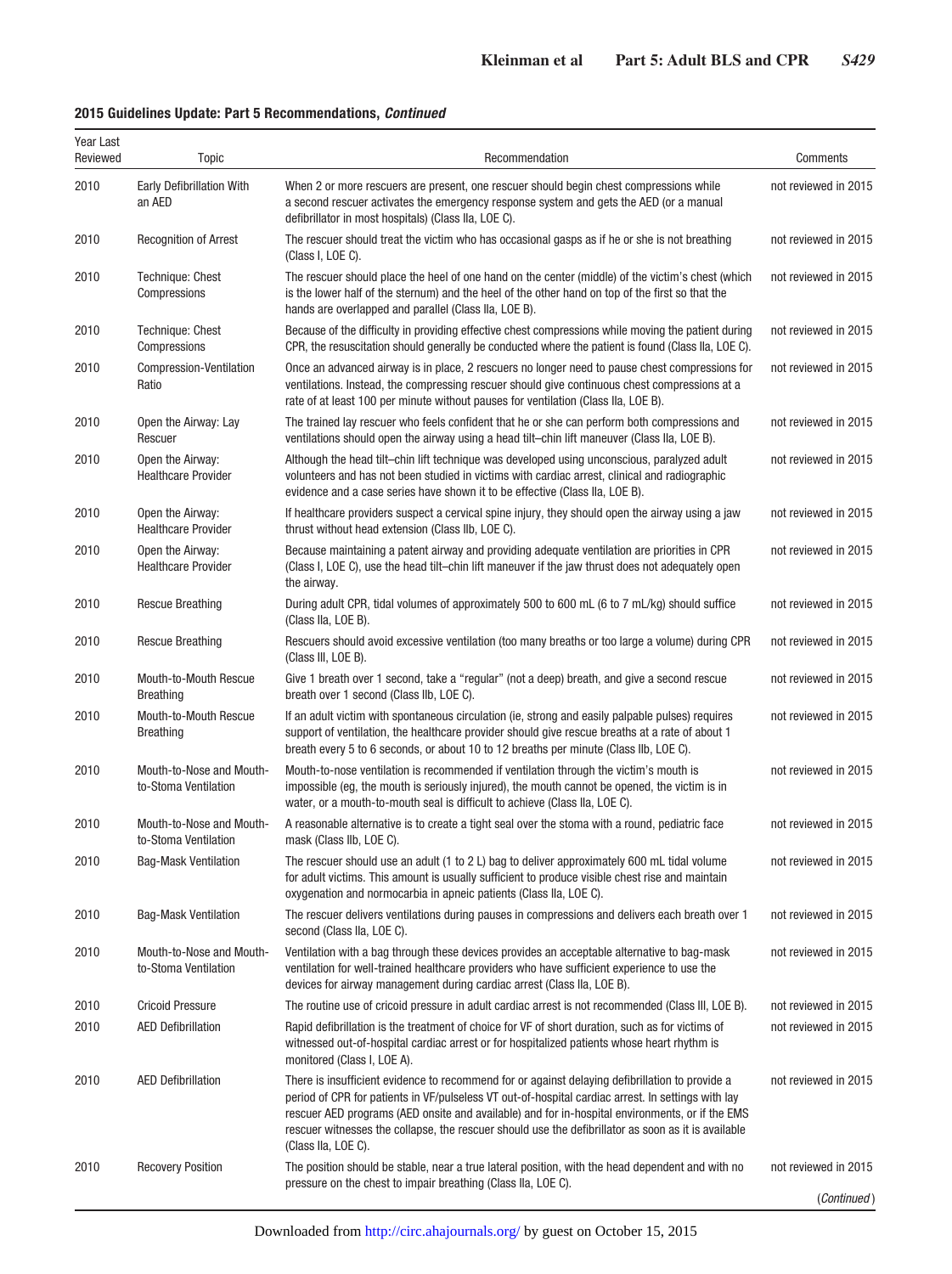## **2015 Guidelines Update: Part 5 Recommendations,** *Continued*

| Year Last<br>Reviewed | <b>Topic</b>                                     | Recommendation                                                                                                                                                                                                                                                                                                                                                                                                                         | Comments             |
|-----------------------|--------------------------------------------------|----------------------------------------------------------------------------------------------------------------------------------------------------------------------------------------------------------------------------------------------------------------------------------------------------------------------------------------------------------------------------------------------------------------------------------------|----------------------|
| 2010                  | <b>Early Defibrillation With</b><br>an AED       | When 2 or more rescuers are present, one rescuer should begin chest compressions while<br>a second rescuer activates the emergency response system and gets the AED (or a manual<br>defibrillator in most hospitals) (Class IIa, LOE C).                                                                                                                                                                                               | not reviewed in 2015 |
| 2010                  | <b>Recognition of Arrest</b>                     | The rescuer should treat the victim who has occasional gasps as if he or she is not breathing<br>(Class I, LOE C).                                                                                                                                                                                                                                                                                                                     | not reviewed in 2015 |
| 2010                  | Technique: Chest<br>Compressions                 | The rescuer should place the heel of one hand on the center (middle) of the victim's chest (which<br>is the lower half of the sternum) and the heel of the other hand on top of the first so that the<br>hands are overlapped and parallel (Class IIa, LOE B).                                                                                                                                                                         | not reviewed in 2015 |
| 2010                  | Technique: Chest<br>Compressions                 | Because of the difficulty in providing effective chest compressions while moving the patient during<br>CPR, the resuscitation should generally be conducted where the patient is found (Class IIa, LOE C).                                                                                                                                                                                                                             | not reviewed in 2015 |
| 2010                  | Compression-Ventilation<br>Ratio                 | Once an advanced airway is in place, 2 rescuers no longer need to pause chest compressions for<br>ventilations. Instead, the compressing rescuer should give continuous chest compressions at a<br>rate of at least 100 per minute without pauses for ventilation (Class IIa, LOE B).                                                                                                                                                  | not reviewed in 2015 |
| 2010                  | Open the Airway: Lay<br>Rescuer                  | The trained lay rescuer who feels confident that he or she can perform both compressions and<br>ventilations should open the airway using a head tilt–chin lift maneuver (Class IIa, LOE B).                                                                                                                                                                                                                                           | not reviewed in 2015 |
| 2010                  | Open the Airway:<br><b>Healthcare Provider</b>   | Although the head tilt-chin lift technique was developed using unconscious, paralyzed adult<br>volunteers and has not been studied in victims with cardiac arrest, clinical and radiographic<br>evidence and a case series have shown it to be effective (Class IIa, LOE B).                                                                                                                                                           | not reviewed in 2015 |
| 2010                  | Open the Airway:<br><b>Healthcare Provider</b>   | If healthcare providers suspect a cervical spine injury, they should open the airway using a jaw<br>thrust without head extension (Class IIb, LOE C).                                                                                                                                                                                                                                                                                  | not reviewed in 2015 |
| 2010                  | Open the Airway:<br><b>Healthcare Provider</b>   | Because maintaining a patent airway and providing adequate ventilation are priorities in CPR<br>(Class I, LOE C), use the head tilt-chin lift maneuver if the jaw thrust does not adequately open<br>the airway.                                                                                                                                                                                                                       | not reviewed in 2015 |
| 2010                  | <b>Rescue Breathing</b>                          | During adult CPR, tidal volumes of approximately 500 to 600 mL (6 to 7 mL/kg) should suffice<br>(Class IIa, LOE B).                                                                                                                                                                                                                                                                                                                    | not reviewed in 2015 |
| 2010                  | <b>Rescue Breathing</b>                          | Rescuers should avoid excessive ventilation (too many breaths or too large a volume) during CPR<br>(Class III, LOE B).                                                                                                                                                                                                                                                                                                                 | not reviewed in 2015 |
| 2010                  | Mouth-to-Mouth Rescue<br><b>Breathing</b>        | Give 1 breath over 1 second, take a "regular" (not a deep) breath, and give a second rescue<br>breath over 1 second (Class IIb, LOE C).                                                                                                                                                                                                                                                                                                | not reviewed in 2015 |
| 2010                  | Mouth-to-Mouth Rescue<br><b>Breathing</b>        | If an adult victim with spontaneous circulation (ie, strong and easily palpable pulses) requires<br>support of ventilation, the healthcare provider should give rescue breaths at a rate of about 1<br>breath every 5 to 6 seconds, or about 10 to 12 breaths per minute (Class IIb, LOE C).                                                                                                                                           | not reviewed in 2015 |
| 2010                  | Mouth-to-Nose and Mouth-<br>to-Stoma Ventilation | Mouth-to-nose ventilation is recommended if ventilation through the victim's mouth is<br>impossible (eg, the mouth is seriously injured), the mouth cannot be opened, the victim is in<br>water, or a mouth-to-mouth seal is difficult to achieve (Class IIa, LOE C).                                                                                                                                                                  | not reviewed in 2015 |
| 2010                  | Mouth-to-Nose and Mouth-<br>to-Stoma Ventilation | A reasonable alternative is to create a tight seal over the stoma with a round, pediatric face<br>mask (Class IIb, LOE C).                                                                                                                                                                                                                                                                                                             | not reviewed in 2015 |
| 2010                  | <b>Bag-Mask Ventilation</b>                      | The rescuer should use an adult (1 to 2 L) bag to deliver approximately 600 mL tidal volume<br>for adult victims. This amount is usually sufficient to produce visible chest rise and maintain<br>oxygenation and normocarbia in apneic patients (Class IIa, LOE C).                                                                                                                                                                   | not reviewed in 2015 |
| 2010                  | <b>Bag-Mask Ventilation</b>                      | The rescuer delivers ventilations during pauses in compressions and delivers each breath over 1<br>second (Class IIa, LOE C).                                                                                                                                                                                                                                                                                                          | not reviewed in 2015 |
| 2010                  | Mouth-to-Nose and Mouth-<br>to-Stoma Ventilation | Ventilation with a bag through these devices provides an acceptable alternative to bag-mask<br>ventilation for well-trained healthcare providers who have sufficient experience to use the<br>devices for airway management during cardiac arrest (Class IIa, LOE B).                                                                                                                                                                  | not reviewed in 2015 |
| 2010                  | <b>Cricoid Pressure</b>                          | The routine use of cricoid pressure in adult cardiac arrest is not recommended (Class III, LOE B).                                                                                                                                                                                                                                                                                                                                     | not reviewed in 2015 |
| 2010                  | <b>AED Defibrillation</b>                        | Rapid defibrillation is the treatment of choice for VF of short duration, such as for victims of<br>witnessed out-of-hospital cardiac arrest or for hospitalized patients whose heart rhythm is<br>monitored (Class I, LOE A).                                                                                                                                                                                                         | not reviewed in 2015 |
| 2010                  | <b>AED Defibrillation</b>                        | There is insufficient evidence to recommend for or against delaying defibrillation to provide a<br>period of CPR for patients in VF/pulseless VT out-of-hospital cardiac arrest. In settings with lay<br>rescuer AED programs (AED onsite and available) and for in-hospital environments, or if the EMS<br>rescuer witnesses the collapse, the rescuer should use the defibrillator as soon as it is available<br>(Class IIa, LOE C). | not reviewed in 2015 |
| 2010                  | <b>Recovery Position</b>                         | The position should be stable, near a true lateral position, with the head dependent and with no<br>pressure on the chest to impair breathing (Class IIa, LOE C).                                                                                                                                                                                                                                                                      | not reviewed in 2015 |
|                       |                                                  |                                                                                                                                                                                                                                                                                                                                                                                                                                        | (Continued)          |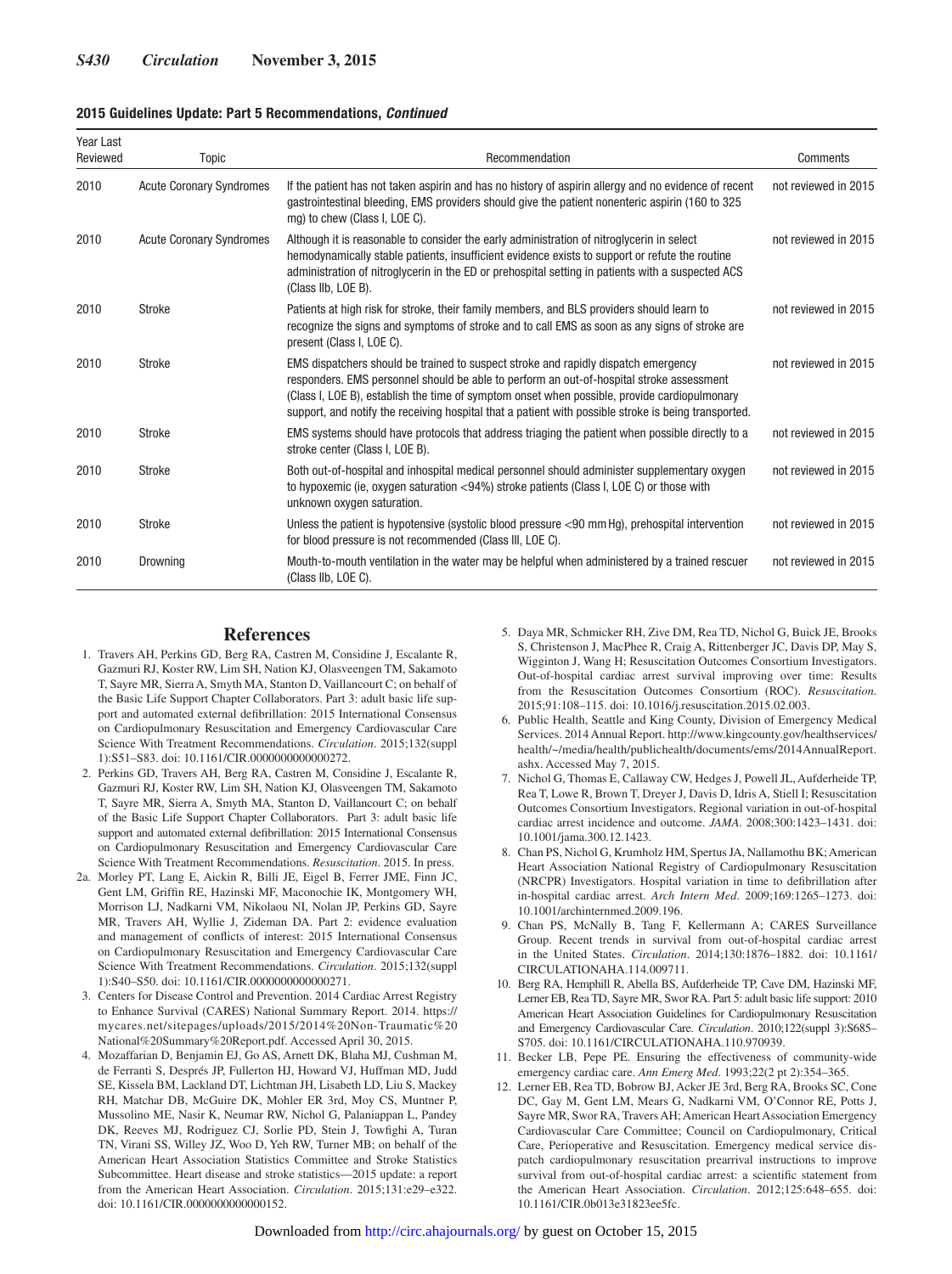#### **2015 Guidelines Update: Part 5 Recommendations,** *Continued*

| Year Last<br>Reviewed | Topic                           | Recommendation                                                                                                                                                                                                                                                                                                                                                                         | Comments             |
|-----------------------|---------------------------------|----------------------------------------------------------------------------------------------------------------------------------------------------------------------------------------------------------------------------------------------------------------------------------------------------------------------------------------------------------------------------------------|----------------------|
| 2010                  | <b>Acute Coronary Syndromes</b> | If the patient has not taken aspirin and has no history of aspirin allergy and no evidence of recent<br>gastrointestinal bleeding, EMS providers should give the patient nonenteric aspirin (160 to 325<br>mg) to chew (Class I, LOE C).                                                                                                                                               | not reviewed in 2015 |
| 2010                  | <b>Acute Coronary Syndromes</b> | Although it is reasonable to consider the early administration of nitroglycerin in select<br>hemodynamically stable patients, insufficient evidence exists to support or refute the routine<br>administration of nitroglycerin in the ED or prehospital setting in patients with a suspected ACS<br>(Class IIb, LOE B).                                                                | not reviewed in 2015 |
| 2010                  | <b>Stroke</b>                   | Patients at high risk for stroke, their family members, and BLS providers should learn to<br>recognize the signs and symptoms of stroke and to call EMS as soon as any signs of stroke are<br>present (Class I, LOE C).                                                                                                                                                                | not reviewed in 2015 |
| 2010                  | Stroke                          | EMS dispatchers should be trained to suspect stroke and rapidly dispatch emergency<br>responders. EMS personnel should be able to perform an out-of-hospital stroke assessment<br>(Class I, LOE B), establish the time of symptom onset when possible, provide cardiopulmonary<br>support, and notify the receiving hospital that a patient with possible stroke is being transported. | not reviewed in 2015 |
| 2010                  | <b>Stroke</b>                   | EMS systems should have protocols that address triaging the patient when possible directly to a<br>stroke center (Class I, LOE B).                                                                                                                                                                                                                                                     | not reviewed in 2015 |
| 2010                  | <b>Stroke</b>                   | Both out-of-hospital and inhospital medical personnel should administer supplementary oxygen<br>to hypoxemic (ie, oxygen saturation <94%) stroke patients (Class I, LOE C) or those with<br>unknown oxygen saturation.                                                                                                                                                                 | not reviewed in 2015 |
| 2010                  | <b>Stroke</b>                   | Unless the patient is hypotensive (systolic blood pressure <90 mm Hq), prehospital intervention<br>for blood pressure is not recommended (Class III, LOE C).                                                                                                                                                                                                                           | not reviewed in 2015 |
| 2010                  | Drowning                        | Mouth-to-mouth ventilation in the water may be helpful when administered by a trained rescuer<br>(Class IIb, LOE C).                                                                                                                                                                                                                                                                   | not reviewed in 2015 |

#### **References**

- 1. Travers AH, Perkins GD, Berg RA, Castren M, Considine J, Escalante R, Gazmuri RJ, Koster RW, Lim SH, Nation KJ, Olasveengen TM, Sakamoto T, Sayre MR, Sierra A, Smyth MA, Stanton D, Vaillancourt C; on behalf of the Basic Life Support Chapter Collaborators. Part 3: adult basic life support and automated external defibrillation: 2015 International Consensus on Cardiopulmonary Resuscitation and Emergency Cardiovascular Care Science With Treatment Recommendations. *Circulation*. 2015;132(suppl 1):S51–S83. doi: 10.1161/CIR.0000000000000272.
- 2. Perkins GD, Travers AH, Berg RA, Castren M, Considine J, Escalante R, Gazmuri RJ, Koster RW, Lim SH, Nation KJ, Olasveengen TM, Sakamoto T, Sayre MR, Sierra A, Smyth MA, Stanton D, Vaillancourt C; on behalf of the Basic Life Support Chapter Collaborators. Part 3: adult basic life support and automated external defibrillation: 2015 International Consensus on Cardiopulmonary Resuscitation and Emergency Cardiovascular Care Science With Treatment Recommendations. *Resuscitation*. 2015. In press.
- 2a. Morley PT, Lang E, Aickin R, Billi JE, Eigel B, Ferrer JME, Finn JC, Gent LM, Griffin RE, Hazinski MF, Maconochie IK, Montgomery WH, Morrison LJ, Nadkarni VM, Nikolaou NI, Nolan JP, Perkins GD, Sayre MR, Travers AH, Wyllie J, Zideman DA. Part 2: evidence evaluation and management of conflicts of interest: 2015 International Consensus on Cardiopulmonary Resuscitation and Emergency Cardiovascular Care Science With Treatment Recommendations. *Circulation*. 2015;132(suppl 1):S40–S50. doi: 10.1161/CIR.0000000000000271.
- 3. Centers for Disease Control and Prevention. 2014 Cardiac Arrest Registry to Enhance Survival (CARES) National Summary Report. 2014. [https://](http://mycares.net/sitepages/uploads/2015/2014%20Non-Traumatic%20National%20Summary%20Report.pdf) [mycares.net/sitepages/uploads/2015/2014%20Non-Traumatic%20](http://mycares.net/sitepages/uploads/2015/2014%20Non-Traumatic%20National%20Summary%20Report.pdf) [National%20Summary%20Report.pdf](http://mycares.net/sitepages/uploads/2015/2014%20Non-Traumatic%20National%20Summary%20Report.pdf). Accessed April 30, 2015.
- 4. Mozaffarian D, Benjamin EJ, Go AS, Arnett DK, Blaha MJ, Cushman M, de Ferranti S, Després JP, Fullerton HJ, Howard VJ, Huffman MD, Judd SE, Kissela BM, Lackland DT, Lichtman JH, Lisabeth LD, Liu S, Mackey RH, Matchar DB, McGuire DK, Mohler ER 3rd, Moy CS, Muntner P, Mussolino ME, Nasir K, Neumar RW, Nichol G, Palaniappan L, Pandey DK, Reeves MJ, Rodriguez CJ, Sorlie PD, Stein J, Towfighi A, Turan TN, Virani SS, Willey JZ, Woo D, Yeh RW, Turner MB; on behalf of the American Heart Association Statistics Committee and Stroke Statistics Subcommittee. Heart disease and stroke statistics—2015 update: a report from the American Heart Association. *Circulation*. 2015;131:e29–e322. doi: 10.1161/CIR.0000000000000152.
- 5. Daya MR, Schmicker RH, Zive DM, Rea TD, Nichol G, Buick JE, Brooks S, Christenson J, MacPhee R, Craig A, Rittenberger JC, Davis DP, May S, Wigginton J, Wang H; Resuscitation Outcomes Consortium Investigators. Out-of-hospital cardiac arrest survival improving over time: Results from the Resuscitation Outcomes Consortium (ROC). *Resuscitation*. 2015;91:108–115. doi: 10.1016/j.resuscitation.2015.02.003.
- 6. Public Health, Seattle and King County, Division of Emergency Medical Services. 2014 Annual Report. [http://www.kingcounty.gov/healthservices/](http://www.kingcounty.gov/healthservices/health/~/media/health/publichealth/documents/ems/2014AnnualReport.ashx) [health/~/media/health/publichealth/documents/ems/2014AnnualReport.](http://www.kingcounty.gov/healthservices/health/~/media/health/publichealth/documents/ems/2014AnnualReport.ashx) [ashx](http://www.kingcounty.gov/healthservices/health/~/media/health/publichealth/documents/ems/2014AnnualReport.ashx). Accessed May 7, 2015.
- 7. Nichol G, Thomas E, Callaway CW, Hedges J, Powell JL, Aufderheide TP, Rea T, Lowe R, Brown T, Dreyer J, Davis D, Idris A, Stiell I; Resuscitation Outcomes Consortium Investigators. Regional variation in out-of-hospital cardiac arrest incidence and outcome. *JAMA*. 2008;300:1423–1431. doi: 10.1001/jama.300.12.1423.
- 8. Chan PS, Nichol G, Krumholz HM, Spertus JA, Nallamothu BK; American Heart Association National Registry of Cardiopulmonary Resuscitation (NRCPR) Investigators. Hospital variation in time to defibrillation after in-hospital cardiac arrest. *Arch Intern Med*. 2009;169:1265–1273. doi: 10.1001/archinternmed.2009.196.
- 9. Chan PS, McNally B, Tang F, Kellermann A; CARES Surveillance Group. Recent trends in survival from out-of-hospital cardiac arrest in the United States. *Circulation*. 2014;130:1876–1882. doi: 10.1161/ CIRCULATIONAHA.114.009711.
- 10. Berg RA, Hemphill R, Abella BS, Aufderheide TP, Cave DM, Hazinski MF, Lerner EB, Rea TD, Sayre MR, Swor RA. Part 5: adult basic life support: 2010 American Heart Association Guidelines for Cardiopulmonary Resuscitation and Emergency Cardiovascular Care. *Circulation*. 2010;122(suppl 3):S685– S705. doi: 10.1161/CIRCULATIONAHA.110.970939.
- 11. Becker LB, Pepe PE. Ensuring the effectiveness of community-wide emergency cardiac care. *Ann Emerg Med*. 1993;22(2 pt 2):354–365.
- 12. Lerner EB, Rea TD, Bobrow BJ, Acker JE 3rd, Berg RA, Brooks SC, Cone DC, Gay M, Gent LM, Mears G, Nadkarni VM, O'Connor RE, Potts J, Sayre MR, Swor RA, Travers AH; American Heart Association Emergency Cardiovascular Care Committee; Council on Cardiopulmonary, Critical Care, Perioperative and Resuscitation. Emergency medical service dispatch cardiopulmonary resuscitation prearrival instructions to improve survival from out-of-hospital cardiac arrest: a scientific statement from the American Heart Association. *Circulation*. 2012;125:648–655. doi: 10.1161/CIR.0b013e31823ee5fc.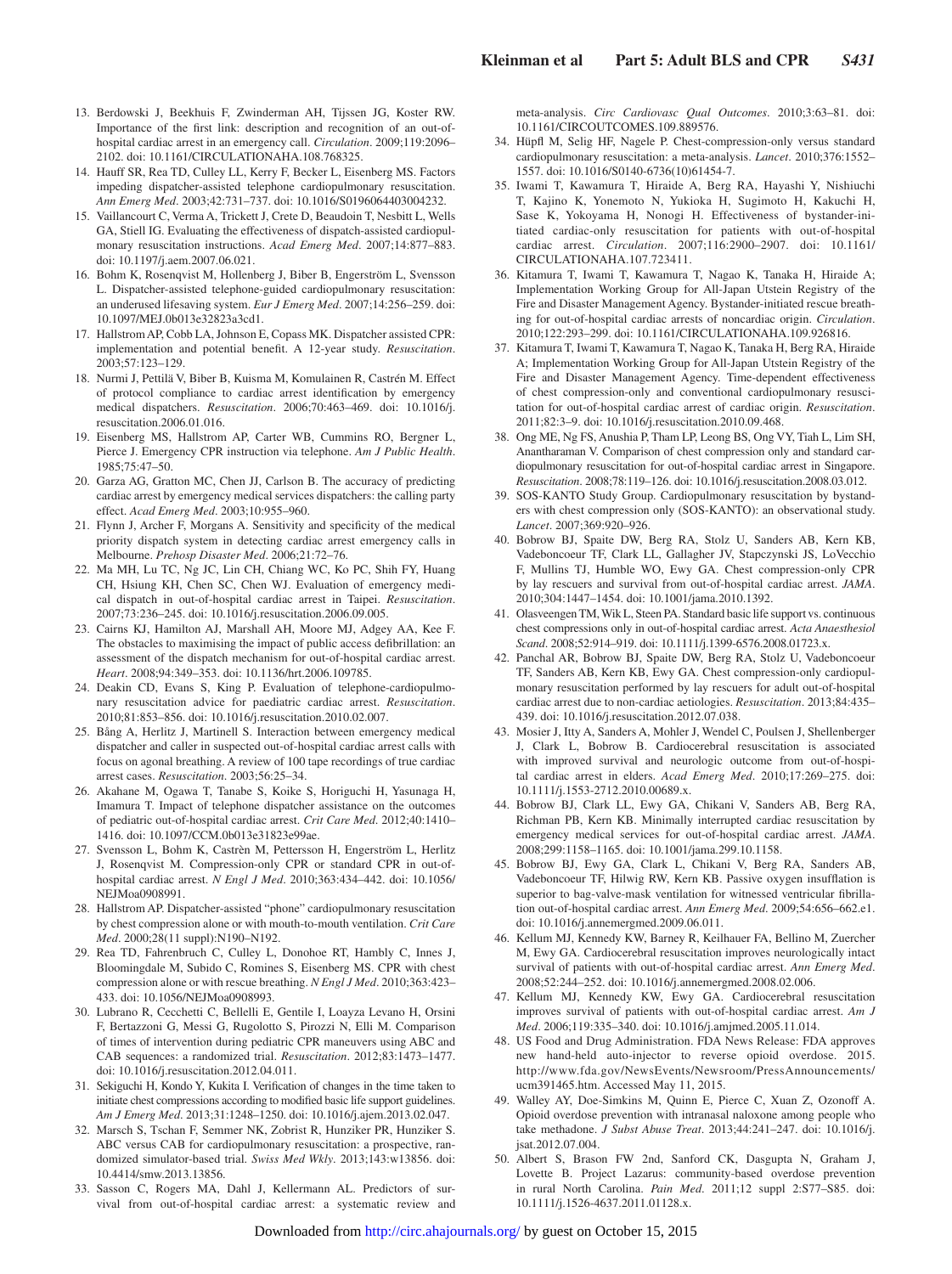- 13. Berdowski J, Beekhuis F, Zwinderman AH, Tijssen JG, Koster RW. Importance of the first link: description and recognition of an out-ofhospital cardiac arrest in an emergency call. *Circulation*. 2009;119:2096– 2102. doi: 10.1161/CIRCULATIONAHA.108.768325.
- 14. Hauff SR, Rea TD, Culley LL, Kerry F, Becker L, Eisenberg MS. Factors impeding dispatcher-assisted telephone cardiopulmonary resuscitation. *Ann Emerg Med*. 2003;42:731–737. doi: 10.1016/S0196064403004232.
- 15. Vaillancourt C, Verma A, Trickett J, Crete D, Beaudoin T, Nesbitt L, Wells GA, Stiell IG. Evaluating the effectiveness of dispatch-assisted cardiopulmonary resuscitation instructions. *Acad Emerg Med*. 2007;14:877–883. doi: 10.1197/j.aem.2007.06.021.
- 16. Bohm K, Rosenqvist M, Hollenberg J, Biber B, Engerström L, Svensson L. Dispatcher-assisted telephone-guided cardiopulmonary resuscitation: an underused lifesaving system. *Eur J Emerg Med*. 2007;14:256–259. doi: 10.1097/MEJ.0b013e32823a3cd1.
- 17. Hallstrom AP, Cobb LA, Johnson E, Copass MK. Dispatcher assisted CPR: implementation and potential benefit. A 12-year study. *Resuscitation*. 2003;57:123–129.
- 18. Nurmi J, Pettilä V, Biber B, Kuisma M, Komulainen R, Castrén M. Effect of protocol compliance to cardiac arrest identification by emergency medical dispatchers. *Resuscitation*. 2006;70:463–469. doi: 10.1016/j. resuscitation.2006.01.016.
- 19. Eisenberg MS, Hallstrom AP, Carter WB, Cummins RO, Bergner L, Pierce J. Emergency CPR instruction via telephone. *Am J Public Health*. 1985;75:47–50.
- 20. Garza AG, Gratton MC, Chen JJ, Carlson B. The accuracy of predicting cardiac arrest by emergency medical services dispatchers: the calling party effect. *Acad Emerg Med*. 2003;10:955–960.
- 21. Flynn J, Archer F, Morgans A. Sensitivity and specificity of the medical priority dispatch system in detecting cardiac arrest emergency calls in Melbourne. *Prehosp Disaster Med*. 2006;21:72–76.
- 22. Ma MH, Lu TC, Ng JC, Lin CH, Chiang WC, Ko PC, Shih FY, Huang CH, Hsiung KH, Chen SC, Chen WJ. Evaluation of emergency medical dispatch in out-of-hospital cardiac arrest in Taipei. *Resuscitation*. 2007;73:236–245. doi: 10.1016/j.resuscitation.2006.09.005.
- 23. Cairns KJ, Hamilton AJ, Marshall AH, Moore MJ, Adgey AA, Kee F. The obstacles to maximising the impact of public access defibrillation: an assessment of the dispatch mechanism for out-of-hospital cardiac arrest. *Heart*. 2008;94:349–353. doi: 10.1136/hrt.2006.109785.
- 24. Deakin CD, Evans S, King P. Evaluation of telephone-cardiopulmonary resuscitation advice for paediatric cardiac arrest. *Resuscitation*. 2010;81:853–856. doi: 10.1016/j.resuscitation.2010.02.007.
- 25. Bång A, Herlitz J, Martinell S. Interaction between emergency medical dispatcher and caller in suspected out-of-hospital cardiac arrest calls with focus on agonal breathing. A review of 100 tape recordings of true cardiac arrest cases. *Resuscitation*. 2003;56:25–34.
- 26. Akahane M, Ogawa T, Tanabe S, Koike S, Horiguchi H, Yasunaga H, Imamura T. Impact of telephone dispatcher assistance on the outcomes of pediatric out-of-hospital cardiac arrest. *Crit Care Med*. 2012;40:1410– 1416. doi: 10.1097/CCM.0b013e31823e99ae.
- 27. Svensson L, Bohm K, Castrèn M, Pettersson H, Engerström L, Herlitz J, Rosenqvist M. Compression-only CPR or standard CPR in out-ofhospital cardiac arrest. *N Engl J Med*. 2010;363:434–442. doi: 10.1056/ NEJMoa0908991.
- 28. Hallstrom AP. Dispatcher-assisted "phone" cardiopulmonary resuscitation by chest compression alone or with mouth-to-mouth ventilation. *Crit Care Med*. 2000;28(11 suppl):N190–N192.
- 29. Rea TD, Fahrenbruch C, Culley L, Donohoe RT, Hambly C, Innes J, Bloomingdale M, Subido C, Romines S, Eisenberg MS. CPR with chest compression alone or with rescue breathing. *N Engl J Med*. 2010;363:423– 433. doi: 10.1056/NEJMoa0908993.
- 30. Lubrano R, Cecchetti C, Bellelli E, Gentile I, Loayza Levano H, Orsini F, Bertazzoni G, Messi G, Rugolotto S, Pirozzi N, Elli M. Comparison of times of intervention during pediatric CPR maneuvers using ABC and CAB sequences: a randomized trial. *Resuscitation*. 2012;83:1473–1477. doi: 10.1016/j.resuscitation.2012.04.011.
- 31. Sekiguchi H, Kondo Y, Kukita I. Verification of changes in the time taken to initiate chest compressions according to modified basic life support guidelines. *Am J Emerg Med*. 2013;31:1248–1250. doi: 10.1016/j.ajem.2013.02.047.
- 32. Marsch S, Tschan F, Semmer NK, Zobrist R, Hunziker PR, Hunziker S. ABC versus CAB for cardiopulmonary resuscitation: a prospective, randomized simulator-based trial. *Swiss Med Wkly*. 2013;143:w13856. doi: 10.4414/smw.2013.13856.
- 33. Sasson C, Rogers MA, Dahl J, Kellermann AL. Predictors of survival from out-of-hospital cardiac arrest: a systematic review and

meta-analysis. *Circ Cardiovasc Qual Outcomes*. 2010;3:63–81. doi: 10.1161/CIRCOUTCOMES.109.889576.

- 34. Hüpfl M, Selig HF, Nagele P. Chest-compression-only versus standard cardiopulmonary resuscitation: a meta-analysis. *Lancet*. 2010;376:1552– 1557. doi: 10.1016/S0140-6736(10)61454-7.
- 35. Iwami T, Kawamura T, Hiraide A, Berg RA, Hayashi Y, Nishiuchi T, Kajino K, Yonemoto N, Yukioka H, Sugimoto H, Kakuchi H, Sase K, Yokoyama H, Nonogi H. Effectiveness of bystander-initiated cardiac-only resuscitation for patients with out-of-hospital cardiac arrest. *Circulation*. 2007;116:2900–2907. doi: 10.1161/ CIRCULATIONAHA.107.723411.
- 36. Kitamura T, Iwami T, Kawamura T, Nagao K, Tanaka H, Hiraide A; Implementation Working Group for All-Japan Utstein Registry of the Fire and Disaster Management Agency. Bystander-initiated rescue breathing for out-of-hospital cardiac arrests of noncardiac origin. *Circulation*. 2010;122:293–299. doi: 10.1161/CIRCULATIONAHA.109.926816.
- 37. Kitamura T, Iwami T, Kawamura T, Nagao K, Tanaka H, Berg RA, Hiraide A; Implementation Working Group for All-Japan Utstein Registry of the Fire and Disaster Management Agency. Time-dependent effectiveness of chest compression-only and conventional cardiopulmonary resuscitation for out-of-hospital cardiac arrest of cardiac origin. *Resuscitation*. 2011;82:3–9. doi: 10.1016/j.resuscitation.2010.09.468.
- 38. Ong ME, Ng FS, Anushia P, Tham LP, Leong BS, Ong VY, Tiah L, Lim SH, Anantharaman V. Comparison of chest compression only and standard cardiopulmonary resuscitation for out-of-hospital cardiac arrest in Singapore. *Resuscitation*. 2008;78:119–126. doi: 10.1016/j.resuscitation.2008.03.012.
- 39. SOS-KANTO Study Group. Cardiopulmonary resuscitation by bystanders with chest compression only (SOS-KANTO): an observational study. *Lancet*. 2007;369:920–926.
- 40. Bobrow BJ, Spaite DW, Berg RA, Stolz U, Sanders AB, Kern KB, Vadeboncoeur TF, Clark LL, Gallagher JV, Stapczynski JS, LoVecchio F, Mullins TJ, Humble WO, Ewy GA. Chest compression-only CPR by lay rescuers and survival from out-of-hospital cardiac arrest. *JAMA*. 2010;304:1447–1454. doi: 10.1001/jama.2010.1392.
- 41. Olasveengen TM, Wik L, Steen PA. Standard basic life support vs. continuous chest compressions only in out-of-hospital cardiac arrest. *Acta Anaesthesiol Scand*. 2008;52:914–919. doi: 10.1111/j.1399-6576.2008.01723.x.
- 42. Panchal AR, Bobrow BJ, Spaite DW, Berg RA, Stolz U, Vadeboncoeur TF, Sanders AB, Kern KB, Ewy GA. Chest compression-only cardiopulmonary resuscitation performed by lay rescuers for adult out-of-hospital cardiac arrest due to non-cardiac aetiologies. *Resuscitation*. 2013;84:435– 439. doi: 10.1016/j.resuscitation.2012.07.038.
- 43. Mosier J, Itty A, Sanders A, Mohler J, Wendel C, Poulsen J, Shellenberger J, Clark L, Bobrow B. Cardiocerebral resuscitation is associated with improved survival and neurologic outcome from out-of-hospital cardiac arrest in elders. *Acad Emerg Med*. 2010;17:269–275. doi: 10.1111/j.1553-2712.2010.00689.x.
- 44. Bobrow BJ, Clark LL, Ewy GA, Chikani V, Sanders AB, Berg RA, Richman PB, Kern KB. Minimally interrupted cardiac resuscitation by emergency medical services for out-of-hospital cardiac arrest. *JAMA*. 2008;299:1158–1165. doi: 10.1001/jama.299.10.1158.
- 45. Bobrow BJ, Ewy GA, Clark L, Chikani V, Berg RA, Sanders AB, Vadeboncoeur TF, Hilwig RW, Kern KB. Passive oxygen insufflation is superior to bag-valve-mask ventilation for witnessed ventricular fibrillation out-of-hospital cardiac arrest. *Ann Emerg Med*. 2009;54:656–662.e1. doi: 10.1016/j.annemergmed.2009.06.011.
- 46. Kellum MJ, Kennedy KW, Barney R, Keilhauer FA, Bellino M, Zuercher M, Ewy GA. Cardiocerebral resuscitation improves neurologically intact survival of patients with out-of-hospital cardiac arrest. *Ann Emerg Med*. 2008;52:244–252. doi: 10.1016/j.annemergmed.2008.02.006.
- 47. Kellum MJ, Kennedy KW, Ewy GA. Cardiocerebral resuscitation improves survival of patients with out-of-hospital cardiac arrest. *Am J Med*. 2006;119:335–340. doi: 10.1016/j.amjmed.2005.11.014.
- 48. US Food and Drug Administration. FDA News Release: FDA approves new hand-held auto-injector to reverse opioid overdose. 2015. [http://www.fda.gov/NewsEvents/Newsroom/PressAnnouncements/](http://www.fda.gov/NewsEvents/Newsroom/PressAnnouncements/ucm391465.htm) [ucm391465.htm](http://www.fda.gov/NewsEvents/Newsroom/PressAnnouncements/ucm391465.htm). Accessed May 11, 2015.
- 49. Walley AY, Doe-Simkins M, Quinn E, Pierce C, Xuan Z, Ozonoff A. Opioid overdose prevention with intranasal naloxone among people who take methadone. *J Subst Abuse Treat*. 2013;44:241–247. doi: 10.1016/j. jsat.2012.07.004.
- 50. Albert S, Brason FW 2nd, Sanford CK, Dasgupta N, Graham J, Lovette B. Project Lazarus: community-based overdose prevention in rural North Carolina. *Pain Med*. 2011;12 suppl 2:S77–S85. doi: 10.1111/j.1526-4637.2011.01128.x.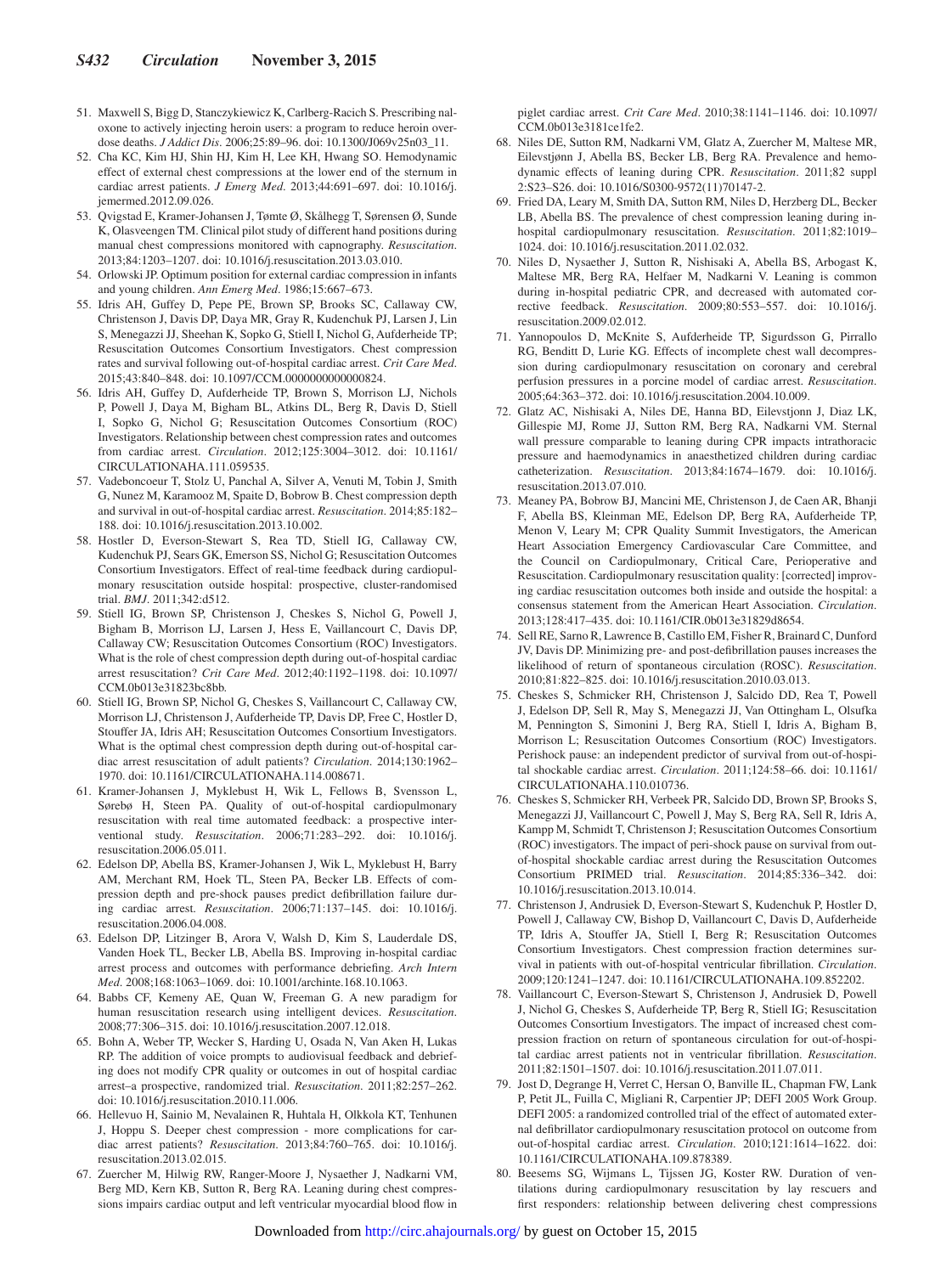- 51. Maxwell S, Bigg D, Stanczykiewicz K, Carlberg-Racich S. Prescribing naloxone to actively injecting heroin users: a program to reduce heroin overdose deaths. *J Addict Dis*. 2006;25:89–96. doi: 10.1300/J069v25n03\_11.
- 52. Cha KC, Kim HJ, Shin HJ, Kim H, Lee KH, Hwang SO. Hemodynamic effect of external chest compressions at the lower end of the sternum in cardiac arrest patients. *J Emerg Med*. 2013;44:691–697. doi: 10.1016/j. jemermed.2012.09.026.
- 53. Qvigstad E, Kramer-Johansen J, Tømte Ø, Skålhegg T, Sørensen Ø, Sunde K, Olasveengen TM. Clinical pilot study of different hand positions during manual chest compressions monitored with capnography. *Resuscitation*. 2013;84:1203–1207. doi: 10.1016/j.resuscitation.2013.03.010.
- 54. Orlowski JP. Optimum position for external cardiac compression in infants and young children. *Ann Emerg Med*. 1986;15:667–673.
- 55. Idris AH, Guffey D, Pepe PE, Brown SP, Brooks SC, Callaway CW, Christenson J, Davis DP, Daya MR, Gray R, Kudenchuk PJ, Larsen J, Lin S, Menegazzi JJ, Sheehan K, Sopko G, Stiell I, Nichol G, Aufderheide TP; Resuscitation Outcomes Consortium Investigators. Chest compression rates and survival following out-of-hospital cardiac arrest. *Crit Care Med*. 2015;43:840–848. doi: 10.1097/CCM.0000000000000824.
- 56. Idris AH, Guffey D, Aufderheide TP, Brown S, Morrison LJ, Nichols P, Powell J, Daya M, Bigham BL, Atkins DL, Berg R, Davis D, Stiell I, Sopko G, Nichol G; Resuscitation Outcomes Consortium (ROC) Investigators. Relationship between chest compression rates and outcomes from cardiac arrest. *Circulation*. 2012;125:3004–3012. doi: 10.1161/ CIRCULATIONAHA.111.059535.
- 57. Vadeboncoeur T, Stolz U, Panchal A, Silver A, Venuti M, Tobin J, Smith G, Nunez M, Karamooz M, Spaite D, Bobrow B. Chest compression depth and survival in out-of-hospital cardiac arrest. *Resuscitation*. 2014;85:182– 188. doi: 10.1016/j.resuscitation.2013.10.002.
- 58. Hostler D, Everson-Stewart S, Rea TD, Stiell IG, Callaway CW, Kudenchuk PJ, Sears GK, Emerson SS, Nichol G; Resuscitation Outcomes Consortium Investigators. Effect of real-time feedback during cardiopulmonary resuscitation outside hospital: prospective, cluster-randomised trial. *BMJ*. 2011;342:d512.
- 59. Stiell IG, Brown SP, Christenson J, Cheskes S, Nichol G, Powell J, Bigham B, Morrison LJ, Larsen J, Hess E, Vaillancourt C, Davis DP, Callaway CW; Resuscitation Outcomes Consortium (ROC) Investigators. What is the role of chest compression depth during out-of-hospital cardiac arrest resuscitation? *Crit Care Med*. 2012;40:1192–1198. doi: 10.1097/ CCM.0b013e31823bc8bb.
- 60. Stiell IG, Brown SP, Nichol G, Cheskes S, Vaillancourt C, Callaway CW, Morrison LJ, Christenson J, Aufderheide TP, Davis DP, Free C, Hostler D, Stouffer JA, Idris AH; Resuscitation Outcomes Consortium Investigators. What is the optimal chest compression depth during out-of-hospital cardiac arrest resuscitation of adult patients? *Circulation*. 2014;130:1962– 1970. doi: 10.1161/CIRCULATIONAHA.114.008671.
- 61. Kramer-Johansen J, Myklebust H, Wik L, Fellows B, Svensson L, Sørebø H, Steen PA. Quality of out-of-hospital cardiopulmonary resuscitation with real time automated feedback: a prospective interventional study. *Resuscitation*. 2006;71:283–292. doi: 10.1016/j. resuscitation.2006.05.011.
- 62. Edelson DP, Abella BS, Kramer-Johansen J, Wik L, Myklebust H, Barry AM, Merchant RM, Hoek TL, Steen PA, Becker LB. Effects of compression depth and pre-shock pauses predict defibrillation failure during cardiac arrest. *Resuscitation*. 2006;71:137–145. doi: 10.1016/j. resuscitation.2006.04.008.
- 63. Edelson DP, Litzinger B, Arora V, Walsh D, Kim S, Lauderdale DS, Vanden Hoek TL, Becker LB, Abella BS. Improving in-hospital cardiac arrest process and outcomes with performance debriefing. *Arch Intern Med*. 2008;168:1063–1069. doi: 10.1001/archinte.168.10.1063.
- 64. Babbs CF, Kemeny AE, Quan W, Freeman G. A new paradigm for human resuscitation research using intelligent devices. *Resuscitation*. 2008;77:306–315. doi: 10.1016/j.resuscitation.2007.12.018.
- 65. Bohn A, Weber TP, Wecker S, Harding U, Osada N, Van Aken H, Lukas RP. The addition of voice prompts to audiovisual feedback and debriefing does not modify CPR quality or outcomes in out of hospital cardiac arrest–a prospective, randomized trial. *Resuscitation*. 2011;82:257–262. doi: 10.1016/j.resuscitation.2010.11.006.
- 66. Hellevuo H, Sainio M, Nevalainen R, Huhtala H, Olkkola KT, Tenhunen J, Hoppu S. Deeper chest compression - more complications for cardiac arrest patients? *Resuscitation*. 2013;84:760–765. doi: 10.1016/j. resuscitation.2013.02.015.
- 67. Zuercher M, Hilwig RW, Ranger-Moore J, Nysaether J, Nadkarni VM, Berg MD, Kern KB, Sutton R, Berg RA. Leaning during chest compressions impairs cardiac output and left ventricular myocardial blood flow in

piglet cardiac arrest. *Crit Care Med*. 2010;38:1141–1146. doi: 10.1097/ CCM.0b013e3181ce1fe2.

- 68. Niles DE, Sutton RM, Nadkarni VM, Glatz A, Zuercher M, Maltese MR, Eilevstjønn J, Abella BS, Becker LB, Berg RA. Prevalence and hemodynamic effects of leaning during CPR. *Resuscitation*. 2011;82 suppl 2:S23–S26. doi: 10.1016/S0300-9572(11)70147-2.
- 69. Fried DA, Leary M, Smith DA, Sutton RM, Niles D, Herzberg DL, Becker LB, Abella BS. The prevalence of chest compression leaning during inhospital cardiopulmonary resuscitation. *Resuscitation*. 2011;82:1019– 1024. doi: 10.1016/j.resuscitation.2011.02.032.
- 70. Niles D, Nysaether J, Sutton R, Nishisaki A, Abella BS, Arbogast K, Maltese MR, Berg RA, Helfaer M, Nadkarni V. Leaning is common during in-hospital pediatric CPR, and decreased with automated corrective feedback. *Resuscitation*. 2009;80:553–557. doi: 10.1016/j. resuscitation.2009.02.012.
- 71. Yannopoulos D, McKnite S, Aufderheide TP, Sigurdsson G, Pirrallo RG, Benditt D, Lurie KG. Effects of incomplete chest wall decompression during cardiopulmonary resuscitation on coronary and cerebral perfusion pressures in a porcine model of cardiac arrest. *Resuscitation*. 2005;64:363–372. doi: 10.1016/j.resuscitation.2004.10.009.
- 72. Glatz AC, Nishisaki A, Niles DE, Hanna BD, Eilevstjonn J, Diaz LK, Gillespie MJ, Rome JJ, Sutton RM, Berg RA, Nadkarni VM. Sternal wall pressure comparable to leaning during CPR impacts intrathoracic pressure and haemodynamics in anaesthetized children during cardiac catheterization. *Resuscitation*. 2013;84:1674–1679. doi: 10.1016/j. resuscitation.2013.07.010.
- 73. Meaney PA, Bobrow BJ, Mancini ME, Christenson J, de Caen AR, Bhanji F, Abella BS, Kleinman ME, Edelson DP, Berg RA, Aufderheide TP, Menon V, Leary M; CPR Quality Summit Investigators, the American Heart Association Emergency Cardiovascular Care Committee, and the Council on Cardiopulmonary, Critical Care, Perioperative and Resuscitation. Cardiopulmonary resuscitation quality: [corrected] improving cardiac resuscitation outcomes both inside and outside the hospital: a consensus statement from the American Heart Association. *Circulation*. 2013;128:417–435. doi: 10.1161/CIR.0b013e31829d8654.
- 74. Sell RE, Sarno R, Lawrence B, Castillo EM, Fisher R, Brainard C, Dunford JV, Davis DP. Minimizing pre- and post-defibrillation pauses increases the likelihood of return of spontaneous circulation (ROSC). *Resuscitation*. 2010;81:822–825. doi: 10.1016/j.resuscitation.2010.03.013.
- 75. Cheskes S, Schmicker RH, Christenson J, Salcido DD, Rea T, Powell J, Edelson DP, Sell R, May S, Menegazzi JJ, Van Ottingham L, Olsufka M, Pennington S, Simonini J, Berg RA, Stiell I, Idris A, Bigham B, Morrison L; Resuscitation Outcomes Consortium (ROC) Investigators. Perishock pause: an independent predictor of survival from out-of-hospital shockable cardiac arrest. *Circulation*. 2011;124:58–66. doi: 10.1161/ CIRCULATIONAHA.110.010736.
- 76. Cheskes S, Schmicker RH, Verbeek PR, Salcido DD, Brown SP, Brooks S, Menegazzi JJ, Vaillancourt C, Powell J, May S, Berg RA, Sell R, Idris A, Kampp M, Schmidt T, Christenson J; Resuscitation Outcomes Consortium (ROC) investigators. The impact of peri-shock pause on survival from outof-hospital shockable cardiac arrest during the Resuscitation Outcomes Consortium PRIMED trial. *Resuscitation*. 2014;85:336–342. doi: 10.1016/j.resuscitation.2013.10.014.
- 77. Christenson J, Andrusiek D, Everson-Stewart S, Kudenchuk P, Hostler D, Powell J, Callaway CW, Bishop D, Vaillancourt C, Davis D, Aufderheide TP, Idris A, Stouffer JA, Stiell I, Berg R; Resuscitation Outcomes Consortium Investigators. Chest compression fraction determines survival in patients with out-of-hospital ventricular fibrillation. *Circulation*. 2009;120:1241–1247. doi: 10.1161/CIRCULATIONAHA.109.852202.
- 78. Vaillancourt C, Everson-Stewart S, Christenson J, Andrusiek D, Powell J, Nichol G, Cheskes S, Aufderheide TP, Berg R, Stiell IG; Resuscitation Outcomes Consortium Investigators. The impact of increased chest compression fraction on return of spontaneous circulation for out-of-hospital cardiac arrest patients not in ventricular fibrillation. *Resuscitation*. 2011;82:1501–1507. doi: 10.1016/j.resuscitation.2011.07.011.
- 79. Jost D, Degrange H, Verret C, Hersan O, Banville IL, Chapman FW, Lank P, Petit JL, Fuilla C, Migliani R, Carpentier JP; DEFI 2005 Work Group. DEFI 2005: a randomized controlled trial of the effect of automated external defibrillator cardiopulmonary resuscitation protocol on outcome from out-of-hospital cardiac arrest. *Circulation*. 2010;121:1614–1622. doi: 10.1161/CIRCULATIONAHA.109.878389.
- 80. Beesems SG, Wijmans L, Tijssen JG, Koster RW. Duration of ventilations during cardiopulmonary resuscitation by lay rescuers and first responders: relationship between delivering chest compressions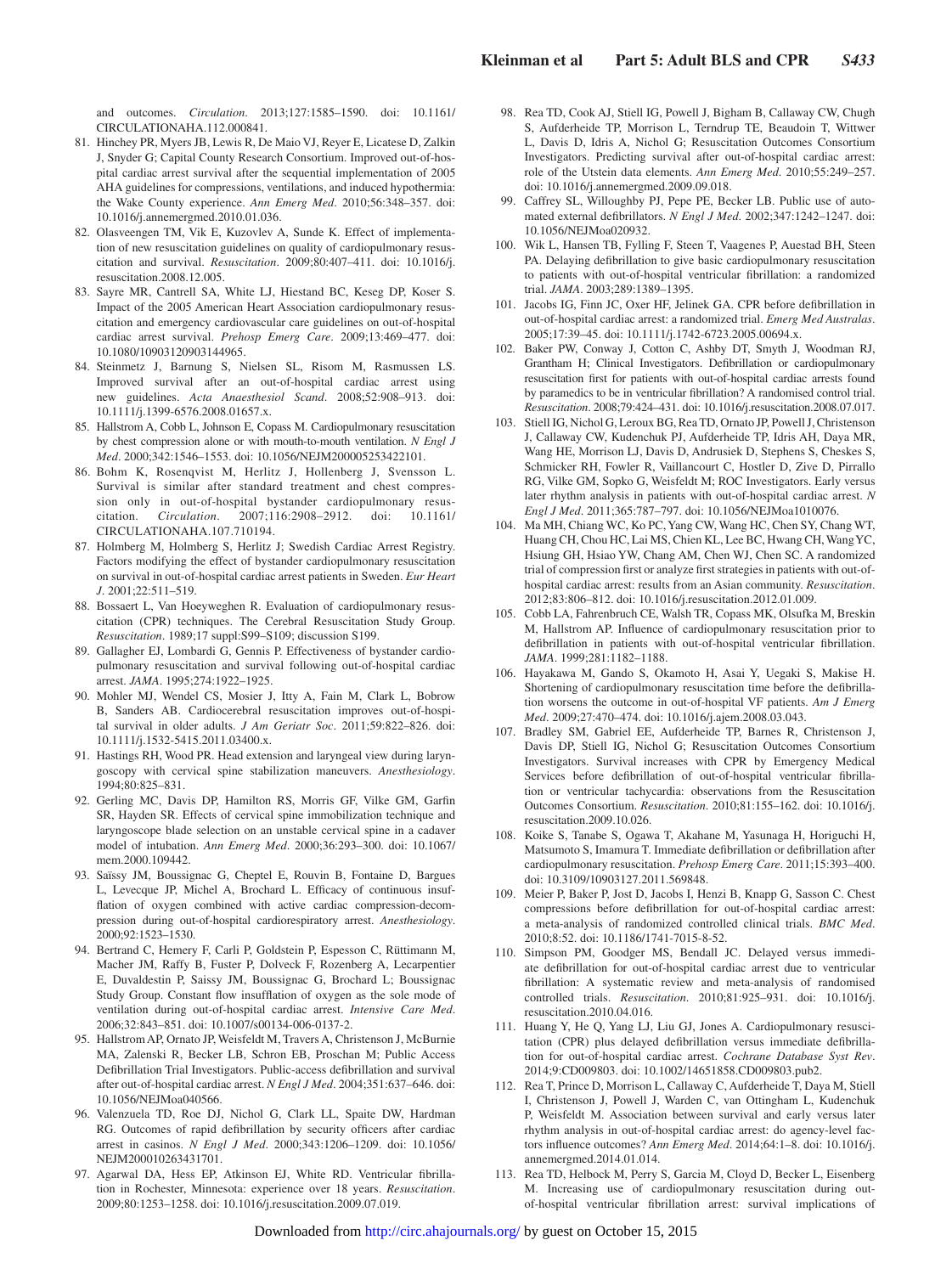and outcomes. *Circulation*. 2013;127:1585–1590. doi: 10.1161/ CIRCULATIONAHA.112.000841.

- 81. Hinchey PR, Myers JB, Lewis R, De Maio VJ, Reyer E, Licatese D, Zalkin J, Snyder G; Capital County Research Consortium. Improved out-of-hospital cardiac arrest survival after the sequential implementation of 2005 AHA guidelines for compressions, ventilations, and induced hypothermia: the Wake County experience. *Ann Emerg Med*. 2010;56:348–357. doi: 10.1016/j.annemergmed.2010.01.036.
- 82. Olasveengen TM, Vik E, Kuzovlev A, Sunde K. Effect of implementation of new resuscitation guidelines on quality of cardiopulmonary resuscitation and survival. *Resuscitation*. 2009;80:407–411. doi: 10.1016/j. resuscitation.2008.12.005.
- 83. Sayre MR, Cantrell SA, White LJ, Hiestand BC, Keseg DP, Koser S. Impact of the 2005 American Heart Association cardiopulmonary resuscitation and emergency cardiovascular care guidelines on out-of-hospital cardiac arrest survival. *Prehosp Emerg Care*. 2009;13:469–477. doi: 10.1080/10903120903144965.
- 84. Steinmetz J, Barnung S, Nielsen SL, Risom M, Rasmussen LS. Improved survival after an out-of-hospital cardiac arrest using new guidelines. *Acta Anaesthesiol Scand*. 2008;52:908–913. doi: 10.1111/j.1399-6576.2008.01657.x.
- 85. Hallstrom A, Cobb L, Johnson E, Copass M. Cardiopulmonary resuscitation by chest compression alone or with mouth-to-mouth ventilation. *N Engl J Med*. 2000;342:1546–1553. doi: 10.1056/NEJM200005253422101.
- 86. Bohm K, Rosenqvist M, Herlitz J, Hollenberg J, Svensson L. Survival is similar after standard treatment and chest compression only in out-of-hospital bystander cardiopulmonary resuscitation. *Circulation*. 2007;116:2908–2912. doi: 10.1161/ CIRCULATIONAHA.107.710194.
- 87. Holmberg M, Holmberg S, Herlitz J; Swedish Cardiac Arrest Registry. Factors modifying the effect of bystander cardiopulmonary resuscitation on survival in out-of-hospital cardiac arrest patients in Sweden. *Eur Heart J*. 2001;22:511–519.
- 88. Bossaert L, Van Hoeyweghen R. Evaluation of cardiopulmonary resuscitation (CPR) techniques. The Cerebral Resuscitation Study Group. *Resuscitation*. 1989;17 suppl:S99–S109; discussion S199.
- 89. Gallagher EJ, Lombardi G, Gennis P. Effectiveness of bystander cardiopulmonary resuscitation and survival following out-of-hospital cardiac arrest. *JAMA*. 1995;274:1922–1925.
- 90. Mohler MJ, Wendel CS, Mosier J, Itty A, Fain M, Clark L, Bobrow B, Sanders AB. Cardiocerebral resuscitation improves out-of-hospital survival in older adults. *J Am Geriatr Soc*. 2011;59:822–826. doi: 10.1111/j.1532-5415.2011.03400.x.
- 91. Hastings RH, Wood PR. Head extension and laryngeal view during laryngoscopy with cervical spine stabilization maneuvers. *Anesthesiology*. 1994;80:825–831.
- 92. Gerling MC, Davis DP, Hamilton RS, Morris GF, Vilke GM, Garfin SR, Hayden SR. Effects of cervical spine immobilization technique and laryngoscope blade selection on an unstable cervical spine in a cadaver model of intubation. *Ann Emerg Med*. 2000;36:293–300. doi: 10.1067/ mem.2000.109442.
- 93. Saïssy JM, Boussignac G, Cheptel E, Rouvin B, Fontaine D, Bargues L, Levecque JP, Michel A, Brochard L. Efficacy of continuous insufflation of oxygen combined with active cardiac compression-decompression during out-of-hospital cardiorespiratory arrest. *Anesthesiology*. 2000;92:1523–1530.
- 94. Bertrand C, Hemery F, Carli P, Goldstein P, Espesson C, Rüttimann M, Macher JM, Raffy B, Fuster P, Dolveck F, Rozenberg A, Lecarpentier E, Duvaldestin P, Saissy JM, Boussignac G, Brochard L; Boussignac Study Group. Constant flow insufflation of oxygen as the sole mode of ventilation during out-of-hospital cardiac arrest. *Intensive Care Med*. 2006;32:843–851. doi: 10.1007/s00134-006-0137-2.
- 95. Hallstrom AP, Ornato JP, Weisfeldt M, Travers A, Christenson J, McBurnie MA, Zalenski R, Becker LB, Schron EB, Proschan M; Public Access Defibrillation Trial Investigators. Public-access defibrillation and survival after out-of-hospital cardiac arrest. *N Engl J Med*. 2004;351:637–646. doi: 10.1056/NEJMoa040566.
- 96. Valenzuela TD, Roe DJ, Nichol G, Clark LL, Spaite DW, Hardman RG. Outcomes of rapid defibrillation by security officers after cardiac arrest in casinos. *N Engl J Med*. 2000;343:1206–1209. doi: 10.1056/ NEJM200010263431701.
- 97. Agarwal DA, Hess EP, Atkinson EJ, White RD. Ventricular fibrillation in Rochester, Minnesota: experience over 18 years. *Resuscitation*. 2009;80:1253–1258. doi: 10.1016/j.resuscitation.2009.07.019.
- 98. Rea TD, Cook AJ, Stiell IG, Powell J, Bigham B, Callaway CW, Chugh S, Aufderheide TP, Morrison L, Terndrup TE, Beaudoin T, Wittwer L, Davis D, Idris A, Nichol G; Resuscitation Outcomes Consortium Investigators. Predicting survival after out-of-hospital cardiac arrest: role of the Utstein data elements. *Ann Emerg Med*. 2010;55:249–257. doi: 10.1016/j.annemergmed.2009.09.018.
- 99. Caffrey SL, Willoughby PJ, Pepe PE, Becker LB. Public use of automated external defibrillators. *N Engl J Med*. 2002;347:1242–1247. doi: 10.1056/NEJMoa020932.
- 100. Wik L, Hansen TB, Fylling F, Steen T, Vaagenes P, Auestad BH, Steen PA. Delaying defibrillation to give basic cardiopulmonary resuscitation to patients with out-of-hospital ventricular fibrillation: a randomized trial. *JAMA*. 2003;289:1389–1395.
- 101. Jacobs IG, Finn JC, Oxer HF, Jelinek GA. CPR before defibrillation in out-of-hospital cardiac arrest: a randomized trial. *Emerg Med Australas*. 2005;17:39–45. doi: 10.1111/j.1742-6723.2005.00694.x.
- 102. Baker PW, Conway J, Cotton C, Ashby DT, Smyth J, Woodman RJ, Grantham H; Clinical Investigators. Defibrillation or cardiopulmonary resuscitation first for patients with out-of-hospital cardiac arrests found by paramedics to be in ventricular fibrillation? A randomised control trial. *Resuscitation*. 2008;79:424–431. doi: 10.1016/j.resuscitation.2008.07.017.
- 103. Stiell IG, Nichol G, Leroux BG, Rea TD, Ornato JP, Powell J, Christenson J, Callaway CW, Kudenchuk PJ, Aufderheide TP, Idris AH, Daya MR, Wang HE, Morrison LJ, Davis D, Andrusiek D, Stephens S, Cheskes S, Schmicker RH, Fowler R, Vaillancourt C, Hostler D, Zive D, Pirrallo RG, Vilke GM, Sopko G, Weisfeldt M; ROC Investigators. Early versus later rhythm analysis in patients with out-of-hospital cardiac arrest. *N Engl J Med*. 2011;365:787–797. doi: 10.1056/NEJMoa1010076.
- 104. Ma MH, Chiang WC, Ko PC, Yang CW, Wang HC, Chen SY, Chang WT, Huang CH, Chou HC, Lai MS, Chien KL, Lee BC, Hwang CH, Wang YC, Hsiung GH, Hsiao YW, Chang AM, Chen WJ, Chen SC. A randomized trial of compression first or analyze first strategies in patients with out-ofhospital cardiac arrest: results from an Asian community. *Resuscitation*. 2012;83:806–812. doi: 10.1016/j.resuscitation.2012.01.009.
- 105. Cobb LA, Fahrenbruch CE, Walsh TR, Copass MK, Olsufka M, Breskin M, Hallstrom AP. Influence of cardiopulmonary resuscitation prior to defibrillation in patients with out-of-hospital ventricular fibrillation. *JAMA*. 1999;281:1182–1188.
- 106. Hayakawa M, Gando S, Okamoto H, Asai Y, Uegaki S, Makise H. Shortening of cardiopulmonary resuscitation time before the defibrillation worsens the outcome in out-of-hospital VF patients. *Am J Emerg Med*. 2009;27:470–474. doi: 10.1016/j.ajem.2008.03.043.
- 107. Bradley SM, Gabriel EE, Aufderheide TP, Barnes R, Christenson J, Davis DP, Stiell IG, Nichol G; Resuscitation Outcomes Consortium Investigators. Survival increases with CPR by Emergency Medical Services before defibrillation of out-of-hospital ventricular fibrillation or ventricular tachycardia: observations from the Resuscitation Outcomes Consortium. *Resuscitation*. 2010;81:155–162. doi: 10.1016/j. resuscitation.2009.10.026.
- 108. Koike S, Tanabe S, Ogawa T, Akahane M, Yasunaga H, Horiguchi H, Matsumoto S, Imamura T. Immediate defibrillation or defibrillation after cardiopulmonary resuscitation. *Prehosp Emerg Care*. 2011;15:393–400. doi: 10.3109/10903127.2011.569848.
- 109. Meier P, Baker P, Jost D, Jacobs I, Henzi B, Knapp G, Sasson C. Chest compressions before defibrillation for out-of-hospital cardiac arrest: a meta-analysis of randomized controlled clinical trials. *BMC Med*. 2010;8:52. doi: 10.1186/1741-7015-8-52.
- 110. Simpson PM, Goodger MS, Bendall JC. Delayed versus immediate defibrillation for out-of-hospital cardiac arrest due to ventricular fibrillation: A systematic review and meta-analysis of randomised controlled trials. *Resuscitation*. 2010;81:925–931. doi: 10.1016/j. resuscitation.2010.04.016.
- 111. Huang Y, He Q, Yang LJ, Liu GJ, Jones A. Cardiopulmonary resuscitation (CPR) plus delayed defibrillation versus immediate defibrillation for out-of-hospital cardiac arrest. *Cochrane Database Syst Rev*. 2014;9:CD009803. doi: 10.1002/14651858.CD009803.pub2.
- 112. Rea T, Prince D, Morrison L, Callaway C, Aufderheide T, Daya M, Stiell I, Christenson J, Powell J, Warden C, van Ottingham L, Kudenchuk P, Weisfeldt M. Association between survival and early versus later rhythm analysis in out-of-hospital cardiac arrest: do agency-level factors influence outcomes? *Ann Emerg Med*. 2014;64:1–8. doi: 10.1016/j. annemergmed.2014.01.014.
- 113. Rea TD, Helbock M, Perry S, Garcia M, Cloyd D, Becker L, Eisenberg M. Increasing use of cardiopulmonary resuscitation during outof-hospital ventricular fibrillation arrest: survival implications of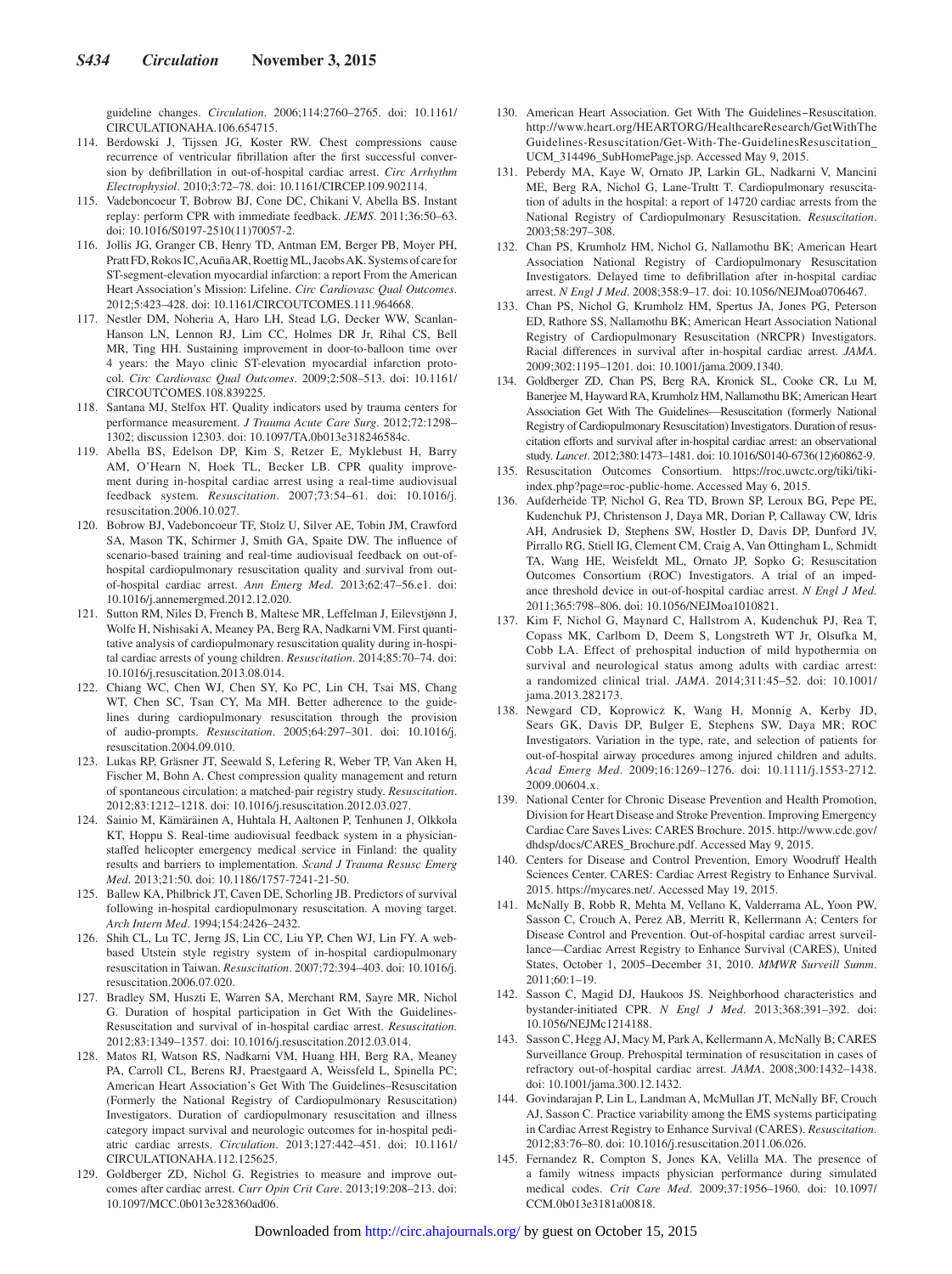guideline changes. *Circulation*. 2006;114:2760–2765. doi: 10.1161/ CIRCULATIONAHA.106.654715.

- 114. Berdowski J, Tijssen JG, Koster RW. Chest compressions cause recurrence of ventricular fibrillation after the first successful conversion by defibrillation in out-of-hospital cardiac arrest. *Circ Arrhythm Electrophysiol*. 2010;3:72–78. doi: 10.1161/CIRCEP.109.902114.
- 115. Vadeboncoeur T, Bobrow BJ, Cone DC, Chikani V, Abella BS. Instant replay: perform CPR with immediate feedback. *JEMS*. 2011;36:50–63. doi: 10.1016/S0197-2510(11)70057-2.
- 116. Jollis JG, Granger CB, Henry TD, Antman EM, Berger PB, Moyer PH, Pratt FD, Rokos IC, Acuña AR, Roettig ML, Jacobs AK. Systems of care for ST-segment-elevation myocardial infarction: a report From the American Heart Association's Mission: Lifeline. *Circ Cardiovasc Qual Outcomes*. 2012;5:423–428. doi: 10.1161/CIRCOUTCOMES.111.964668.
- 117. Nestler DM, Noheria A, Haro LH, Stead LG, Decker WW, Scanlan-Hanson LN, Lennon RJ, Lim CC, Holmes DR Jr, Rihal CS, Bell MR, Ting HH. Sustaining improvement in door-to-balloon time over 4 years: the Mayo clinic ST-elevation myocardial infarction protocol. *Circ Cardiovasc Qual Outcomes*. 2009;2:508–513. doi: 10.1161/ CIRCOUTCOMES.108.839225.
- 118. Santana MJ, Stelfox HT. Quality indicators used by trauma centers for performance measurement. *J Trauma Acute Care Surg*. 2012;72:1298– 1302; discussion 12303. doi: 10.1097/TA.0b013e318246584c.
- 119. Abella BS, Edelson DP, Kim S, Retzer E, Myklebust H, Barry AM, O'Hearn N, Hoek TL, Becker LB. CPR quality improvement during in-hospital cardiac arrest using a real-time audiovisual feedback system. *Resuscitation*. 2007;73:54–61. doi: 10.1016/j. resuscitation.2006.10.027.
- 120. Bobrow BJ, Vadeboncoeur TF, Stolz U, Silver AE, Tobin JM, Crawford SA, Mason TK, Schirmer J, Smith GA, Spaite DW. The influence of scenario-based training and real-time audiovisual feedback on out-ofhospital cardiopulmonary resuscitation quality and survival from outof-hospital cardiac arrest. *Ann Emerg Med*. 2013;62:47–56.e1. doi: 10.1016/j.annemergmed.2012.12.020.
- 121. Sutton RM, Niles D, French B, Maltese MR, Leffelman J, Eilevstjønn J, Wolfe H, Nishisaki A, Meaney PA, Berg RA, Nadkarni VM. First quantitative analysis of cardiopulmonary resuscitation quality during in-hospital cardiac arrests of young children. *Resuscitation*. 2014;85:70–74. doi: 10.1016/j.resuscitation.2013.08.014.
- 122. Chiang WC, Chen WJ, Chen SY, Ko PC, Lin CH, Tsai MS, Chang WT, Chen SC, Tsan CY, Ma MH. Better adherence to the guidelines during cardiopulmonary resuscitation through the provision of audio-prompts. *Resuscitation*. 2005;64:297–301. doi: 10.1016/j. resuscitation.2004.09.010.
- 123. Lukas RP, Gräsner JT, Seewald S, Lefering R, Weber TP, Van Aken H, Fischer M, Bohn A. Chest compression quality management and return of spontaneous circulation: a matched-pair registry study. *Resuscitation*. 2012;83:1212–1218. doi: 10.1016/j.resuscitation.2012.03.027.
- 124. Sainio M, Kämäräinen A, Huhtala H, Aaltonen P, Tenhunen J, Olkkola KT, Hoppu S. Real-time audiovisual feedback system in a physicianstaffed helicopter emergency medical service in Finland: the quality results and barriers to implementation. *Scand J Trauma Resusc Emerg Med*. 2013;21:50. doi: 10.1186/1757-7241-21-50.
- 125. Ballew KA, Philbrick JT, Caven DE, Schorling JB. Predictors of survival following in-hospital cardiopulmonary resuscitation. A moving target. *Arch Intern Med*. 1994;154:2426–2432.
- 126. Shih CL, Lu TC, Jerng JS, Lin CC, Liu YP, Chen WJ, Lin FY. A webbased Utstein style registry system of in-hospital cardiopulmonary resuscitation in Taiwan. *Resuscitation*. 2007;72:394–403. doi: 10.1016/j. resuscitation.2006.07.020.
- 127. Bradley SM, Huszti E, Warren SA, Merchant RM, Sayre MR, Nichol G. Duration of hospital participation in Get With the Guidelines-Resuscitation and survival of in-hospital cardiac arrest. *Resuscitation*. 2012;83:1349–1357. doi: 10.1016/j.resuscitation.2012.03.014.
- 128. Matos RI, Watson RS, Nadkarni VM, Huang HH, Berg RA, Meaney PA, Carroll CL, Berens RJ, Praestgaard A, Weissfeld L, Spinella PC; American Heart Association's Get With The Guidelines–Resuscitation (Formerly the National Registry of Cardiopulmonary Resuscitation) Investigators. Duration of cardiopulmonary resuscitation and illness category impact survival and neurologic outcomes for in-hospital pediatric cardiac arrests. *Circulation*. 2013;127:442–451. doi: 10.1161/ CIRCULATIONAHA.112.125625.
- 129. Goldberger ZD, Nichol G. Registries to measure and improve outcomes after cardiac arrest. *Curr Opin Crit Care*. 2013;19:208–213. doi: 10.1097/MCC.0b013e328360ad06.
- 130. American Heart Association. Get With The Guidelines-Resuscitation. [http://www.heart.org/HEARTORG/HealthcareResearch/GetWithThe](http://www.heart.org/HEARTORG/HealthcareResearch/GetWithTheGuidelines-Resuscitation/Get-With-The-GuidelinesResuscitation_UCM_314496_SubHomePage.jsp) [Guidelines-Resuscitation/Get-With-The-GuidelinesResuscitation\\_](http://www.heart.org/HEARTORG/HealthcareResearch/GetWithTheGuidelines-Resuscitation/Get-With-The-GuidelinesResuscitation_UCM_314496_SubHomePage.jsp) [UCM\\_314496\\_SubHomePage.jsp.](http://www.heart.org/HEARTORG/HealthcareResearch/GetWithTheGuidelines-Resuscitation/Get-With-The-GuidelinesResuscitation_UCM_314496_SubHomePage.jsp) Accessed May 9, 2015.
- 131. Peberdy MA, Kaye W, Ornato JP, Larkin GL, Nadkarni V, Mancini ME, Berg RA, Nichol G, Lane-Trultt T. Cardiopulmonary resuscitation of adults in the hospital: a report of 14720 cardiac arrests from the National Registry of Cardiopulmonary Resuscitation. *Resuscitation*. 2003;58:297–308.
- 132. Chan PS, Krumholz HM, Nichol G, Nallamothu BK; American Heart Association National Registry of Cardiopulmonary Resuscitation Investigators. Delayed time to defibrillation after in-hospital cardiac arrest. *N Engl J Med*. 2008;358:9–17. doi: 10.1056/NEJMoa0706467.
- 133. Chan PS, Nichol G, Krumholz HM, Spertus JA, Jones PG, Peterson ED, Rathore SS, Nallamothu BK; American Heart Association National Registry of Cardiopulmonary Resuscitation (NRCPR) Investigators. Racial differences in survival after in-hospital cardiac arrest. *JAMA*. 2009;302:1195–1201. doi: 10.1001/jama.2009.1340.
- 134. Goldberger ZD, Chan PS, Berg RA, Kronick SL, Cooke CR, Lu M, Banerjee M, Hayward RA, Krumholz HM, Nallamothu BK; American Heart Association Get With The Guidelines—Resuscitation (formerly National Registry of Cardiopulmonary Resuscitation) Investigators. Duration of resuscitation efforts and survival after in-hospital cardiac arrest: an observational study. *Lancet*. 2012;380:1473–1481. doi: 10.1016/S0140-6736(12)60862-9.
- 135. Resuscitation Outcomes Consortium. [https://roc.uwctc.org/tiki/tiki](http://roc.uwctc.org/tiki/tiki-index.php?page=roc-public-home)[index.php?page=roc-public-home.](http://roc.uwctc.org/tiki/tiki-index.php?page=roc-public-home) Accessed May 6, 2015.
- 136. Aufderheide TP, Nichol G, Rea TD, Brown SP, Leroux BG, Pepe PE, Kudenchuk PJ, Christenson J, Daya MR, Dorian P, Callaway CW, Idris AH, Andrusiek D, Stephens SW, Hostler D, Davis DP, Dunford JV, Pirrallo RG, Stiell IG, Clement CM, Craig A, Van Ottingham L, Schmidt TA, Wang HE, Weisfeldt ML, Ornato JP, Sopko G; Resuscitation Outcomes Consortium (ROC) Investigators. A trial of an impedance threshold device in out-of-hospital cardiac arrest. *N Engl J Med*. 2011;365:798–806. doi: 10.1056/NEJMoa1010821.
- 137. Kim F, Nichol G, Maynard C, Hallstrom A, Kudenchuk PJ, Rea T, Copass MK, Carlbom D, Deem S, Longstreth WT Jr, Olsufka M, Cobb LA. Effect of prehospital induction of mild hypothermia on survival and neurological status among adults with cardiac arrest: a randomized clinical trial. *JAMA*. 2014;311:45–52. doi: 10.1001/ jama.2013.282173.
- 138. Newgard CD, Koprowicz K, Wang H, Monnig A, Kerby JD, Sears GK, Davis DP, Bulger E, Stephens SW, Daya MR; ROC Investigators. Variation in the type, rate, and selection of patients for out-of-hospital airway procedures among injured children and adults. *Acad Emerg Med*. 2009;16:1269–1276. doi: 10.1111/j.1553-2712. 2009.00604.x.
- 139. National Center for Chronic Disease Prevention and Health Promotion, Division for Heart Disease and Stroke Prevention. Improving Emergency Cardiac Care Saves Lives: CARES Brochure. 2015. [http://www.cdc.gov/](http://www.cdc.gov/dhdsp/docs/CARES_Brochure.pdf) [dhdsp/docs/CARES\\_Brochure.pdf.](http://www.cdc.gov/dhdsp/docs/CARES_Brochure.pdf) Accessed May 9, 2015.
- 140. Centers for Disease and Control Prevention, Emory Woodruff Health Sciences Center. CARES: Cardiac Arrest Registry to Enhance Survival. 2015. [https://mycares.net/](http://mycares.net/). Accessed May 19, 2015.
- 141. McNally B, Robb R, Mehta M, Vellano K, Valderrama AL, Yoon PW, Sasson C, Crouch A, Perez AB, Merritt R, Kellermann A; Centers for Disease Control and Prevention. Out-of-hospital cardiac arrest surveillance—Cardiac Arrest Registry to Enhance Survival (CARES), United States, October 1, 2005–December 31, 2010. *MMWR Surveill Summ*. 2011;60:1–19.
- 142. Sasson C, Magid DJ, Haukoos JS. Neighborhood characteristics and bystander-initiated CPR. *N Engl J Med*. 2013;368:391–392. doi: 10.1056/NEJMc1214188.
- 143. Sasson C, Hegg AJ, Macy M, Park A, Kellermann A, McNally B; CARES Surveillance Group. Prehospital termination of resuscitation in cases of refractory out-of-hospital cardiac arrest. *JAMA*. 2008;300:1432–1438. doi: 10.1001/jama.300.12.1432.
- 144. Govindarajan P, Lin L, Landman A, McMullan JT, McNally BF, Crouch AJ, Sasson C. Practice variability among the EMS systems participating in Cardiac Arrest Registry to Enhance Survival (CARES). *Resuscitation*. 2012;83:76–80. doi: 10.1016/j.resuscitation.2011.06.026.
- 145. Fernandez R, Compton S, Jones KA, Velilla MA. The presence of a family witness impacts physician performance during simulated medical codes. *Crit Care Med*. 2009;37:1956–1960. doi: 10.1097/ CCM.0b013e3181a00818.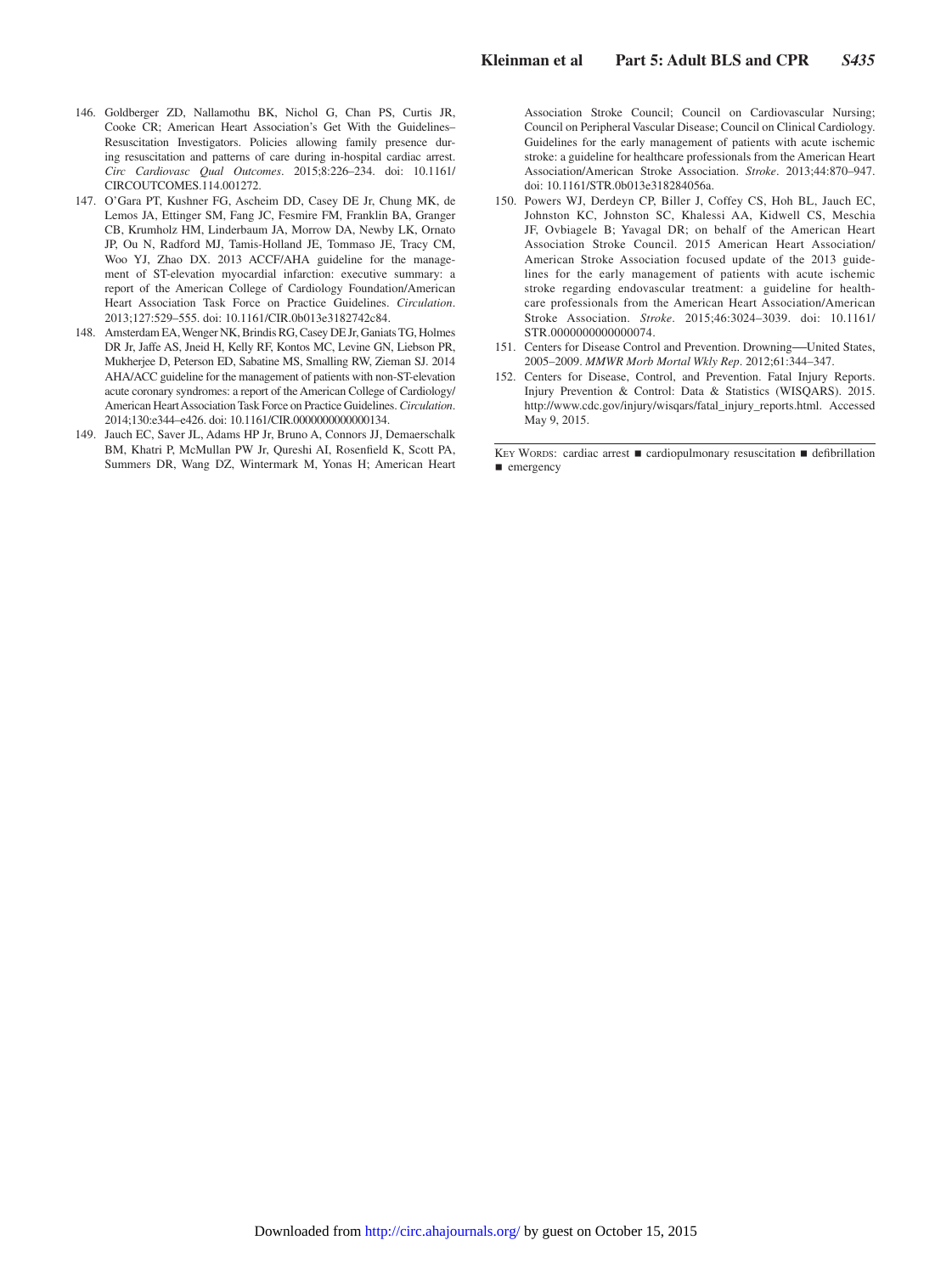- 146. Goldberger ZD, Nallamothu BK, Nichol G, Chan PS, Curtis JR, Cooke CR; American Heart Association's Get With the Guidelines– Resuscitation Investigators. Policies allowing family presence during resuscitation and patterns of care during in-hospital cardiac arrest. *Circ Cardiovasc Qual Outcomes*. 2015;8:226–234. doi: 10.1161/ CIRCOUTCOMES.114.001272.
- 147. O'Gara PT, Kushner FG, Ascheim DD, Casey DE Jr, Chung MK, de Lemos JA, Ettinger SM, Fang JC, Fesmire FM, Franklin BA, Granger CB, Krumholz HM, Linderbaum JA, Morrow DA, Newby LK, Ornato JP, Ou N, Radford MJ, Tamis-Holland JE, Tommaso JE, Tracy CM, Woo YJ, Zhao DX. 2013 ACCF/AHA guideline for the management of ST-elevation myocardial infarction: executive summary: a report of the American College of Cardiology Foundation/American Heart Association Task Force on Practice Guidelines. *Circulation*. 2013;127:529–555. doi: 10.1161/CIR.0b013e3182742c84.
- 148. Amsterdam EA, Wenger NK, Brindis RG, Casey DE Jr, Ganiats TG, Holmes DR Jr, Jaffe AS, Jneid H, Kelly RF, Kontos MC, Levine GN, Liebson PR, Mukherjee D, Peterson ED, Sabatine MS, Smalling RW, Zieman SJ. 2014 AHA/ACC guideline for the management of patients with non-ST-elevation acute coronary syndromes: a report of the American College of Cardiology/ American Heart Association Task Force on Practice Guidelines. *Circulation*. 2014;130:e344–e426. doi: 10.1161/CIR.0000000000000134.
- 149. Jauch EC, Saver JL, Adams HP Jr, Bruno A, Connors JJ, Demaerschalk BM, Khatri P, McMullan PW Jr, Qureshi AI, Rosenfield K, Scott PA, Summers DR, Wang DZ, Wintermark M, Yonas H; American Heart

Association Stroke Council; Council on Cardiovascular Nursing; Council on Peripheral Vascular Disease; Council on Clinical Cardiology. Guidelines for the early management of patients with acute ischemic stroke: a guideline for healthcare professionals from the American Heart Association/American Stroke Association. *Stroke*. 2013;44:870–947. doi: 10.1161/STR.0b013e318284056a.

- 150. Powers WJ, Derdeyn CP, Biller J, Coffey CS, Hoh BL, Jauch EC, Johnston KC, Johnston SC, Khalessi AA, Kidwell CS, Meschia JF, Ovbiagele B; Yavagal DR; on behalf of the American Heart Association Stroke Council. 2015 American Heart Association/ American Stroke Association focused update of the 2013 guidelines for the early management of patients with acute ischemic stroke regarding endovascular treatment: a guideline for healthcare professionals from the American Heart Association/American Stroke Association. *Stroke*. 2015;46:3024–3039. doi: 10.1161/ STR.0000000000000074.
- 151. Centers for Disease Control and Prevention. Drowning―United States, 2005–2009. *MMWR Morb Mortal Wkly Rep*. 2012;61:344–347.
- 152. Centers for Disease, Control, and Prevention. Fatal Injury Reports. Injury Prevention & Control: Data & Statistics (WISQARS). 2015. [http://www.cdc.gov/injury/wisqars/fatal\\_injury\\_reports.html.](http://www.cdc.gov/injury/wisqars/fatal_injury_reports.html) Accessed May 9, 2015.

KEY WORDS: cardiac arrest ■ cardiopulmonary resuscitation ■ defibrillation ■ emergency